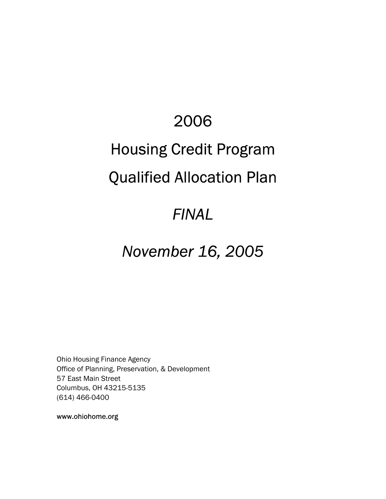# 2006

# Housing Credit Program

# Qualified Allocation Plan

# *FINAL*

# *November 16, 2005*

Ohio Housing Finance Agency Office of Planning, Preservation, & Development 57 East Main Street Columbus, OH 43215-5135 (614) 466-0400

www.ohiohome.org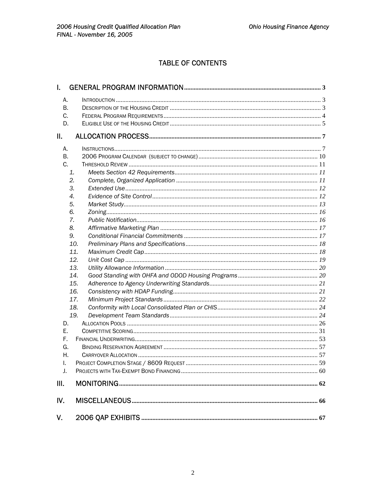# **TABLE OF CONTENTS**

| L.  |     |  |
|-----|-----|--|
| А.  |     |  |
| В.  |     |  |
| C.  |     |  |
| D.  |     |  |
| П.  |     |  |
| А.  |     |  |
| В.  |     |  |
| C.  |     |  |
| 1.  |     |  |
| 2.  |     |  |
| 3.  |     |  |
| 4.  |     |  |
| 5.  |     |  |
| 6.  |     |  |
| 7.  |     |  |
| 8.  |     |  |
| 9.  |     |  |
|     | 10. |  |
|     | 11. |  |
|     | 12. |  |
|     | 13. |  |
|     | 14. |  |
|     | 15. |  |
|     | 16. |  |
|     | 17. |  |
|     | 18. |  |
|     | 19. |  |
| D.  |     |  |
| Е.  |     |  |
| F.  |     |  |
| G.  |     |  |
| Η.  |     |  |
| I.  |     |  |
| J.  |     |  |
| Ш.  |     |  |
| IV. |     |  |
| V.  |     |  |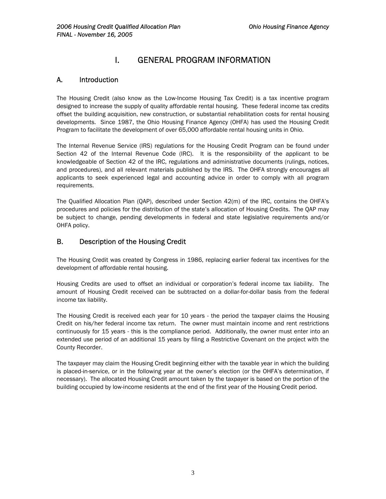# I. GENERAL PROGRAM INFORMATION

### <span id="page-3-0"></span>A. Introduction

The Housing Credit (also know as the Low-Income Housing Tax Credit) is a tax incentive program designed to increase the supply of quality affordable rental housing. These federal income tax credits offset the building acquisition, new construction, or substantial rehabilitation costs for rental housing developments. Since 1987, the Ohio Housing Finance Agency (OHFA) has used the Housing Credit Program to facilitate the development of over 65,000 affordable rental housing units in Ohio.

The Internal Revenue Service (IRS) regulations for the Housing Credit Program can be found under Section 42 of the Internal Revenue Code (IRC). It is the responsibility of the applicant to be knowledgeable of Section 42 of the IRC, regulations and administrative documents (rulings, notices, and procedures), and all relevant materials published by the IRS. The OHFA strongly encourages all applicants to seek experienced legal and accounting advice in order to comply with all program requirements.

The Qualified Allocation Plan (QAP), described under Section 42(m) of the IRC, contains the OHFA's procedures and policies for the distribution of the state's allocation of Housing Credits. The QAP may be subject to change, pending developments in federal and state legislative requirements and/or OHFA policy.

## B. Description of the Housing Credit

The Housing Credit was created by Congress in 1986, replacing earlier federal tax incentives for the development of affordable rental housing.

Housing Credits are used to offset an individual or corporation's federal income tax liability. The amount of Housing Credit received can be subtracted on a dollar-for-dollar basis from the federal income tax liability.

The Housing Credit is received each year for 10 years - the period the taxpayer claims the Housing Credit on his/her federal income tax return. The owner must maintain income and rent restrictions continuously for 15 years - this is the compliance period. Additionally, the owner must enter into an extended use period of an additional 15 years by filing a Restrictive Covenant on the project with the County Recorder.

The taxpayer may claim the Housing Credit beginning either with the taxable year in which the building is placed-in-service, or in the following year at the owner's election (or the OHFA's determination, if necessary). The allocated Housing Credit amount taken by the taxpayer is based on the portion of the building occupied by low-income residents at the end of the first year of the Housing Credit period.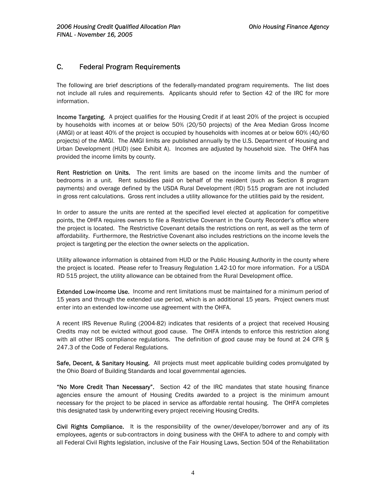### <span id="page-4-0"></span>C. Federal Program Requirements

The following are brief descriptions of the federally-mandated program requirements. The list does not include all rules and requirements. Applicants should refer to Section 42 of the IRC for more information.

Income Targeting. A project qualifies for the Housing Credit if at least 20% of the project is occupied by households with incomes at or below 50% (20/50 projects) of the Area Median Gross Income (AMGI) or at least 40% of the project is occupied by households with incomes at or below 60% (40/60 projects) of the AMGI. The AMGI limits are published annually by the U.S. Department of Housing and Urban Development (HUD) (see Exhibit A). Incomes are adjusted by household size. The OHFA has provided the income limits by county.

Rent Restriction on Units. The rent limits are based on the income limits and the number of bedrooms in a unit. Rent subsidies paid on behalf of the resident (such as Section 8 program payments) and overage defined by the USDA Rural Development (RD) 515 program are not included in gross rent calculations. Gross rent includes a utility allowance for the utilities paid by the resident.

In order to assure the units are rented at the specified level elected at application for competitive points, the OHFA requires owners to file a Restrictive Covenant in the County Recorder's office where the project is located. The Restrictive Covenant details the restrictions on rent, as well as the term of affordability. Furthermore, the Restrictive Covenant also includes restrictions on the income levels the project is targeting per the election the owner selects on the application.

Utility allowance information is obtained from HUD or the Public Housing Authority in the county where the project is located. Please refer to Treasury Regulation 1.42-10 for more information. For a USDA RD 515 project, the utility allowance can be obtained from the Rural Development office.

Extended Low-Income Use. Income and rent limitations must be maintained for a minimum period of 15 years and through the extended use period, which is an additional 15 years. Project owners must enter into an extended low-income use agreement with the OHFA.

A recent IRS Revenue Ruling (2004-82) indicates that residents of a project that received Housing Credits may not be evicted without good cause. The OHFA intends to enforce this restriction along with all other IRS compliance regulations. The definition of good cause may be found at 24 CFR § 247.3 of the Code of Federal Regulations.

Safe, Decent, & Sanitary Housing. All projects must meet applicable building codes promulgated by the Ohio Board of Building Standards and local governmental agencies.

"No More Credit Than Necessary". Section 42 of the IRC mandates that state housing finance agencies ensure the amount of Housing Credits awarded to a project is the minimum amount necessary for the project to be placed in service as affordable rental housing. The OHFA completes this designated task by underwriting every project receiving Housing Credits.

Civil Rights Compliance. It is the responsibility of the owner/developer/borrower and any of its employees, agents or sub-contractors in doing business with the OHFA to adhere to and comply with all Federal Civil Rights legislation, inclusive of the Fair Housing Laws, Section 504 of the Rehabilitation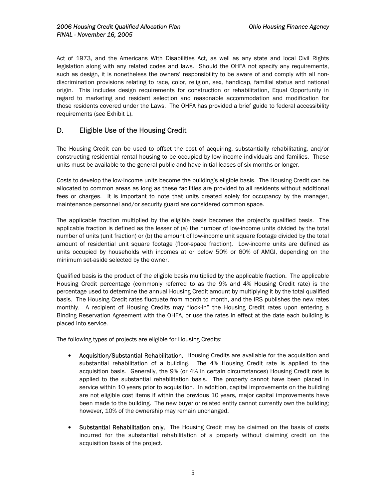<span id="page-5-0"></span>Act of 1973, and the Americans With Disabilities Act, as well as any state and local Civil Rights legislation along with any related codes and laws. Should the OHFA not specify any requirements, such as design, it is nonetheless the owners' responsibility to be aware of and comply with all nondiscrimination provisions relating to race, color, religion, sex, handicap, familial status and national origin. This includes design requirements for construction or rehabilitation, Equal Opportunity in regard to marketing and resident selection and reasonable accommodation and modification for those residents covered under the Laws. The OHFA has provided a brief guide to federal accessibility requirements (see Exhibit L).

## D. Eligible Use of the Housing Credit

The Housing Credit can be used to offset the cost of acquiring, substantially rehabilitating, and/or constructing residential rental housing to be occupied by low-income individuals and families. These units must be available to the general public and have initial leases of six months or longer.

Costs to develop the low-income units become the building's eligible basis. The Housing Credit can be allocated to common areas as long as these facilities are provided to all residents without additional fees or charges. It is important to note that units created solely for occupancy by the manager, maintenance personnel and/or security guard are considered common space.

The applicable fraction multiplied by the eligible basis becomes the project's qualified basis. The applicable fraction is defined as the lesser of (a) the number of low-income units divided by the total number of units (unit fraction) or (b) the amount of low-income unit square footage divided by the total amount of residential unit square footage (floor-space fraction). Low-income units are defined as units occupied by households with incomes at or below 50% or 60% of AMGI, depending on the minimum set-aside selected by the owner.

Qualified basis is the product of the eligible basis multiplied by the applicable fraction. The applicable Housing Credit percentage (commonly referred to as the 9% and 4% Housing Credit rate) is the percentage used to determine the annual Housing Credit amount by multiplying it by the total qualified basis. The Housing Credit rates fluctuate from month to month, and the IRS publishes the new rates monthly. A recipient of Housing Credits may "lock-in" the Housing Credit rates upon entering a Binding Reservation Agreement with the OHFA, or use the rates in effect at the date each building is placed into service.

The following types of projects are eligible for Housing Credits:

- Acquisition/Substantial Rehabilitation. Housing Credits are available for the acquisition and substantial rehabilitation of a building. The 4% Housing Credit rate is applied to the acquisition basis. Generally, the 9% (or 4% in certain circumstances) Housing Credit rate is applied to the substantial rehabilitation basis. The property cannot have been placed in service within 10 years prior to acquisition. In addition, capital improvements on the building are not eligible cost items if within the previous 10 years, major capital improvements have been made to the building. The new buyer or related entity cannot currently own the building; however, 10% of the ownership may remain unchanged.
- Substantial Rehabilitation only. The Housing Credit may be claimed on the basis of costs incurred for the substantial rehabilitation of a property without claiming credit on the acquisition basis of the project.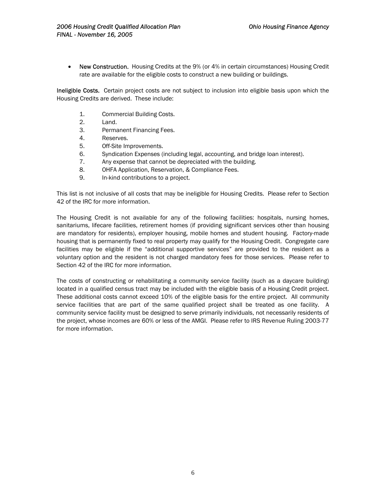• New Construction. Housing Credits at the 9% (or 4% in certain circumstances) Housing Credit rate are available for the eligible costs to construct a new building or buildings.

Ineligible Costs. Certain project costs are not subject to inclusion into eligible basis upon which the Housing Credits are derived. These include:

- 1. Commercial Building Costs.
- 2. Land.
- 3. Permanent Financing Fees.
- 4. Reserves.
- 5. Off-Site Improvements.
- 6. Syndication Expenses (including legal, accounting, and bridge loan interest).
- 7. Any expense that cannot be depreciated with the building.
- 8. OHFA Application, Reservation, & Compliance Fees.
- 9. In-kind contributions to a project.

This list is not inclusive of all costs that may be ineligible for Housing Credits. Please refer to Section 42 of the IRC for more information.

The Housing Credit is not available for any of the following facilities: hospitals, nursing homes, sanitariums, lifecare facilities, retirement homes (if providing significant services other than housing are mandatory for residents), employer housing, mobile homes and student housing. Factory-made housing that is permanently fixed to real property may qualify for the Housing Credit. Congregate care facilities may be eligible if the "additional supportive services" are provided to the resident as a voluntary option and the resident is not charged mandatory fees for those services. Please refer to Section 42 of the IRC for more information.

The costs of constructing or rehabilitating a community service facility (such as a daycare building) located in a qualified census tract may be included with the eligible basis of a Housing Credit project. These additional costs cannot exceed 10% of the eligible basis for the entire project. All community service facilities that are part of the same qualified project shall be treated as one facility. A community service facility must be designed to serve primarily individuals, not necessarily residents of the project, whose incomes are 60% or less of the AMGI. Please refer to IRS Revenue Ruling 2003-77 for more information.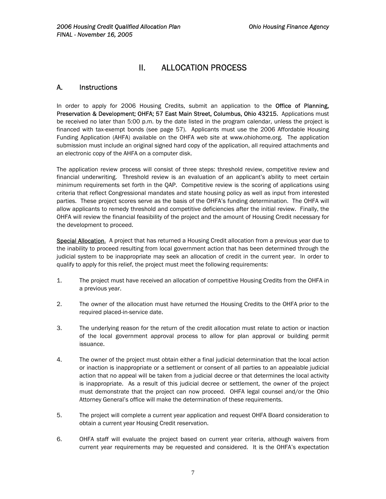# II. ALLOCATION PROCESS

### <span id="page-7-0"></span>A. Instructions

In order to apply for 2006 Housing Credits, submit an application to the **Office of Planning,** Preservation & Development; OHFA; 57 East Main Street, Columbus, Ohio 43215. Applications must be received no later than 5:00 p.m. by the date listed in the program calendar, unless the project is financed with tax-exempt bonds (see page 57). Applicants must use the 2006 Affordable Housing Funding Application (AHFA) available on the OHFA web site at www.ohiohome.org. The application submission must include an original signed hard copy of the application, all required attachments and an electronic copy of the AHFA on a computer disk.

The application review process will consist of three steps: threshold review, competitive review and financial underwriting. Threshold review is an evaluation of an applicant's ability to meet certain minimum requirements set forth in the QAP. Competitive review is the scoring of applications using criteria that reflect Congressional mandates and state housing policy as well as input from interested parties. These project scores serve as the basis of the OHFA's funding determination. The OHFA will allow applicants to remedy threshold and competitive deficiencies after the initial review. Finally, the OHFA will review the financial feasibility of the project and the amount of Housing Credit necessary for the development to proceed.

Special Allocation. A project that has returned a Housing Credit allocation from a previous year due to the inability to proceed resulting from local government action that has been determined through the judicial system to be inappropriate may seek an allocation of credit in the current year. In order to qualify to apply for this relief, the project must meet the following requirements:

- 1. The project must have received an allocation of competitive Housing Credits from the OHFA in a previous year.
- 2. The owner of the allocation must have returned the Housing Credits to the OHFA prior to the required placed-in-service date.
- 3. The underlying reason for the return of the credit allocation must relate to action or inaction of the local government approval process to allow for plan approval or building permit issuance.
- 4. The owner of the project must obtain either a final judicial determination that the local action or inaction is inappropriate or a settlement or consent of all parties to an appealable judicial action that no appeal will be taken from a judicial decree or that determines the local activity is inappropriate. As a result of this judicial decree or settlement, the owner of the project must demonstrate that the project can now proceed. OHFA legal counsel and/or the Ohio Attorney General's office will make the determination of these requirements.
- 5. The project will complete a current year application and request OHFA Board consideration to obtain a current year Housing Credit reservation.
- 6. OHFA staff will evaluate the project based on current year criteria, although waivers from current year requirements may be requested and considered. It is the OHFA's expectation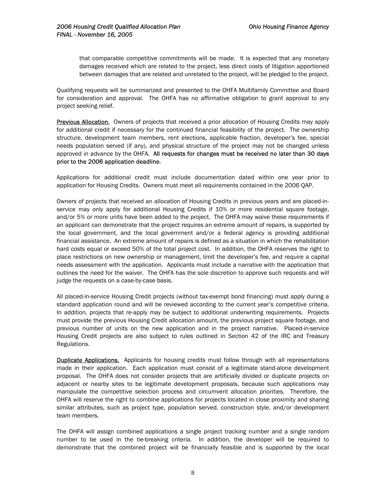that comparable competitive commitments will be made. It is expected that any monetary damages received which are related to the project, less direct costs of litigation apportioned between damages that are related and unrelated to the project, will be pledged to the project.

Qualifying requests will be summarized and presented to the OHFA Multifamily Committee and Board for consideration and approval. The OHFA has no affirmative obligation to grant approval to any project seeking relief.

Previous Allocation. Owners of projects that received a prior allocation of Housing Credits may apply for additional credit if necessary for the continued financial feasibility of the project. The ownership structure, development team members, rent elections, applicable fraction, developer's fee, special needs population served (if any), and physical structure of the project may not be changed unless approved in advance by the OHFA. All requests for changes must be received no later than 30 days prior to the 2006 application deadline.

Applications for additional credit must include documentation dated within one year prior to application for Housing Credits. Owners must meet all requirements contained in the 2006 QAP.

Owners of projects that received an allocation of Housing Credits in previous years and are placed-inservice may only apply for additional Housing Credits if 10% or more residential square footage, and/or 5% or more units have been added to the project. The OHFA may waive these requirements if an applicant can demonstrate that the project requires an extreme amount of repairs, is supported by the local government, and the local government and/or a federal agency is providing additional financial assistance. An extreme amount of repairs is defined as a situation in which the rehabilitation hard costs equal or exceed 50% of the total project cost. In addition, the OHFA reserves the right to place restrictions on new ownership or management, limit the developer's fee, and require a capital needs assessment with the application. Applicants must include a narrative with the application that outlines the need for the waiver. The OHFA has the sole discretion to approve such requests and will judge the requests on a case-by-case basis.

All placed-in-service Housing Credit projects (without tax-exempt bond financing) must apply during a standard application round and will be reviewed according to the current year's competitive criteria. In addition, projects that re-apply may be subject to additional underwriting requirements. Projects must provide the previous Housing Credit allocation amount, the previous project square footage, and previous number of units on the new application and in the project narrative. Placed-in-service Housing Credit projects are also subject to rules outlined in Section 42 of the IRC and Treasury Regulations.

**Duplicate Applications.** Applicants for housing credits must follow through with all representations made in their application. Each application must consist of a legitimate stand-alone development proposal. The OHFA does not consider projects that are artificially divided or duplicate projects on adjacent or nearby sites to be legitimate development proposals, because such applications may manipulate the competitive selection process and circumvent allocation priorities. Therefore, the OHFA will reserve the right to combine applications for projects located in close proximity and sharing similar attributes, such as project type, population served, construction style, and/or development team members.

The OHFA will assign combined applications a single project tracking number and a single random number to be used in the tie-breaking criteria. In addition, the developer will be required to demonstrate that the combined project will be financially feasible and is supported by the local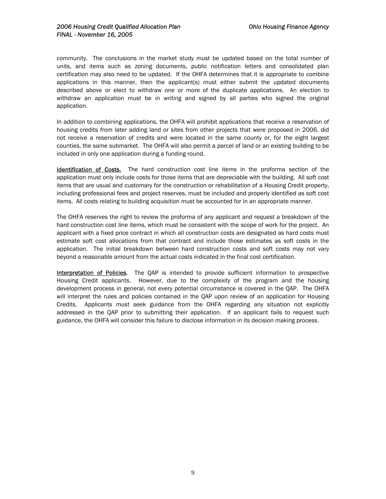community. The conclusions in the market study must be updated based on the total number of units, and items such as zoning documents, public notification letters and consolidated plan certification may also need to be updated. If the OHFA determines that it is appropriate to combine applications in this manner, then the applicant(s) must either submit the updated documents described above or elect to withdraw one or more of the duplicate applications. An election to withdraw an application must be in writing and signed by all parties who signed the original application.

In addition to combining applications, the OHFA will prohibit applications that receive a reservation of housing credits from later adding land or sites from other projects that were proposed in 2006, did not receive a reservation of credits and were located in the same county or, for the eight largest counties, the same submarket. The OHFA will also permit a parcel of land or an existing building to be included in only one application during a funding round.

Identification of Costs. The hard construction cost line items in the proforma section of the application must only include costs for those items that are depreciable with the building. All soft cost items that are usual and customary for the construction or rehabilitation of a Housing Credit property, including professional fees and project reserves, must be included and properly identified as soft cost items. All costs relating to building acquisition must be accounted for in an appropriate manner.

The OHFA reserves the right to review the proforma of any applicant and request a breakdown of the hard construction cost line items, which must be consistent with the scope of work for the project. An applicant with a fixed price contract in which all construction costs are designated as hard costs must estimate soft cost allocations from that contract and include those estimates as soft costs in the application. The initial breakdown between hard construction costs and soft costs may not vary beyond a reasonable amount from the actual costs indicated in the final cost certification.

Interpretation of Policies. The OAP is intended to provide sufficient information to prospective Housing Credit applicants. However, due to the complexity of the program and the housing development process in general, not every potential circumstance is covered in the QAP. The OHFA will interpret the rules and policies contained in the QAP upon review of an application for Housing Credits. Applicants must seek guidance from the OHFA regarding any situation not explicitly addressed in the QAP prior to submitting their application. If an applicant fails to request such guidance, the OHFA will consider this failure to disclose information in its decision making process.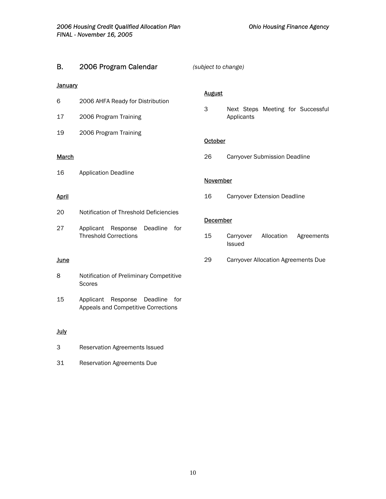<span id="page-10-0"></span>

| В.             | 2006 Program Calendar                                                           | (subject to change) |                                                 |  |  |
|----------------|---------------------------------------------------------------------------------|---------------------|-------------------------------------------------|--|--|
| <b>January</b> |                                                                                 |                     |                                                 |  |  |
| 6              | 2006 AHFA Ready for Distribution                                                | <b>August</b><br>3  |                                                 |  |  |
| 17             | 2006 Program Training                                                           |                     | Next Steps Meeting for Successful<br>Applicants |  |  |
| 19             | 2006 Program Training                                                           | October             |                                                 |  |  |
| <b>March</b>   |                                                                                 | 26                  | <b>Carryover Submission Deadline</b>            |  |  |
| 16             | <b>Application Deadline</b>                                                     | <b>November</b>     |                                                 |  |  |
| <u>April</u>   |                                                                                 | 16                  | Carryover Extension Deadline                    |  |  |
| 20             | Notification of Threshold Deficiencies                                          |                     | <b>December</b>                                 |  |  |
| 27             | Deadline<br>for<br>Applicant Response<br><b>Threshold Corrections</b>           | 15                  | Allocation<br>Carryover<br>Agreements<br>Issued |  |  |
| <b>June</b>    |                                                                                 | 29                  | <b>Carryover Allocation Agreements Due</b>      |  |  |
| 8              | Notification of Preliminary Competitive<br>Scores                               |                     |                                                 |  |  |
| 15             | Response<br>Deadline<br>Applicant<br>for<br>Appeals and Competitive Corrections |                     |                                                 |  |  |
| <b>July</b>    |                                                                                 |                     |                                                 |  |  |
|                |                                                                                 |                     |                                                 |  |  |

31 Reservation Agreements Due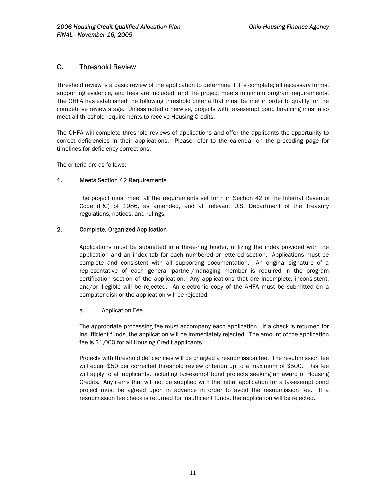### <span id="page-11-0"></span>C. Threshold Review

Threshold review is a basic review of the application to determine if it is complete; all necessary forms, supporting evidence, and fees are included; and the project meets minimum program requirements. The OHFA has established the following threshold criteria that must be met in order to qualify for the competitive review stage. Unless noted otherwise, projects with tax-exempt bond financing must also meet all threshold requirements to receive Housing Credits.

The OHFA will complete threshold reviews of applications and offer the applicants the opportunity to correct deficiencies in their applications. Please refer to the calendar on the preceding page for timelines for deficiency corrections.

The criteria are as follows:

#### 1. Meets Section 42 Requirements

The project must meet all the requirements set forth in Section 42 of the Internal Revenue Code (IRC) of 1986, as amended, and all relevant U.S. Department of the Treasury regulations, notices, and rulings.

#### 2. Complete, Organized Application

Applications must be submitted in a three-ring binder, utilizing the index provided with the application and an index tab for each numbered or lettered section. Applications must be complete and consistent with all supporting documentation. An original signature of a representative of each general partner/managing member is required in the program certification section of the application. Any applications that are incomplete, inconsistent, and/or illegible will be rejected. An electronic copy of the AHFA must be submitted on a computer disk or the application will be rejected.

#### a. Application Fee

The appropriate processing fee must accompany each application. If a check is returned for insufficient funds, the application will be immediately rejected. The amount of the application fee is \$1,000 for all Housing Credit applicants.

Projects with threshold deficiencies will be charged a resubmission fee. The resubmission fee will equal \$50 per corrected threshold review criterion up to a maximum of \$500. This fee will apply to all applicants, including tax-exempt bond projects seeking an award of Housing Credits. Any items that will not be supplied with the initial application for a tax-exempt bond project must be agreed upon in advance in order to avoid the resubmission fee. If a resubmission fee check is returned for insufficient funds, the application will be rejected.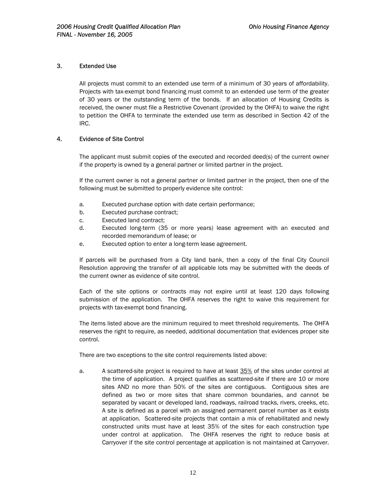#### <span id="page-12-0"></span>3. Extended Use

All projects must commit to an extended use term of a minimum of 30 years of affordability. Projects with tax-exempt bond financing must commit to an extended use term of the greater of 30 years or the outstanding term of the bonds. If an allocation of Housing Credits is received, the owner must file a Restrictive Covenant (provided by the OHFA) to waive the right to petition the OHFA to terminate the extended use term as described in Section 42 of the IRC.

#### 4. Evidence of Site Control

The applicant must submit copies of the executed and recorded deed(s) of the current owner if the property is owned by a general partner or limited partner in the project.

If the current owner is not a general partner or limited partner in the project, then one of the following must be submitted to properly evidence site control:

- a. Executed purchase option with date certain performance;
- b. Executed purchase contract;
- c. Executed land contract;
- d. Executed long-term (35 or more years) lease agreement with an executed and recorded memorandum of lease; or
- e. Executed option to enter a long-term lease agreement.

If parcels will be purchased from a City land bank, then a copy of the final City Council Resolution approving the transfer of all applicable lots may be submitted with the deeds of the current owner as evidence of site control.

Each of the site options or contracts may not expire until at least 120 days following submission of the application. The OHFA reserves the right to waive this requirement for projects with tax-exempt bond financing.

The items listed above are the minimum required to meet threshold requirements. The OHFA reserves the right to require, as needed, additional documentation that evidences proper site control.

There are two exceptions to the site control requirements listed above:

a. A scattered-site project is required to have at least 35% of the sites under control at the time of application. A project qualifies as scattered-site if there are 10 or more sites AND no more than 50% of the sites are contiguous. Contiguous sites are defined as two or more sites that share common boundaries, and cannot be separated by vacant or developed land, roadways, railroad tracks, rivers, creeks, etc. A site is defined as a parcel with an assigned permanent parcel number as it exists at application. Scattered-site projects that contain a mix of rehabilitated and newly constructed units must have at least 35% of the sites for each construction type under control at application. The OHFA reserves the right to reduce basis at Carryover if the site control percentage at application is not maintained at Carryover.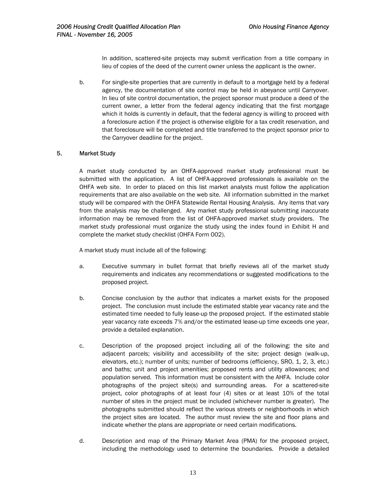In addition, scattered-site projects may submit verification from a title company in lieu of copies of the deed of the current owner unless the applicant is the owner.

<span id="page-13-0"></span>b. For single-site properties that are currently in default to a mortgage held by a federal agency, the documentation of site control may be held in abeyance until Carryover. In lieu of site control documentation, the project sponsor must produce a deed of the current owner, a letter from the federal agency indicating that the first mortgage which it holds is currently in default, that the federal agency is willing to proceed with a foreclosure action if the project is otherwise eligible for a tax credit reservation, and that foreclosure will be completed and title transferred to the project sponsor prior to the Carryover deadline for the project.

#### 5. Market Study

A market study conducted by an OHFA-approved market study professional must be submitted with the application. A list of OHFA-approved professionals is available on the OHFA web site. In order to placed on this list market analysts must follow the application requirements that are also available on the web site. All information submitted in the market study will be compared with the OHFA Statewide Rental Housing Analysis. Any items that vary from the analysis may be challenged. Any market study professional submitting inaccurate information may be removed from the list of OHFA-approved market study providers. The market study professional must organize the study using the index found in Exhibit H and complete the market study checklist (OHFA Form 002).

A market study must include all of the following:

- a. Executive summary in bullet format that briefly reviews all of the market study requirements and indicates any recommendations or suggested modifications to the proposed project.
- b. Concise conclusion by the author that indicates a market exists for the proposed project. The conclusion must include the estimated stable year vacancy rate and the estimated time needed to fully lease-up the proposed project. If the estimated stable year vacancy rate exceeds 7% and/or the estimated lease-up time exceeds one year, provide a detailed explanation.
- c. Description of the proposed project including all of the following: the site and adjacent parcels; visibility and accessibility of the site; project design (walk-up, elevators, etc.); number of units; number of bedrooms (efficiency, SRO, 1, 2, 3, etc.) and baths; unit and project amenities; proposed rents and utility allowances; and population served. This information must be consistent with the AHFA. Include color photographs of the project site(s) and surrounding areas. For a scattered-site project, color photographs of at least four (4) sites or at least 10% of the total number of sites in the project must be included (whichever number is greater). The photographs submitted should reflect the various streets or neighborhoods in which the project sites are located. The author must review the site and floor plans and indicate whether the plans are appropriate or need certain modifications.
- d. Description and map of the Primary Market Area (PMA) for the proposed project, including the methodology used to determine the boundaries. Provide a detailed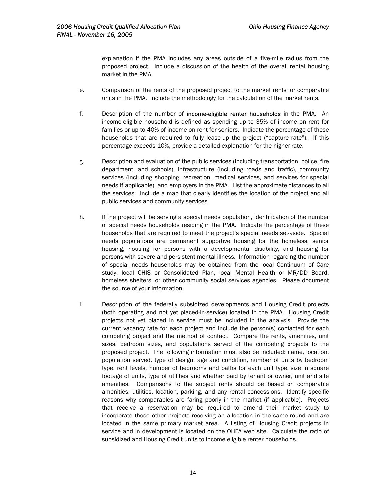explanation if the PMA includes any areas outside of a five-mile radius from the proposed project. Include a discussion of the health of the overall rental housing market in the PMA.

- e. Comparison of the rents of the proposed project to the market rents for comparable units in the PMA. Include the methodology for the calculation of the market rents.
- f. Description of the number of income-eligible renter households in the PMA. An income-eligible household is defined as spending up to 35% of income on rent for families or up to 40% of income on rent for seniors. Indicate the percentage of these households that are required to fully lease-up the project ("capture rate"). If this percentage exceeds 10%, provide a detailed explanation for the higher rate.
- g. Description and evaluation of the public services (including transportation, police, fire department, and schools), infrastructure (including roads and traffic), community services (including shopping, recreation, medical services, and services for special needs if applicable), and employers in the PMA. List the approximate distances to all the services. Include a map that clearly identifies the location of the project and all public services and community services.
- h. If the project will be serving a special needs population, identification of the number of special needs households residing in the PMA. Indicate the percentage of these households that are required to meet the project's special needs set-aside. Special needs populations are permanent supportive housing for the homeless, senior housing, housing for persons with a developmental disability, and housing for persons with severe and persistent mental illness. Information regarding the number of special needs households may be obtained from the local Continuum of Care study, local CHIS or Consolidated Plan, local Mental Health or MR/DD Board, homeless shelters, or other community social services agencies. Please document the source of your information.
- i. Description of the federally subsidized developments and Housing Credit projects (both operating and not yet placed-in-service) located in the PMA. Housing Credit projects not yet placed in service must be included in the analysis. Provide the current vacancy rate for each project and include the person(s) contacted for each competing project and the method of contact. Compare the rents, amenities, unit sizes, bedroom sizes, and populations served of the competing projects to the proposed project. The following information must also be included: name, location, population served, type of design, age and condition, number of units by bedroom type, rent levels, number of bedrooms and baths for each unit type, size in square footage of units, type of utilities and whether paid by tenant or owner, unit and site amenities. Comparisons to the subject rents should be based on comparable amenities, utilities, location, parking, and any rental concessions. Identify specific reasons why comparables are faring poorly in the market (if applicable). Projects that receive a reservation may be required to amend their market study to incorporate those other projects receiving an allocation in the same round and are located in the same primary market area. A listing of Housing Credit projects in service and in development is located on the OHFA web site. Calculate the ratio of subsidized and Housing Credit units to income eligible renter households.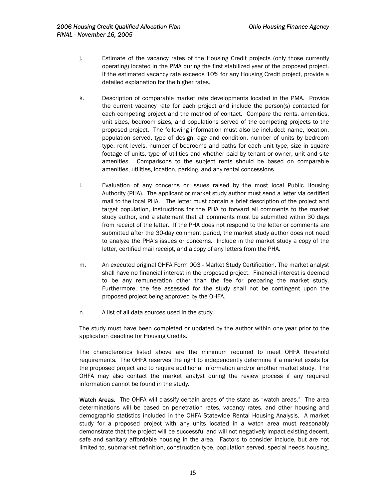- j. Estimate of the vacancy rates of the Housing Credit projects (only those currently operating) located in the PMA during the first stabilized year of the proposed project. If the estimated vacancy rate exceeds 10% for any Housing Credit project, provide a detailed explanation for the higher rates.
- k. Description of comparable market rate developments located in the PMA. Provide the current vacancy rate for each project and include the person(s) contacted for each competing project and the method of contact. Compare the rents, amenities, unit sizes, bedroom sizes, and populations served of the competing projects to the proposed project. The following information must also be included: name, location, population served, type of design, age and condition, number of units by bedroom type, rent levels, number of bedrooms and baths for each unit type, size in square footage of units, type of utilities and whether paid by tenant or owner, unit and site amenities. Comparisons to the subject rents should be based on comparable amenities, utilities, location, parking, and any rental concessions.
- l. Evaluation of any concerns or issues raised by the most local Public Housing Authority (PHA). The applicant or market study author must send a letter via certified mail to the local PHA. The letter must contain a brief description of the project and target population, instructions for the PHA to forward all comments to the market study author, and a statement that all comments must be submitted within 30 days from receipt of the letter. If the PHA does not respond to the letter or comments are submitted after the 30-day comment period, the market study author does not need to analyze the PHA's issues or concerns. Include in the market study a copy of the letter, certified mail receipt, and a copy of any letters from the PHA.
- m. An executed original OHFA Form 003 Market Study Certification. The market analyst shall have no financial interest in the proposed project. Financial interest is deemed to be any remuneration other than the fee for preparing the market study. Furthermore, the fee assessed for the study shall not be contingent upon the proposed project being approved by the OHFA.
- n. A list of all data sources used in the study.

The study must have been completed or updated by the author within one year prior to the application deadline for Housing Credits.

The characteristics listed above are the minimum required to meet OHFA threshold requirements. The OHFA reserves the right to independently determine if a market exists for the proposed project and to require additional information and/or another market study. The OHFA may also contact the market analyst during the review process if any required information cannot be found in the study.

Watch Areas. The OHFA will classify certain areas of the state as "watch areas." The area determinations will be based on penetration rates, vacancy rates, and other housing and demographic statistics included in the OHFA Statewide Rental Housing Analysis. A market study for a proposed project with any units located in a watch area must reasonably demonstrate that the project will be successful and will not negatively impact existing decent, safe and sanitary affordable housing in the area. Factors to consider include, but are not limited to, submarket definition, construction type, population served, special needs housing,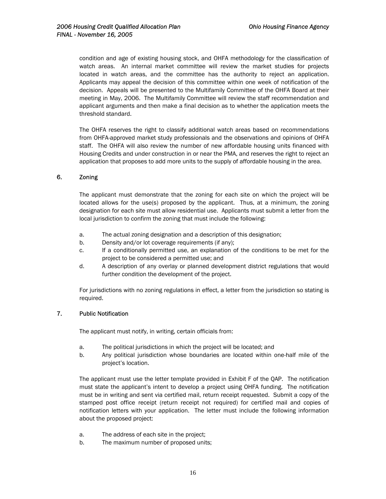<span id="page-16-0"></span>condition and age of existing housing stock, and OHFA methodology for the classification of watch areas. An internal market committee will review the market studies for projects located in watch areas, and the committee has the authority to reject an application. Applicants may appeal the decision of this committee within one week of notification of the decision. Appeals will be presented to the Multifamily Committee of the OHFA Board at their meeting in May, 2006. The Multifamily Committee will review the staff recommendation and applicant arguments and then make a final decision as to whether the application meets the threshold standard.

The OHFA reserves the right to classify additional watch areas based on recommendations from OHFA-approved market study professionals and the observations and opinions of OHFA staff. The OHFA will also review the number of new affordable housing units financed with Housing Credits and under construction in or near the PMA, and reserves the right to reject an application that proposes to add more units to the supply of affordable housing in the area.

#### 6. Zoning

The applicant must demonstrate that the zoning for each site on which the project will be located allows for the use(s) proposed by the applicant. Thus, at a minimum, the zoning designation for each site must allow residential use. Applicants must submit a letter from the local jurisdiction to confirm the zoning that must include the following:

- a. The actual zoning designation and a description of this designation;
- b. Density and/or lot coverage requirements (if any);
- c. If a conditionally permitted use, an explanation of the conditions to be met for the project to be considered a permitted use; and
- d. A description of any overlay or planned development district regulations that would further condition the development of the project.

For jurisdictions with no zoning regulations in effect, a letter from the jurisdiction so stating is required.

#### 7. Public Notification

The applicant must notify, in writing, certain officials from:

- a. The political jurisdictions in which the project will be located; and
- b. Any political jurisdiction whose boundaries are located within one-half mile of the project's location.

The applicant must use the letter template provided in Exhibit F of the QAP.The notification must state the applicant's intent to develop a project using OHFA funding. The notification must be in writing and sent via certified mail, return receipt requested. Submit a copy of the stamped post office receipt (return receipt not required) for certified mail and copies of notification letters with your application. The letter must include the following information about the proposed project:

- a. The address of each site in the project;
- b. The maximum number of proposed units;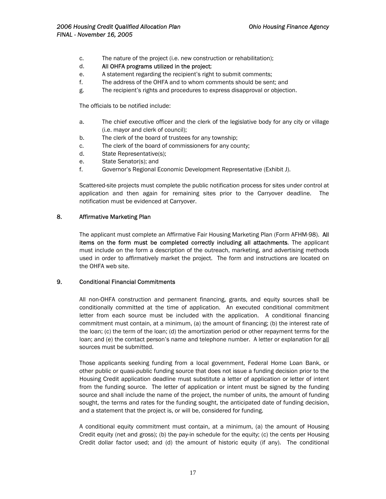- <span id="page-17-0"></span>c. The nature of the project (i.e. new construction or rehabilitation);
- d. All OHFA programs utilized in the project;
- e. A statement regarding the recipient's right to submit comments;
- f. The address of the OHFA and to whom comments should be sent; and
- g. The recipient's rights and procedures to express disapproval or objection.

The officials to be notified include:

- a. The chief executive officer and the clerk of the legislative body for any city or village (i.e. mayor and clerk of council);
- b. The clerk of the board of trustees for any township;
- c. The clerk of the board of commissioners for any county;
- d. State Representative(s);
- e. State Senator(s); and
- f. Governor's Regional Economic Development Representative (Exhibit J).

Scattered-site projects must complete the public notification process for sites under control at application and then again for remaining sites prior to the Carryover deadline. The notification must be evidenced at Carryover.

#### 8. Affirmative Marketing Plan

The applicant must complete an Affirmative Fair Housing Marketing Plan (Form AFHM-98). All items on the form must be completed correctly including all attachments. The applicant must include on the form a description of the outreach, marketing, and advertising methods used in order to affirmatively market the project. The form and instructions are located on the OHFA web site.

#### 9. Conditional Financial Commitments

All non-OHFA construction and permanent financing, grants, and equity sources shall be conditionally committed at the time of application. An executed conditional commitment letter from each source must be included with the application. A conditional financing commitment must contain, at a minimum, (a) the amount of financing; (b) the interest rate of the loan; (c) the term of the loan; (d) the amortization period or other repayment terms for the loan; and (e) the contact person's name and telephone number. A letter or explanation for all sources must be submitted.

Those applicants seeking funding from a local government, Federal Home Loan Bank, or other public or quasi-public funding source that does not issue a funding decision prior to the Housing Credit application deadline must substitute a letter of application or letter of intent from the funding source. The letter of application or intent must be signed by the funding source and shall include the name of the project, the number of units, the amount of funding sought, the terms and rates for the funding sought, the anticipated date of funding decision, and a statement that the project is, or will be, considered for funding.

A conditional equity commitment must contain, at a minimum, (a) the amount of Housing Credit equity (net and gross); (b) the pay-in schedule for the equity; (c) the cents per Housing Credit dollar factor used; and (d) the amount of historic equity (if any). The conditional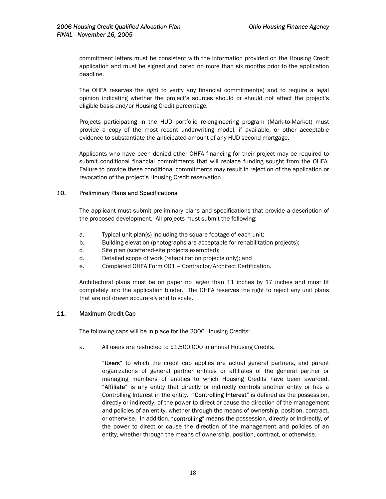<span id="page-18-0"></span>commitment letters must be consistent with the information provided on the Housing Credit application and must be signed and dated no more than six months prior to the application deadline.

The OHFA reserves the right to verify any financial commitment(s) and to require a legal opinion indicating whether the project's sources should or should not affect the project's eligible basis and/or Housing Credit percentage.

Projects participating in the HUD portfolio re-engineering program (Mark-to-Market) must provide a copy of the most recent underwriting model, if available, or other acceptable evidence to substantiate the anticipated amount of any HUD second mortgage.

Applicants who have been denied other OHFA financing for their project may be required to submit conditional financial commitments that will replace funding sought from the OHFA. Failure to provide these conditional commitments may result in rejection of the application or revocation of the project's Housing Credit reservation.

#### 10. Preliminary Plans and Specifications

The applicant must submit preliminary plans and specifications that provide a description of the proposed development. All projects must submit the following:

- a. Typical unit plan(s) including the square footage of each unit;
- b. Building elevation (photographs are acceptable for rehabilitation projects);
- c. Site plan (scattered-site projects exempted);
- d. Detailed scope of work (rehabilitation projects only); and
- e. Completed OHFA Form 001 Contractor/Architect Certification.

Architectural plans must be on paper no larger than 11 inches by 17 inches and must fit completely into the application binder. The OHFA reserves the right to reject any unit plans that are not drawn accurately and to scale.

#### 11. Maximum Credit Cap

The following caps will be in place for the 2006 Housing Credits:

a. All users are restricted to \$1,500,000 in annual Housing Credits.

"Users" to which the credit cap applies are actual general partners, and parent organizations of general partner entities or affiliates of the general partner or managing members of entities to which Housing Credits have been awarded. "Affiliate" is any entity that directly or indirectly controls another entity or has a Controlling Interest in the entity. "Controlling Interest" is defined as the possession, directly or indirectly, of the power to direct or cause the direction of the management and policies of an entity, whether through the means of ownership, position, contract, or otherwise. In addition, "controlling" means the possession, directly or indirectly, of the power to direct or cause the direction of the management and policies of an entity, whether through the means of ownership, position, contract, or otherwise.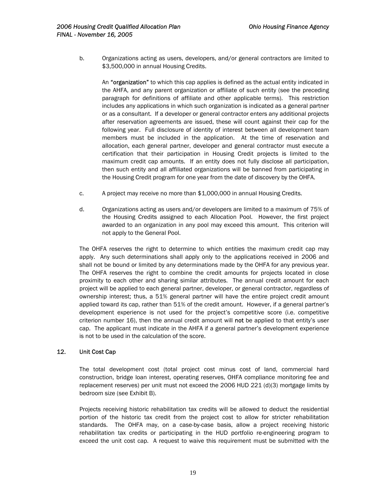<span id="page-19-0"></span>b. Organizations acting as users, developers, and/or general contractors are limited to \$3,500,000 in annual Housing Credits.

An "organization" to which this cap applies is defined as the actual entity indicated in the AHFA, and any parent organization or affiliate of such entity (see the preceding paragraph for definitions of affiliate and other applicable terms). This restriction includes any applications in which such organization is indicated as a general partner or as a consultant. If a developer or general contractor enters any additional projects after reservation agreements are issued, these will count against their cap for the following year. Full disclosure of identity of interest between all development team members must be included in the application. At the time of reservation and allocation, each general partner, developer and general contractor must execute a certification that their participation in Housing Credit projects is limited to the maximum credit cap amounts. If an entity does not fully disclose all participation, then such entity and all affiliated organizations will be banned from participating in the Housing Credit program for one year from the date of discovery by the OHFA.

- c. A project may receive no more than \$1,000,000 in annual Housing Credits.
- d. Organizations acting as users and/or developers are limited to a maximum of 75% of the Housing Credits assigned to each Allocation Pool. However, the first project awarded to an organization in any pool may exceed this amount. This criterion will not apply to the General Pool.

The OHFA reserves the right to determine to which entities the maximum credit cap may apply. Any such determinations shall apply only to the applications received in 2006 and shall not be bound or limited by any determinations made by the OHFA for any previous year. The OHFA reserves the right to combine the credit amounts for projects located in close proximity to each other and sharing similar attributes. The annual credit amount for each project will be applied to each general partner, developer, or general contractor, regardless of ownership interest; thus, a 51% general partner will have the entire project credit amount applied toward its cap, rather than 51% of the credit amount. However, if a general partner's development experience is not used for the project's competitive score (i.e. competitive criterion number 16), then the annual credit amount will not be applied to that entity's user cap. The applicant must indicate in the AHFA if a general partner's development experience is not to be used in the calculation of the score.

#### 12. Unit Cost Cap

The total development cost (total project cost minus cost of land, commercial hard construction, bridge loan interest, operating reserves, OHFA compliance monitoring fee and replacement reserves) per unit must not exceed the 2006 HUD 221 (d)(3) mortgage limits by bedroom size (see Exhibit B).

Projects receiving historic rehabilitation tax credits will be allowed to deduct the residential portion of the historic tax credit from the project cost to allow for stricter rehabilitation standards. The OHFA may, on a case-by-case basis, allow a project receiving historic rehabilitation tax credits or participating in the HUD portfolio re-engineering program to exceed the unit cost cap. A request to waive this requirement must be submitted with the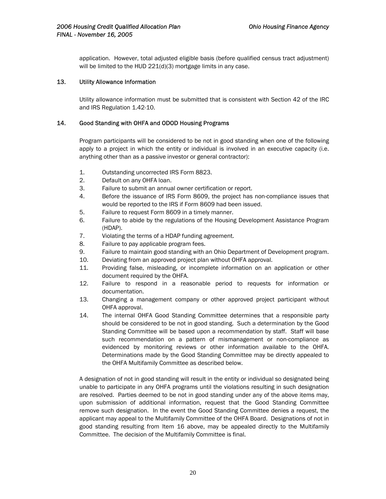<span id="page-20-0"></span>application. However, total adjusted eligible basis (before qualified census tract adjustment) will be limited to the HUD 221(d)(3) mortgage limits in any case.

#### 13. Utility Allowance Information

Utility allowance information must be submitted that is consistent with Section 42 of the IRC and IRS Regulation 1.42-10.

#### 14. Good Standing with OHFA and ODOD Housing Programs

Program participants will be considered to be not in good standing when one of the following apply to a project in which the entity or individual is involved in an executive capacity (i.e. anything other than as a passive investor or general contractor):

- 1. Outstanding uncorrected IRS Form 8823.
- 2. Default on any OHFA loan.
- 3. Failure to submit an annual owner certification or report.
- 4. Before the issuance of IRS Form 8609, the project has non-compliance issues that would be reported to the IRS if Form 8609 had been issued.
- 5. Failure to request Form 8609 in a timely manner.
- 6. Failure to abide by the regulations of the Housing Development Assistance Program (HDAP).
- 7. Violating the terms of a HDAP funding agreement.
- 8. Failure to pay applicable program fees.
- 9. Failure to maintain good standing with an Ohio Department of Development program.
- 10. Deviating from an approved project plan without OHFA approval.
- 11. Providing false, misleading, or incomplete information on an application or other document required by the OHFA.
- 12. Failure to respond in a reasonable period to requests for information or documentation.
- 13. Changing a management company or other approved project participant without OHFA approval.
- 14. The internal OHFA Good Standing Committee determines that a responsible party should be considered to be not in good standing. Such a determination by the Good Standing Committee will be based upon a recommendation by staff. Staff will base such recommendation on a pattern of mismanagement or non-compliance as evidenced by monitoring reviews or other information available to the OHFA. Determinations made by the Good Standing Committee may be directly appealed to the OHFA Multifamily Committee as described below.

A designation of not in good standing will result in the entity or individual so designated being unable to participate in any OHFA programs until the violations resulting in such designation are resolved. Parties deemed to be not in good standing under any of the above items may, upon submission of additional information, request that the Good Standing Committee remove such designation. In the event the Good Standing Committee denies a request, the applicant may appeal to the Multifamily Committee of the OHFA Board. Designations of not in good standing resulting from Item 16 above, may be appealed directly to the Multifamily Committee. The decision of the Multifamily Committee is final.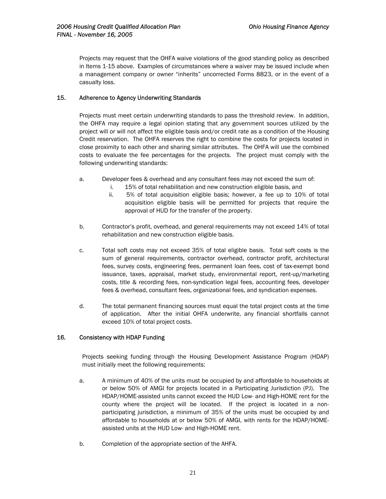<span id="page-21-0"></span>Projects may request that the OHFA waive violations of the good standing policy as described in Items 1-15 above. Examples of circumstances where a waiver may be issued include when a management company or owner "inherits" uncorrected Forms 8823, or in the event of a casualty loss.

#### 15. Adherence to Agency Underwriting Standards

Projects must meet certain underwriting standards to pass the threshold review. In addition, the OHFA may require a legal opinion stating that any government sources utilized by the project will or will not affect the eligible basis and/or credit rate as a condition of the Housing Credit reservation. The OHFA reserves the right to combine the costs for projects located in close proximity to each other and sharing similar attributes. The OHFA will use the combined costs to evaluate the fee percentages for the projects. The project must comply with the following underwriting standards:

- a. Developer fees & overhead and any consultant fees may not exceed the sum of:
	- i. 15% of total rehabilitation and new construction eligible basis, and
	- ii. 5% of total acquisition eligible basis; however, a fee up to 10% of total acquisition eligible basis will be permitted for projects that require the approval of HUD for the transfer of the property.
- b. Contractor's profit, overhead, and general requirements may not exceed 14% of total rehabilitation and new construction eligible basis.
- c. Total soft costs may not exceed 35% of total eligible basis. Total soft costs is the sum of general requirements, contractor overhead, contractor profit, architectural fees, survey costs, engineering fees, permanent loan fees, cost of tax-exempt bond issuance, taxes, appraisal, market study, environmental report, rent-up/marketing costs, title & recording fees, non-syndication legal fees, accounting fees, developer fees & overhead, consultant fees, organizational fees, and syndication expenses.
- d. The total permanent financing sources must equal the total project costs at the time of application. After the initial OHFA underwrite, any financial shortfalls cannot exceed 10% of total project costs.

#### 16*.* Consistency with HDAP Funding

Projects seeking funding through the Housing Development Assistance Program (HDAP) must initially meet the following requirements:

- a. A minimum of 40% of the units must be occupied by and affordable to households at or below 50% of AMGI for projects located in a Participating Jurisdiction (PJ). The HDAP/HOME-assisted units cannot exceed the HUD Low- and High-HOME rent for the county where the project will be located. If the project is located in a nonparticipating jurisdiction, a minimum of 35% of the units must be occupied by and affordable to households at or below 50% of AMGI, with rents for the HDAP/HOMEassisted units at the HUD Low- and High-HOME rent.
- b. Completion of the appropriate section of the AHFA.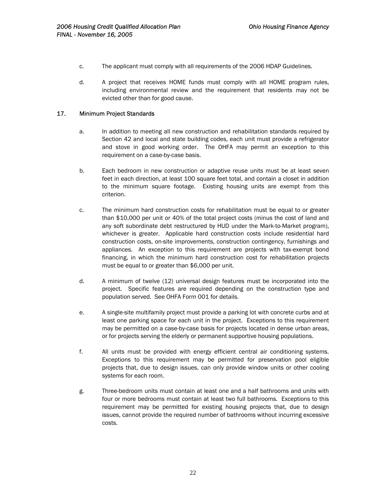- <span id="page-22-0"></span>c. The applicant must comply with all requirements of the 2006 HDAP Guidelines.
- d. A project that receives HOME funds must comply with all HOME program rules, including environmental review and the requirement that residents may not be evicted other than for good cause.

#### 17. Minimum Project Standards

- a. In addition to meeting all new construction and rehabilitation standards required by Section 42 and local and state building codes, each unit must provide a refrigerator and stove in good working order. The OHFA may permit an exception to this requirement on a case-by-case basis.
- b. Each bedroom in new construction or adaptive reuse units must be at least seven feet in each direction, at least 100 square feet total, and contain a closet in addition to the minimum square footage. Existing housing units are exempt from this criterion.
- c. The minimum hard construction costs for rehabilitation must be equal to or greater than \$10,000 per unit or 40% of the total project costs (minus the cost of land and any soft subordinate debt restructured by HUD under the Mark-to-Market program), whichever is greater. Applicable hard construction costs include residential hard construction costs, on-site improvements, construction contingency, furnishings and appliances. An exception to this requirement are projects with tax-exempt bond financing, in which the minimum hard construction cost for rehabilitation projects must be equal to or greater than \$6,000 per unit.
- d. A minimum of twelve (12) universal design features must be incorporated into the project. Specific features are required depending on the construction type and population served. See OHFA Form 001 for details.
- e. A single-site multifamily project must provide a parking lot with concrete curbs and at least one parking space for each unit in the project. Exceptions to this requirement may be permitted on a case-by-case basis for projects located in dense urban areas, or for projects serving the elderly or permanent supportive housing populations.
- f. All units must be provided with energy efficient central air conditioning systems. Exceptions to this requirement may be permitted for preservation pool eligible projects that, due to design issues, can only provide window units or other cooling systems for each room.
- g. Three-bedroom units must contain at least one and a half bathrooms and units with four or more bedrooms must contain at least two full bathrooms. Exceptions to this requirement may be permitted for existing housing projects that, due to design issues, cannot provide the required number of bathrooms without incurring excessive costs.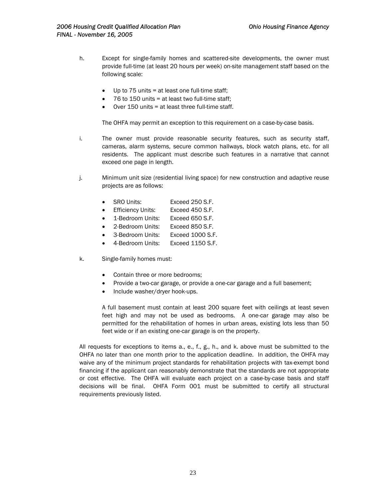- h. Except for single-family homes and scattered-site developments, the owner must provide full-time (at least 20 hours per week) on-site management staff based on the following scale:
	- Up to  $75$  units = at least one full-time staff;
	- 76 to 150 units = at least two full-time staff;
	- Over 150 units = at least three full-time staff.

The OHFA may permit an exception to this requirement on a case-by-case basis.

- i. The owner must provide reasonable security features, such as security staff, cameras, alarm systems, secure common hallways, block watch plans, etc. for all residents. The applicant must describe such features in a narrative that cannot exceed one page in length.
- j. Minimum unit size (residential living space) for new construction and adaptive reuse projects are as follows:
	- SRO Units: Exceed 250 S.F.
	- Efficiency Units: Exceed 450 S.F.
	- 1-Bedroom Units: Exceed 650 S.F.
	- 2-Bedroom Units: Exceed 850 S.F.
	- 3-Bedroom Units: Exceed 1000 S.F.
	- 4-Bedroom Units: Exceed 1150 S.F.
- k. Single-family homes must:
	- Contain three or more bedrooms;
	- Provide a two-car garage, or provide a one-car garage and a full basement;
	- Include washer/dryer hook-ups.

A full basement must contain at least 200 square feet with ceilings at least seven feet high and may not be used as bedrooms. A one-car garage may also be permitted for the rehabilitation of homes in urban areas, existing lots less than 50 feet wide or if an existing one-car garage is on the property.

All requests for exceptions to items a., e., f., g., h., and k. above must be submitted to the OHFA no later than one month prior to the application deadline. In addition, the OHFA may waive any of the minimum project standards for rehabilitation projects with tax-exempt bond financing if the applicant can reasonably demonstrate that the standards are not appropriate or cost effective. The OHFA will evaluate each project on a case-by-case basis and staff decisions will be final. OHFA Form 001 must be submitted to certify all structural requirements previously listed.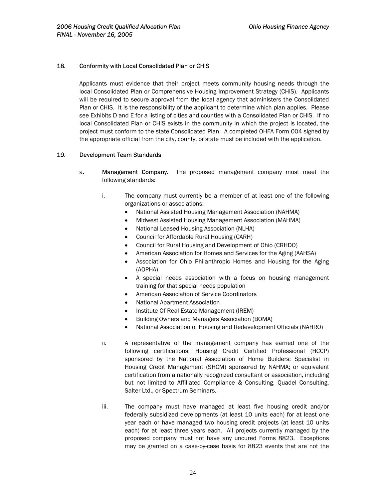#### <span id="page-24-0"></span>18*.* Conformity with Local Consolidated Plan or CHIS

Applicants must evidence that their project meets community housing needs through the local Consolidated Plan or Comprehensive Housing Improvement Strategy (CHIS). Applicants will be required to secure approval from the local agency that administers the Consolidated Plan or CHIS. It is the responsibility of the applicant to determine which plan applies. Please see Exhibits D and E for a listing of cities and counties with a Consolidated Plan or CHIS. If no local Consolidated Plan or CHIS exists in the community in which the project is located, the project must conform to the state Consolidated Plan. A completed OHFA Form 004 signed by the appropriate official from the city, county, or state must be included with the application.

#### 19*.* Development Team Standards

- a. Management Company. The proposed management company must meet the following standards:
	- i. The company must currently be a member of at least one of the following organizations or associations:
		- National Assisted Housing Management Association (NAHMA)
		- Midwest Assisted Housing Management Association (MAHMA)
		- National Leased Housing Association (NLHA)
		- Council for Affordable Rural Housing (CARH)
		- Council for Rural Housing and Development of Ohio (CRHDO)
		- American Association for Homes and Services for the Aging (AAHSA)
		- Association for Ohio Philanthropic Homes and Housing for the Aging (AOPHA)
		- A special needs association with a focus on housing management training for that special needs population
		- American Association of Service Coordinators
		- National Apartment Association
		- Institute Of Real Estate Management (IREM)
		- Building Owners and Managers Association (BOMA)
		- National Association of Housing and Redevelopment Officials (NAHRO)
	- ii. A representative of the management company has earned one of the following certifications: Housing Credit Certified Professional (HCCP) sponsored by the National Association of Home Builders; Specialist in Housing Credit Management (SHCM) sponsored by NAHMA; or equivalent certification from a nationally recognized consultant or association, including but not limited to Affiliated Compliance & Consulting, Quadel Consulting, Salter Ltd., or Spectrum Seminars.
	- iii. The company must have managed at least five housing credit and/or federally subsidized developments (at least 10 units each) for at least one year each or have managed two housing credit projects (at least 10 units each) for at least three years each. All projects currently managed by the proposed company must not have any uncured Forms 8823. Exceptions may be granted on a case-by-case basis for 8823 events that are not the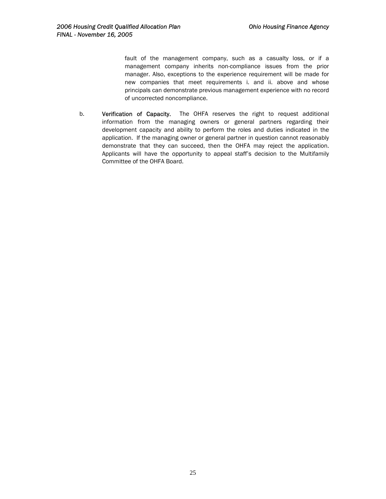fault of the management company, such as a casualty loss, or if a management company inherits non-compliance issues from the prior manager. Also, exceptions to the experience requirement will be made for new companies that meet requirements i. and ii. above and whose principals can demonstrate previous management experience with no record of uncorrected noncompliance.

b. Verification of Capacity. The OHFA reserves the right to request additional information from the managing owners or general partners regarding their development capacity and ability to perform the roles and duties indicated in the application. If the managing owner or general partner in question cannot reasonably demonstrate that they can succeed, then the OHFA may reject the application. Applicants will have the opportunity to appeal staff's decision to the Multifamily Committee of the OHFA Board.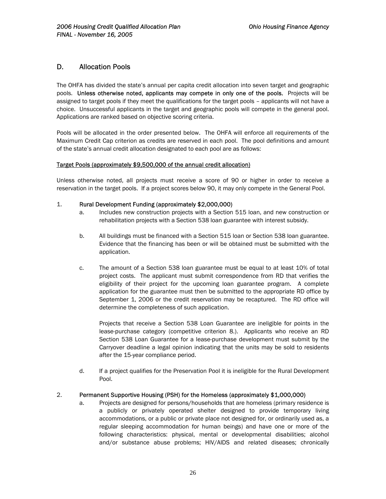## <span id="page-26-0"></span>D. Allocation Pools

The OHFA has divided the state's annual per capita credit allocation into seven target and geographic pools. Unless otherwise noted, applicants may compete in only one of the pools. Projects will be assigned to target pools if they meet the qualifications for the target pools – applicants will not have a choice. Unsuccessful applicants in the target and geographic pools will compete in the general pool. Applications are ranked based on objective scoring criteria.

Pools will be allocated in the order presented below. The OHFA will enforce all requirements of the Maximum Credit Cap criterion as credits are reserved in each pool. The pool definitions and amount of the state's annual credit allocation designated to each pool are as follows:

#### Target Pools (approximately \$9,500,000 of the annual credit allocation)

Unless otherwise noted, all projects must receive a score of 90 or higher in order to receive a reservation in the target pools. If a project scores below 90, it may only compete in the General Pool.

#### 1. Rural Development Funding (approximately \$2,000,000)

- a. Includes new construction projects with a Section 515 loan, and new construction or rehabilitation projects with a Section 538 loan guarantee with interest subsidy.
- b. All buildings must be financed with a Section 515 loan or Section 538 loan guarantee. Evidence that the financing has been or will be obtained must be submitted with the application.
- c. The amount of a Section 538 loan guarantee must be equal to at least 10% of total project costs. The applicant must submit correspondence from RD that verifies the eligibility of their project for the upcoming loan guarantee program. A complete application for the guarantee must then be submitted to the appropriate RD office by September 1, 2006 or the credit reservation may be recaptured. The RD office will determine the completeness of such application.

Projects that receive a Section 538 Loan Guarantee are ineligible for points in the lease-purchase category (competitive criterion 8.). Applicants who receive an RD Section 538 Loan Guarantee for a lease-purchase development must submit by the Carryover deadline a legal opinion indicating that the units may be sold to residents after the 15-year compliance period.

d. If a project qualifies for the Preservation Pool it is ineligible for the Rural Development Pool.

#### 2. Permanent Supportive Housing (PSH) for the Homeless (approximately \$1,000,000)

a. Projects are designed for persons/households that are homeless (primary residence is a publicly or privately operated shelter designed to provide temporary living accommodations, or a public or private place not designed for, or ordinarily used as, a regular sleeping accommodation for human beings) and have one or more of the following characteristics: physical, mental or developmental disabilities; alcohol and/or substance abuse problems; HIV/AIDS and related diseases; chronically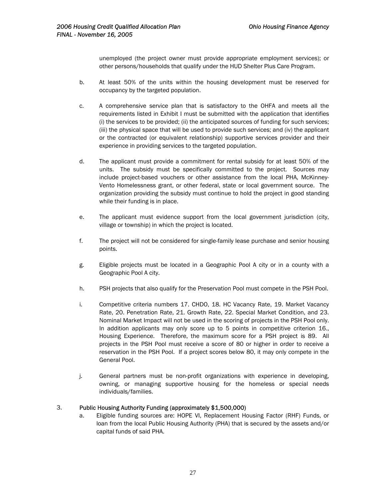unemployed (the project owner must provide appropriate employment services); or other persons/households that qualify under the HUD Shelter Plus Care Program.

- b. At least 50% of the units within the housing development must be reserved for occupancy by the targeted population.
- c. A comprehensive service plan that is satisfactory to the OHFA and meets all the requirements listed in Exhibit I must be submitted with the application that identifies (i) the services to be provided; (ii) the anticipated sources of funding for such services; (iii) the physical space that will be used to provide such services; and (iv) the applicant or the contracted (or equivalent relationship) supportive services provider and their experience in providing services to the targeted population.
- d. The applicant must provide a commitment for rental subsidy for at least 50% of the units. The subsidy must be specifically committed to the project. Sources may include project-based vouchers or other assistance from the local PHA, McKinney-Vento Homelessness grant, or other federal, state or local government source. The organization providing the subsidy must continue to hold the project in good standing while their funding is in place.
- e. The applicant must evidence support from the local government jurisdiction (city, village or township) in which the project is located.
- f. The project will not be considered for single-family lease purchase and senior housing points.
- g. Eligible projects must be located in a Geographic Pool A city or in a county with a Geographic Pool A city.
- h. PSH projects that also qualify for the Preservation Pool must compete in the PSH Pool.
- i. Competitive criteria numbers 17. CHDO, 18. HC Vacancy Rate, 19. Market Vacancy Rate, 20. Penetration Rate, 21. Growth Rate, 22. Special Market Condition, and 23. Nominal Market Impact will not be used in the scoring of projects in the PSH Pool only. In addition applicants may only score up to 5 points in competitive criterion 16., Housing Experience. Therefore, the maximum score for a PSH project is 89. All projects in the PSH Pool must receive a score of 80 or higher in order to receive a reservation in the PSH Pool. If a project scores below 80, it may only compete in the General Pool.
- j. General partners must be non-profit organizations with experience in developing, owning, or managing supportive housing for the homeless or special needs individuals/families.

#### 3. Public Housing Authority Funding (approximately \$1,500,000)

a. Eligible funding sources are: HOPE VI, Replacement Housing Factor (RHF) Funds, or loan from the local Public Housing Authority (PHA) that is secured by the assets and/or capital funds of said PHA.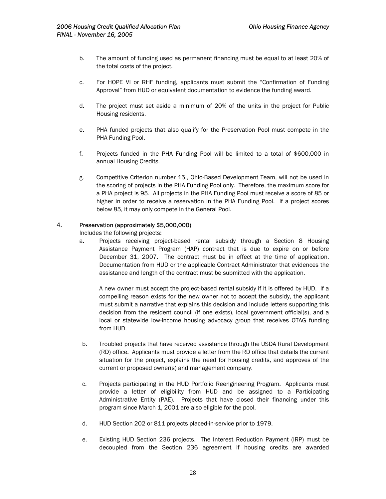- b. The amount of funding used as permanent financing must be equal to at least 20% of the total costs of the project.
- c. For HOPE VI or RHF funding, applicants must submit the "Confirmation of Funding Approval" from HUD or equivalent documentation to evidence the funding award.
- d. The project must set aside a minimum of 20% of the units in the project for Public Housing residents.
- e. PHA funded projects that also qualify for the Preservation Pool must compete in the PHA Funding Pool.
- f. Projects funded in the PHA Funding Pool will be limited to a total of \$600,000 in annual Housing Credits.
- g. Competitive Criterion number 15., Ohio-Based Development Team, will not be used in the scoring of projects in the PHA Funding Pool only. Therefore, the maximum score for a PHA project is 95. All projects in the PHA Funding Pool must receive a score of 85 or higher in order to receive a reservation in the PHA Funding Pool. If a project scores below 85, it may only compete in the General Pool.

#### 4. Preservation (approximately \$5,000,000)

Includes the following projects:

a. Projects receiving project-based rental subsidy through a Section 8 Housing Assistance Payment Program (HAP) contract that is due to expire on or before December 31, 2007. The contract must be in effect at the time of application. Documentation from HUD or the applicable Contract Administrator that evidences the assistance and length of the contract must be submitted with the application.

A new owner must accept the project-based rental subsidy if it is offered by HUD. If a compelling reason exists for the new owner not to accept the subsidy, the applicant must submit a narrative that explains this decision and include letters supporting this decision from the resident council (if one exists), local government official(s), and a local or statewide low-income housing advocacy group that receives OTAG funding from HUD.

- b. Troubled projects that have received assistance through the USDA Rural Development (RD) office. Applicants must provide a letter from the RD office that details the current situation for the project, explains the need for housing credits, and approves of the current or proposed owner(s) and management company.
- c. Projects participating in the HUD Portfolio Reengineering Program. Applicants must provide a letter of eligibility from HUD and be assigned to a Participating Administrative Entity (PAE). Projects that have closed their financing under this program since March 1, 2001 are also eligible for the pool.
- d. HUD Section 202 or 811 projects placed-in-service prior to 1979.
- e. Existing HUD Section 236 projects. The Interest Reduction Payment (IRP) must be decoupled from the Section 236 agreement if housing credits are awarded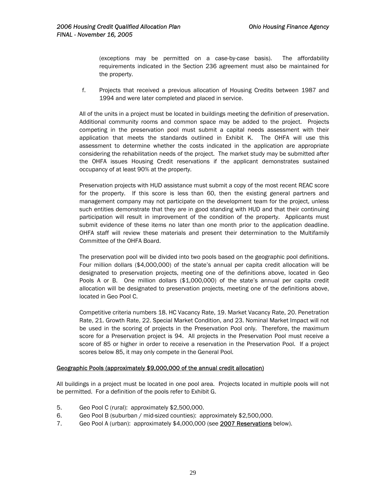(exceptions may be permitted on a case-by-case basis). The affordability requirements indicated in the Section 236 agreement must also be maintained for the property.

f. Projects that received a previous allocation of Housing Credits between 1987 and 1994 and were later completed and placed in service.

All of the units in a project must be located in buildings meeting the definition of preservation. Additional community rooms and common space may be added to the project. Projects competing in the preservation pool must submit a capital needs assessment with their application that meets the standards outlined in Exhibit K. The OHFA will use this assessment to determine whether the costs indicated in the application are appropriate considering the rehabilitation needs of the project. The market study may be submitted after the OHFA issues Housing Credit reservations if the applicant demonstrates sustained occupancy of at least 90% at the property.

Preservation projects with HUD assistance must submit a copy of the most recent REAC score for the property. If this score is less than 60, then the existing general partners and management company may not participate on the development team for the project, unless such entities demonstrate that they are in good standing with HUD and that their continuing participation will result in improvement of the condition of the property. Applicants must submit evidence of these items no later than one month prior to the application deadline. OHFA staff will review these materials and present their determination to the Multifamily Committee of the OHFA Board.

The preservation pool will be divided into two pools based on the geographic pool definitions. Four million dollars (\$4,000,000) of the state's annual per capita credit allocation will be designated to preservation projects, meeting one of the definitions above, located in Geo Pools A or B. One million dollars (\$1,000,000) of the state's annual per capita credit allocation will be designated to preservation projects, meeting one of the definitions above, located in Geo Pool C.

Competitive criteria numbers 18. HC Vacancy Rate, 19. Market Vacancy Rate, 20. Penetration Rate, 21. Growth Rate, 22. Special Market Condition, and 23. Nominal Market Impact will not be used in the scoring of projects in the Preservation Pool only. Therefore, the maximum score for a Preservation project is 94. All projects in the Preservation Pool must receive a score of 85 or higher in order to receive a reservation in the Preservation Pool. If a project scores below 85, it may only compete in the General Pool.

#### Geographic Pools (approximately \$9,000,000 of the annual credit allocation)

All buildings in a project must be located in one pool area. Projects located in multiple pools will not be permitted. For a definition of the pools refer to Exhibit G.

- 5. Geo Pool C (rural): approximately \$2,500,000.
- 6. Geo Pool B (suburban / mid-sized counties): approximately \$2,500,000.
- 7. Geo Pool A (urban): approximately \$4,000,000 (see 2007 Reservations below).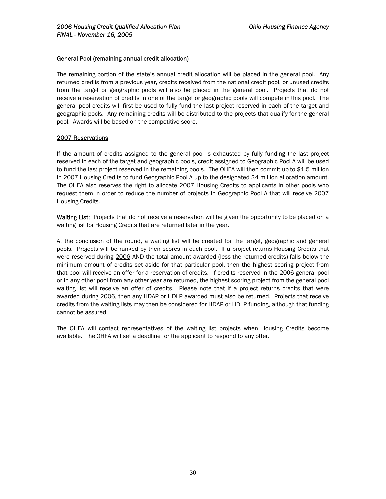#### General Pool (remaining annual credit allocation)

The remaining portion of the state's annual credit allocation will be placed in the general pool. Any returned credits from a previous year, credits received from the national credit pool, or unused credits from the target or geographic pools will also be placed in the general pool. Projects that do not receive a reservation of credits in one of the target or geographic pools will compete in this pool. The general pool credits will first be used to fully fund the last project reserved in each of the target and geographic pools. Any remaining credits will be distributed to the projects that qualify for the general pool. Awards will be based on the competitive score.

#### 2007 Reservations

If the amount of credits assigned to the general pool is exhausted by fully funding the last project reserved in each of the target and geographic pools, credit assigned to Geographic Pool A will be used to fund the last project reserved in the remaining pools. The OHFA will then commit up to \$1.5 million in 2007 Housing Credits to fund Geographic Pool A up to the designated \$4 million allocation amount. The OHFA also reserves the right to allocate 2007 Housing Credits to applicants in other pools who request them in order to reduce the number of projects in Geographic Pool A that will receive 2007 Housing Credits.

Waiting List: Projects that do not receive a reservation will be given the opportunity to be placed on a waiting list for Housing Credits that are returned later in the year.

At the conclusion of the round, a waiting list will be created for the target, geographic and general pools. Projects will be ranked by their scores in each pool. If a project returns Housing Credits that were reserved during 2006 AND the total amount awarded (less the returned credits) falls below the minimum amount of credits set aside for that particular pool, then the highest scoring project from that pool will receive an offer for a reservation of credits. If credits reserved in the 2006 general pool or in any other pool from any other year are returned, the highest scoring project from the general pool waiting list will receive an offer of credits. Please note that if a project returns credits that were awarded during 2006, then any HDAP or HDLP awarded must also be returned. Projects that receive credits from the waiting lists may then be considered for HDAP or HDLP funding, although that funding cannot be assured.

The OHFA will contact representatives of the waiting list projects when Housing Credits become available. The OHFA will set a deadline for the applicant to respond to any offer.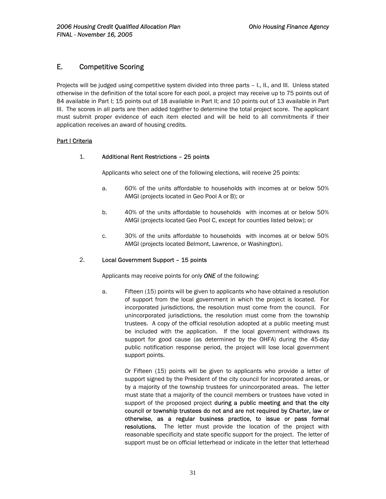## <span id="page-31-0"></span>E. Competitive Scoring

Projects will be judged using competitive system divided into three parts – I., II., and III. Unless stated otherwise in the definition of the total score for each pool, a project may receive up to 75 points out of 84 available in Part I; 15 points out of 18 available in Part II; and 10 points out of 13 available in Part III. The scores in all parts are then added together to determine the total project score. The applicant must submit proper evidence of each item elected and will be held to all commitments if their application receives an award of housing credits.

#### **Part I Criteria**

#### 1. Additional Rent Restrictions – 25 points

Applicants who select one of the following elections, will receive 25 points:

- a. 60% of the units affordable to households with incomes at or below 50% AMGI (projects located in Geo Pool A or B); or
- b. 40% of the units affordable to households with incomes at or below 50% AMGI (projects located Geo Pool C, except for counties listed below); or
- c. 30% of the units affordable to households with incomes at or below 50% AMGI (projects located Belmont, Lawrence, or Washington).

#### 2. Local Government Support – 15 points

Applicants may receive points for only *ONE* of the following:

a. Fifteen (15) points will be given to applicants who have obtained a resolution of support from the local government in which the project is located. For incorporated jurisdictions, the resolution must come from the council. For unincorporated jurisdictions, the resolution must come from the township trustees. A copy of the official resolution adopted at a public meeting must be included with the application. If the local government withdraws its support for good cause (as determined by the OHFA) during the 45-day public notification response period, the project will lose local government support points.

> Or Fifteen (15)points will be given to applicants who provide a letter of support signed by the President of the city council for incorporated areas, or by a majority of the township trustees for unincorporated areas. The letter must state that a majority of the council members or trustees have voted in support of the proposed project during a public meeting and that the city council or township trustees do not and are not required by Charter, law or otherwise, as a regular business practice, to issue or pass formal resolutions. The letter must provide the location of the project with reasonable specificity and state specific support for the project. The letter of support must be on official letterhead or indicate in the letter that letterhead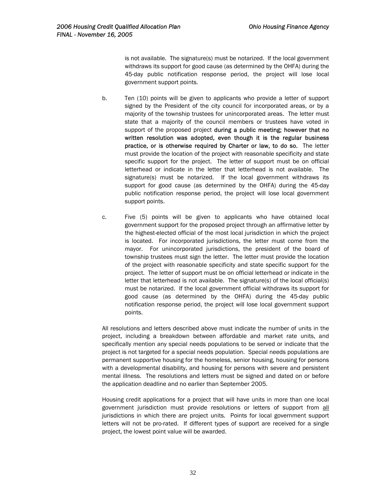is not available. The signature(s) must be notarized. If the local government withdraws its support for good cause (as determined by the OHFA) during the 45-day public notification response period, the project will lose local government support points.

- b. Ten (10) points will be given to applicants who provide a letter of support signed by the President of the city council for incorporated areas, or by a majority of the township trustees for unincorporated areas. The letter must state that a majority of the council members or trustees have voted in support of the proposed project during a public meeting; however that no written resolution was adopted, even though it is the regular business practice, or is otherwise required by Charter or law, to do so. The letter must provide the location of the project with reasonable specificity and state specific support for the project. The letter of support must be on official letterhead or indicate in the letter that letterhead is not available. The signature(s) must be notarized. If the local government withdraws its support for good cause (as determined by the OHFA) during the 45-day public notification response period, the project will lose local government support points.
- c. Five (5) points will be given to applicants who have obtained local government support for the proposed project through an affirmative letter by the highest-elected official of the most local jurisdiction in which the project is located. For incorporated jurisdictions, the letter must come from the mayor. For unincorporated jurisdictions, the president of the board of township trustees must sign the letter. The letter must provide the location of the project with reasonable specificity and state specific support for the project. The letter of support must be on official letterhead or indicate in the letter that letterhead is not available. The signature(s) of the local official(s) must be notarized. If the local government official withdraws its support for good cause (as determined by the OHFA) during the 45-day public notification response period, the project will lose local government support points.

All resolutions and letters described above must indicate the number of units in the project, including a breakdown between affordable and market rate units, and specifically mention any special needs populations to be served or indicate that the project is not targeted for a special needs population. Special needs populations are permanent supportive housing for the homeless, senior housing, housing for persons with a developmental disability, and housing for persons with severe and persistent mental illness. The resolutions and letters must be signed and dated on or before the application deadline and no earlier than September 2005.

Housing credit applications for a project that will have units in more than one local government jurisdiction must provide resolutions or letters of support from all jurisdictions in which there are project units. Points for local government support letters will not be pro-rated. If different types of support are received for a single project, the lowest point value will be awarded.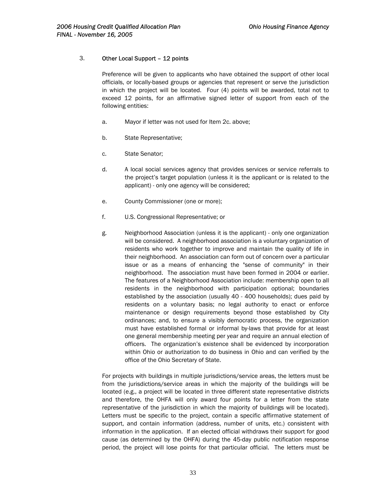#### 3. Other Local Support – 12 points

Preference will be given to applicants who have obtained the support of other local officials, or locally-based groups or agencies that represent or serve the jurisdiction in which the project will be located. Four (4) points will be awarded, total not to exceed 12 points, for an affirmative signed letter of support from each of the following entities:

- a. Mayor if letter was not used for Item 2c. above;
- b. State Representative;
- c. State Senator;
- d. A local social services agency that provides services or service referrals to the project's target population (unless it is the applicant or is related to the applicant) - only one agency will be considered;
- e. County Commissioner (one or more);
- f. U.S. Congressional Representative; or
- g. Neighborhood Association (unless it is the applicant) only one organization will be considered. A neighborhood association is a voluntary organization of residents who work together to improve and maintain the quality of life in their neighborhood. An association can form out of concern over a particular issue or as a means of enhancing the "sense of community" in their neighborhood. The association must have been formed in 2004 or earlier. The features of a Neighborhood Association include: membership open to all residents in the neighborhood with participation optional; boundaries established by the association (usually 40 - 400 households); dues paid by residents on a voluntary basis; no legal authority to enact or enforce maintenance or design requirements beyond those established by City ordinances; and, to ensure a visibly democratic process, the organization must have established formal or informal by-laws that provide for at least one general membership meeting per year and require an annual election of officers. The organization's existence shall be evidenced by incorporation within Ohio or authorization to do business in Ohio and can verified by the office of the Ohio Secretary of State.

For projects with buildings in multiple jurisdictions/service areas, the letters must be from the jurisdictions/service areas in which the majority of the buildings will be located (e.g., a project will be located in three different state representative districts and therefore, the OHFA will only award four points for a letter from the state representative of the jurisdiction in which the majority of buildings will be located). Letters must be specific to the project, contain a specific affirmative statement of support, and contain information (address, number of units, etc.) consistent with information in the application. If an elected official withdraws their support for good cause (as determined by the OHFA) during the 45-day public notification response period, the project will lose points for that particular official. The letters must be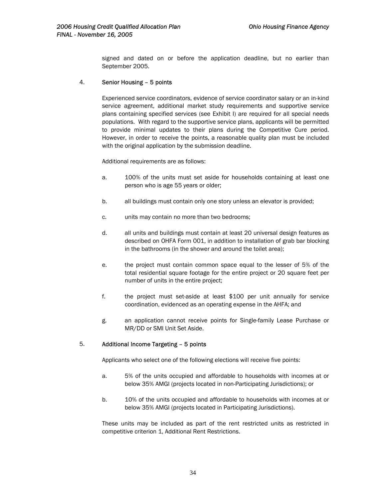signed and dated on or before the application deadline, but no earlier than September 2005.

#### 4. Senior Housing – 5 points

Experienced service coordinators, evidence of service coordinator salary or an in-kind service agreement, additional market study requirements and supportive service plans containing specified services (see Exhibit I) are required for all special needs populations. With regard to the supportive service plans, applicants will be permitted to provide minimal updates to their plans during the Competitive Cure period. However, in order to receive the points, a reasonable quality plan must be included with the original application by the submission deadline.

Additional requirements are as follows:

- a. 100% of the units must set aside for households containing at least one person who is age 55 years or older;
- b. all buildings must contain only one story unless an elevator is provided;
- c. units may contain no more than two bedrooms;
- d. all units and buildings must contain at least 20 universal design features as described on OHFA Form 001, in addition to installation of grab bar blocking in the bathrooms (in the shower and around the toilet area);
- e. the project must contain common space equal to the lesser of 5% of the total residential square footage for the entire project or 20 square feet per number of units in the entire project;
- f. the project must set-aside at least \$100 per unit annually for service coordination, evidenced as an operating expense in the AHFA; and
- g. an application cannot receive points for Single-family Lease Purchase or MR/DD or SMI Unit Set Aside.

#### 5. Additional Income Targeting – 5 points

Applicants who select one of the following elections will receive five points:

- a. 5% of the units occupied and affordable to households with incomes at or below 35% AMGI (projects located in non-Participating Jurisdictions); or
- b. 10% of the units occupied and affordable to households with incomes at or below 35% AMGI (projects located in Participating Jurisdictions).

These units may be included as part of the rent restricted units as restricted in competitive criterion 1, Additional Rent Restrictions.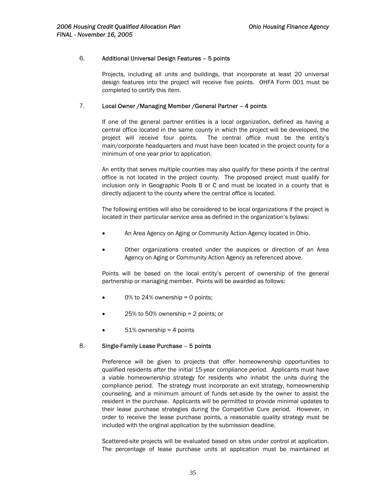#### 6. Additional Universal Design Features – 5 points

Projects, including all units and buildings, that incorporate at least 20 universal design features into the project will receive five points. OHFA Form 001 must be completed to certify this item.

#### 7. Local Owner /Managing Member /General Partner – 4 points

If one of the general partner entities is a local organization, defined as having a central office located in the same county in which the project will be developed, the project will receive four points. The central office must be the entity's main/corporate headquarters and must have been located in the project county for a minimum of one year prior to application.

An entity that serves multiple counties may also qualify for these points if the central office is not located in the project county. The proposed project must qualify for inclusion only in Geographic Pools B or C and must be located in a county that is directly adjacent to the county where the central office is located.

The following entities will also be considered to be local organizations if the project is located in their particular service area as defined in the organization's bylaws:

- An Area Agency on Aging or Community Action Agency located in Ohio.
- Other organizations created under the auspices or direction of an Area Agency on Aging or Community Action Agency as referenced above.

Points will be based on the local entity's percent of ownership of the general partnership or managing member. Points will be awarded as follows:

- 0% to 24% ownership  $= 0$  points;
- 25% to 50% ownership  $= 2$  points; or
- $51\%$  ownership = 4 points

#### 8. Single-Family Lease Purchase – 5 points

Preference will be given to projects that offer homeownership opportunities to qualified residents after the initial 15-year compliance period. Applicants must have a viable homeownership strategy for residents who inhabit the units during the compliance period. The strategy must incorporate an exit strategy, homeownership counseling, and a minimum amount of funds set-aside by the owner to assist the resident in the purchase. Applicants will be permitted to provide minimal updates to their lease purchase strategies during the Competitive Cure period. However, in order to receive the lease purchase points, a reasonable quality strategy must be included with the original application by the submission deadline.

Scattered-site projects will be evaluated based on sites under control at application. The percentage of lease purchase units at application must be maintained at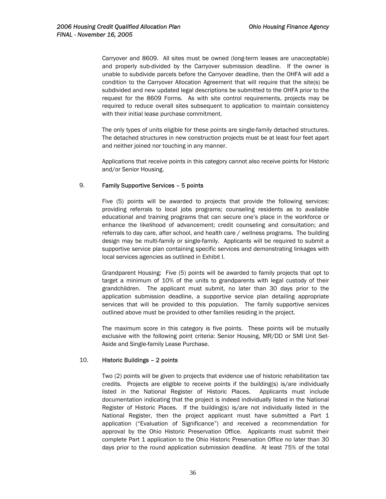Carryover and 8609. All sites must be owned (long-term leases are unacceptable) and properly sub-divided by the Carryover submission deadline. If the owner is unable to subdivide parcels before the Carryover deadline, then the OHFA will add a condition to the Carryover Allocation Agreement that will require that the site(s) be subdivided and new updated legal descriptions be submitted to the OHFA prior to the request for the 8609 Forms. As with site control requirements, projects may be required to reduce overall sites subsequent to application to maintain consistency with their initial lease purchase commitment.

The only types of units eligible for these points are single-family detached structures. The detached structures in new construction projects must be at least four feet apart and neither joined nor touching in any manner.

Applications that receive points in this category cannot also receive points for Historic and/or Senior Housing.

## 9. Family Supportive Services – 5 points

Five (5) points will be awarded to projects that provide the following services: providing referrals to local jobs programs; counseling residents as to available educational and training programs that can secure one's place in the workforce or enhance the likelihood of advancement; credit counseling and consultation; and referrals to day care, after school, and health care / wellness programs. The building design may be multi-family or single-family. Applicants will be required to submit a supportive service plan containing specific services and demonstrating linkages with local services agencies as outlined in Exhibit I.

Grandparent Housing: Five (5) points will be awarded to family projects that opt to target a minimum of 10% of the units to grandparents with legal custody of their grandchildren. The applicant must submit, no later than 30 days prior to the application submission deadline, a supportive service plan detailing appropriate services that will be provided to this population. The family supportive services outlined above must be provided to other families residing in the project.

The maximum score in this category is five points. These points will be mutually exclusive with the following point criteria: Senior Housing, MR/DD or SMI Unit Set-Aside and Single-family Lease Purchase.

#### 10. Historic Buildings – 2 points

Two (2) points will be given to projects that evidence use of historic rehabilitation tax credits. Projects are eligible to receive points if the building(s) is/are individually listed in the National Register of Historic Places. Applicants must include documentation indicating that the project is indeed individually listed in the National Register of Historic Places. If the building(s) is/are not individually listed in the National Register, then the project applicant must have submitted a Part 1 application ("Evaluation of Significance") and received a recommendation for approval by the Ohio Historic Preservation Office. Applicants must submit their complete Part 1 application to the Ohio Historic Preservation Office no later than 30 days prior to the round application submission deadline. At least 75% of the total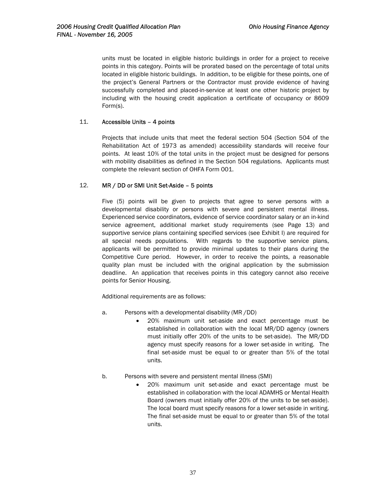units must be located in eligible historic buildings in order for a project to receive points in this category. Points will be prorated based on the percentage of total units located in eligible historic buildings. In addition, to be eligible for these points, one of the project's General Partners or the Contractor must provide evidence of having successfully completed and placed-in-service at least one other historic project by including with the housing credit application a certificate of occupancy or 8609 Form(s).

## 11. Accessible Units – 4 points

Projects that include units that meet the federal section 504 (Section 504 of the Rehabilitation Act of 1973 as amended) accessibility standards will receive four points. At least 10% of the total units in the project must be designed for persons with mobility disabilities as defined in the Section 504 regulations. Applicants must complete the relevant section of OHFA Form 001.

## 12. MR / DD or SMI Unit Set-Aside – 5 points

Five (5) points will be given to projects that agree to serve persons with a developmental disability or persons with severe and persistent mental illness. Experienced service coordinators, evidence of service coordinator salary or an in-kind service agreement, additional market study requirements (see Page 13) and supportive service plans containing specified services (see Exhibit I) are required for all special needs populations. With regards to the supportive service plans, applicants will be permitted to provide minimal updates to their plans during the Competitive Cure period. However, in order to receive the points, a reasonable quality plan must be included with the original application by the submission deadline. An application that receives points in this category cannot also receive points for Senior Housing.

Additional requirements are as follows:

- a. Persons with a developmental disability (MR /DD)
	- 20% maximum unit set-aside and exact percentage must be established in collaboration with the local MR/DD agency (owners must initially offer 20% of the units to be set-aside). The MR/DD agency must specify reasons for a lower set-aside in writing. The final set-aside must be equal to or greater than 5% of the total units.
- b. Persons with severe and persistent mental illness (SMI)
	- 20% maximum unit set-aside and exact percentage must be established in collaboration with the local ADAMHS or Mental Health Board (owners must initially offer 20% of the units to be set-aside). The local board must specify reasons for a lower set-aside in writing. The final set-aside must be equal to or greater than 5% of the total units.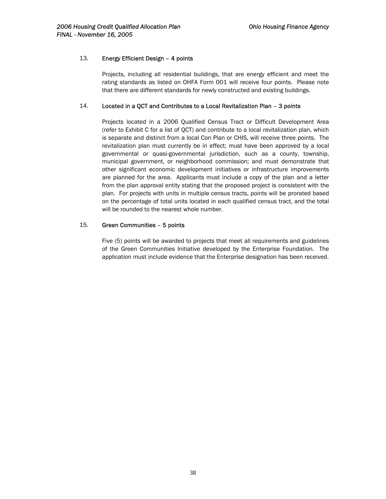## 13. Energy Efficient Design – 4 points

Projects, including all residential buildings, that are energy efficient and meet the rating standards as listed on OHFA Form 001 will receive four points. Please note that there are different standards for newly constructed and existing buildings.

## 14. Located in a QCT and Contributes to a Local Revitalization Plan – 3 points

Projects located in a 2006 Qualified Census Tract or Difficult Development Area (refer to Exhibit C for a list of QCT) and contribute to a local revitalization plan, which is separate and distinct from a local Con Plan or CHIS, will receive three points. The revitalization plan must currently be in effect; must have been approved by a local governmental or quasi-governmental jurisdiction, such as a county, township, municipal government, or neighborhood commission; and must demonstrate that other significant economic development initiatives or infrastructure improvements are planned for the area. Applicants must include a copy of the plan and a letter from the plan approval entity stating that the proposed project is consistent with the plan. For projects with units in multiple census tracts, points will be prorated based on the percentage of total units located in each qualified census tract, and the total will be rounded to the nearest whole number.

## 15. Green Communities – 5 points

Five (5) points will be awarded to projects that meet all requirements and guidelines of the Green Communities Initiative developed by the Enterprise Foundation. The application must include evidence that the Enterprise designation has been received.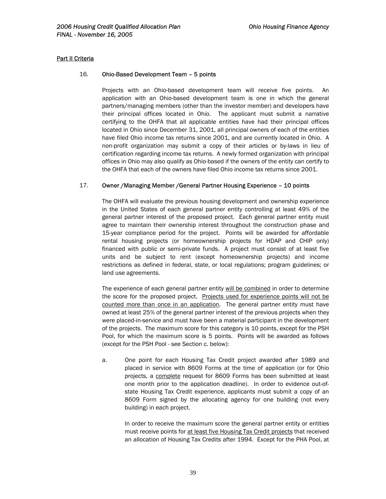#### **Part II Criteria**

#### 16. Ohio-Based Development Team – 5 points

Projects with an Ohio-based development team will receive five points. An application with an Ohio-based development team is one in which the general partners/managing members (other than the investor member) and developers have their principal offices located in Ohio. The applicant must submit a narrative certifying to the OHFA that all applicable entities have had their principal offices located in Ohio since December 31, 2001, all principal owners of each of the entities have filed Ohio income tax returns since 2001, and are currently located in Ohio. A non-profit organization may submit a copy of their articles or by-laws in lieu of certification regarding income tax returns. A newly formed organization with principal offices in Ohio may also qualify as Ohio-based if the owners of the entity can certify to the OHFA that each of the owners have filed Ohio income tax returns since 2001.

#### 17. Owner /Managing Member /General Partner Housing Experience – 10 points

The OHFA will evaluate the previous housing development and ownership experience in the United States of each general partner entity controlling at least 49% of the general partner interest of the proposed project. Each general partner entity must agree to maintain their ownership interest throughout the construction phase and 15-year compliance period for the project. Points will be awarded for affordable rental housing projects (or homeownership projects for HDAP and CHIP only) financed with public or semi-private funds. A project must consist of at least five units and be subject to rent (except homeownership projects) and income restrictions as defined in federal, state, or local regulations; program guidelines; or land use agreements.

The experience of each general partner entity will be combined in order to determine the score for the proposed project. Projects used for experience points will not be counted more than once in an application. The general partner entity must have owned at least 25% of the general partner interest of the previous projects when they were placed-in-service and must have been a material participant in the development of the projects. The maximum score for this category is 10 points, except for the PSH Pool, for which the maximum score is 5 points. Points will be awarded as follows (except for the PSH Pool - see Section c. below):

a. One point for each Housing Tax Credit project awarded after 1989 and placed in service with 8609 Forms at the time of application (or for Ohio projects, a complete request for 8609 Forms has been submitted at least one month prior to the application deadline). In order to evidence out-ofstate Housing Tax Credit experience, applicants must submit a copy of an 8609 Form signed by the allocating agency for one building (not every building) in each project.

In order to receive the maximum score the general partner entity or entities must receive points for at least five Housing Tax Credit projects that received an allocation of Housing Tax Credits after 1994. Except for the PHA Pool, at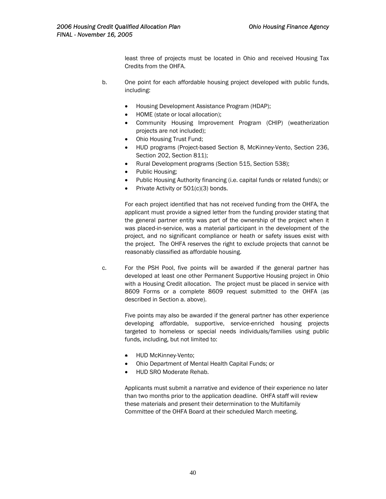least three of projects must be located in Ohio and received Housing Tax Credits from the OHFA.

- b. One point for each affordable housing project developed with public funds, including:
	- Housing Development Assistance Program (HDAP);
	- HOME (state or local allocation);
	- Community Housing Improvement Program (CHIP) (weatherization projects are not included);
	- Ohio Housing Trust Fund;
	- HUD programs (Project-based Section 8, McKinney-Vento, Section 236, Section 202, Section 811);
	- Rural Development programs (Section 515, Section 538);
	- Public Housing;
	- Public Housing Authority financing (i.e. capital funds or related funds); or
	- Private Activity or 501(c)(3) bonds.

For each project identified that has not received funding from the OHFA, the applicant must provide a signed letter from the funding provider stating that the general partner entity was part of the ownership of the project when it was placed-in-service, was a material participant in the development of the project, and no significant compliance or heath or safety issues exist with the project. The OHFA reserves the right to exclude projects that cannot be reasonably classified as affordable housing.

c. For the PSH Pool, five points will be awarded if the general partner has developed at least one other Permanent Supportive Housing project in Ohio with a Housing Credit allocation. The project must be placed in service with 8609 Forms or a complete 8609 request submitted to the OHFA (as described in Section a. above).

> Five points may also be awarded if the general partner has other experience developing affordable, supportive, service-enriched housing projects targeted to homeless or special needs individuals/families using public funds, including, but not limited to:

- HUD McKinney-Vento;
- Ohio Department of Mental Health Capital Funds; or
- HUD SRO Moderate Rehab.

Applicants must submit a narrative and evidence of their experience no later than two months prior to the application deadline. OHFA staff will review these materials and present their determination to the Multifamily Committee of the OHFA Board at their scheduled March meeting.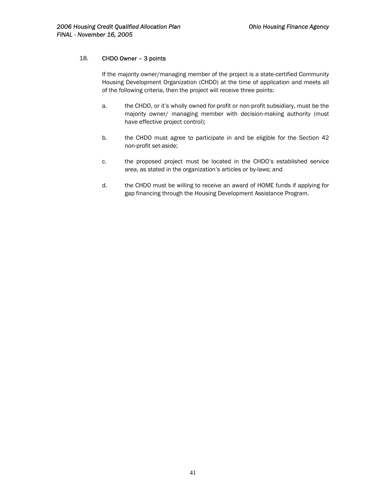## 18. CHDO Owner – 3 points

If the majority owner/managing member of the project is a state-certified Community Housing Development Organization (CHDO) at the time of application and meets all of the following criteria, then the project will receive three points:

- a. the CHDO, or it's wholly owned for-profit or non-profit subsidiary, must be the majority owner/ managing member with decision-making authority (must have effective project control);
- b. the CHDO must agree to participate in and be eligible for the Section 42 non-profit set-aside;
- c. the proposed project must be located in the CHDO's established service area, as stated in the organization's articles or by-laws; and
- d. the CHDO must be willing to receive an award of HOME funds if applying for gap financing through the Housing Development Assistance Program.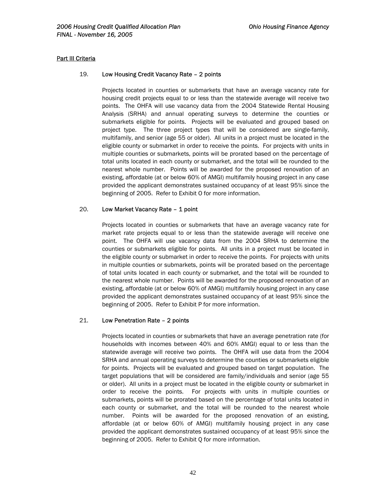#### **Part III Criteria**

#### 19. Low Housing Credit Vacancy Rate – 2 points

Projects located in counties or submarkets that have an average vacancy rate for housing credit projects equal to or less than the statewide average will receive two points. The OHFA will use vacancy data from the 2004 Statewide Rental Housing Analysis (SRHA) and annual operating surveys to determine the counties or submarkets eligible for points. Projects will be evaluated and grouped based on project type. The three project types that will be considered are single-family, multifamily, and senior (age 55 or older). All units in a project must be located in the eligible county or submarket in order to receive the points. For projects with units in multiple counties or submarkets, points will be prorated based on the percentage of total units located in each county or submarket, and the total will be rounded to the nearest whole number. Points will be awarded for the proposed renovation of an existing, affordable (at or below 60% of AMGI) multifamily housing project in any case provided the applicant demonstrates sustained occupancy of at least 95% since the beginning of 2005. Refer to Exhibit O for more information.

#### 20. Low Market Vacancy Rate – 1 point

Projects located in counties or submarkets that have an average vacancy rate for market rate projects equal to or less than the statewide average will receive one point. The OHFA will use vacancy data from the 2004 SRHA to determine the counties or submarkets eligible for points. All units in a project must be located in the eligible county or submarket in order to receive the points. For projects with units in multiple counties or submarkets, points will be prorated based on the percentage of total units located in each county or submarket, and the total will be rounded to the nearest whole number. Points will be awarded for the proposed renovation of an existing, affordable (at or below 60% of AMGI) multifamily housing project in any case provided the applicant demonstrates sustained occupancy of at least 95% since the beginning of 2005. Refer to Exhibit P for more information.

#### 21. Low Penetration Rate – 2 points

Projects located in counties or submarkets that have an average penetration rate (for households with incomes between 40% and 60% AMGI) equal to or less than the statewide average will receive two points. The OHFA will use data from the 2004 SRHA and annual operating surveys to determine the counties or submarkets eligible for points. Projects will be evaluated and grouped based on target population. The target populations that will be considered are family/individuals and senior (age 55 or older). All units in a project must be located in the eligible county or submarket in order to receive the points. For projects with units in multiple counties or submarkets, points will be prorated based on the percentage of total units located in each county or submarket, and the total will be rounded to the nearest whole number. Points will be awarded for the proposed renovation of an existing, affordable (at or below 60% of AMGI) multifamily housing project in any case provided the applicant demonstrates sustained occupancy of at least 95% since the beginning of 2005. Refer to Exhibit Q for more information.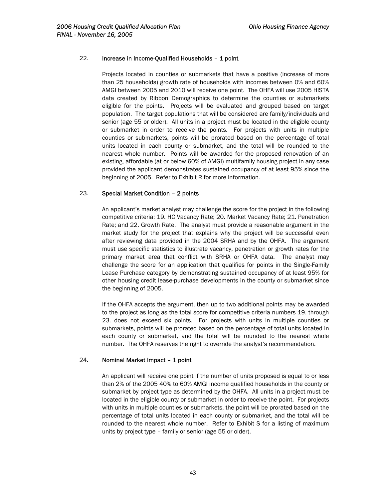#### 22. Increase in Income-Qualified Households – 1 point

Projects located in counties or submarkets that have a positive (increase of more than 25 households) growth rate of households with incomes between 0% and 60% AMGI between 2005 and 2010 will receive one point. The OHFA will use 2005 HISTA data created by Ribbon Demographics to determine the counties or submarkets eligible for the points. Projects will be evaluated and grouped based on target population. The target populations that will be considered are family/individuals and senior (age 55 or older). All units in a project must be located in the eligible county or submarket in order to receive the points. For projects with units in multiple counties or submarkets, points will be prorated based on the percentage of total units located in each county or submarket, and the total will be rounded to the nearest whole number. Points will be awarded for the proposed renovation of an existing, affordable (at or below 60% of AMGI) multifamily housing project in any case provided the applicant demonstrates sustained occupancy of at least 95% since the beginning of 2005. Refer to Exhibit R for more information.

## 23. Special Market Condition – 2 points

An applicant's market analyst may challenge the score for the project in the following competitive criteria: 19. HC Vacancy Rate; 20. Market Vacancy Rate; 21. Penetration Rate; and 22. Growth Rate. The analyst must provide a reasonable argument in the market study for the project that explains why the project will be successful even after reviewing data provided in the 2004 SRHA and by the OHFA. The argument must use specific statistics to illustrate vacancy, penetration or growth rates for the primary market area that conflict with SRHA or OHFA data. The analyst may challenge the score for an application that qualifies for points in the Single-Family Lease Purchase category by demonstrating sustained occupancy of at least 95% for other housing credit lease-purchase developments in the county or submarket since the beginning of 2005.

If the OHFA accepts the argument, then up to two additional points may be awarded to the project as long as the total score for competitive criteria numbers 19. through 23. does not exceed six points. For projects with units in multiple counties or submarkets, points will be prorated based on the percentage of total units located in each county or submarket, and the total will be rounded to the nearest whole number. The OHFA reserves the right to override the analyst's recommendation.

#### 24. Nominal Market Impact – 1 point

An applicant will receive one point if the number of units proposed is equal to or less than 2% of the 2005 40% to 60% AMGI income qualified households in the county or submarket by project type as determined by the OHFA. All units in a project must be located in the eligible county or submarket in order to receive the point. For projects with units in multiple counties or submarkets, the point will be prorated based on the percentage of total units located in each county or submarket, and the total will be rounded to the nearest whole number. Refer to Exhibit S for a listing of maximum units by project type – family or senior (age 55 or older).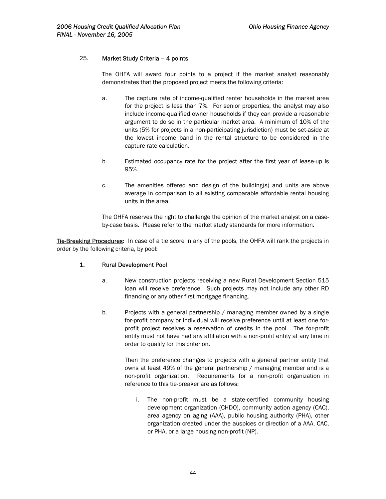## 25. Market Study Criteria – 4 points

The OHFA will award four points to a project if the market analyst reasonably demonstrates that the proposed project meets the following criteria:

- a. The capture rate of income-qualified renter households in the market area for the project is less than 7%. For senior properties, the analyst may also include income-qualified owner households if they can provide a reasonable argument to do so in the particular market area. A minimum of 10% of the units (5% for projects in a non-participating jurisdiction) must be set-aside at the lowest income band in the rental structure to be considered in the capture rate calculation.
- b. Estimated occupancy rate for the project after the first year of lease-up is 95%.
- c. The amenities offered and design of the building(s) and units are above average in comparison to all existing comparable affordable rental housing units in the area.

The OHFA reserves the right to challenge the opinion of the market analyst on a caseby-case basis. Please refer to the market study standards for more information.

Tie-Breaking Procedures: In case of a tie score in any of the pools, the OHFA will rank the projects in order by the following criteria, by pool:

#### 1. Rural Development Pool

- a. New construction projects receiving a new Rural Development Section 515 loan will receive preference. Such projects may not include any other RD financing or any other first mortgage financing.
- b. Projects with a general partnership / managing member owned by a single for-profit company or individual will receive preference until at least one forprofit project receives a reservation of credits in the pool. The for-profit entity must not have had any affiliation with a non-profit entity at any time in order to qualify for this criterion.

Then the preference changes to projects with a general partner entity that owns at least 49% of the general partnership / managing member and is a non-profit organization. Requirements for a non-profit organization in reference to this tie-breaker are as follows:

i. The non-profit must be a state-certified community housing development organization (CHDO), community action agency (CAC), area agency on aging (AAA), public housing authority (PHA), other organization created under the auspices or direction of a AAA, CAC, or PHA, or a large housing non-profit (NP).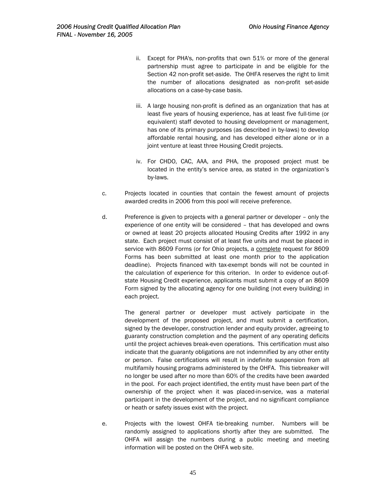- ii. Except for PHA's, non-profits that own 51% or more of the general partnership must agree to participate in and be eligible for the Section 42 non-profit set-aside. The OHFA reserves the right to limit the number of allocations designated as non-profit set-aside allocations on a case-by-case basis.
- iii. A large housing non-profit is defined as an organization that has at least five years of housing experience, has at least five full-time (or equivalent) staff devoted to housing development or management, has one of its primary purposes (as described in by-laws) to develop affordable rental housing, and has developed either alone or in a joint venture at least three Housing Credit projects.
- iv. For CHDO, CAC, AAA, and PHA, the proposed project must be located in the entity's service area, as stated in the organization's by-laws.
- c. Projects located in counties that contain the fewest amount of projects awarded credits in 2006 from this pool will receive preference.
- d. Preference is given to projects with a general partner or developer only the experience of one entity will be considered – that has developed and owns or owned at least 20 projects allocated Housing Credits after 1992 in any state. Each project must consist of at least five units and must be placed in service with 8609 Forms (or for Ohio projects, a complete request for 8609 Forms has been submitted at least one month prior to the application deadline). Projects financed with tax-exempt bonds will not be counted in the calculation of experience for this criterion. In order to evidence out-ofstate Housing Credit experience, applicants must submit a copy of an 8609 Form signed by the allocating agency for one building (not every building) in each project.

The general partner or developer must actively participate in the development of the proposed project, and must submit a certification, signed by the developer, construction lender and equity provider, agreeing to guaranty construction completion and the payment of any operating deficits until the project achieves break-even operations. This certification must also indicate that the guaranty obligations are not indemnified by any other entity or person. False certifications will result in indefinite suspension from all multifamily housing programs administered by the OHFA. This tiebreaker will no longer be used after no more than 60% of the credits have been awarded in the pool. For each project identified, the entity must have been part of the ownership of the project when it was placed-in-service, was a material participant in the development of the project, and no significant compliance or heath or safety issues exist with the project.

e. Projects with the lowest OHFA tie-breaking number. Numbers will be randomly assigned to applications shortly after they are submitted. The OHFA will assign the numbers during a public meeting and meeting information will be posted on the OHFA web site.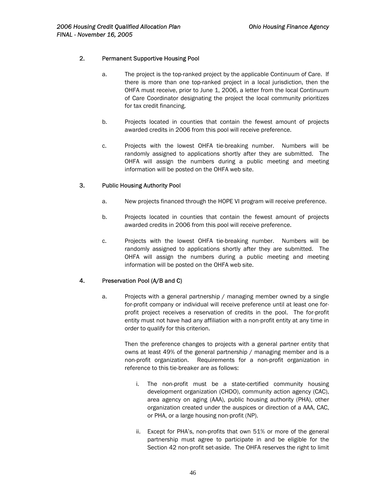## 2. Permanent Supportive Housing Pool

- a. The project is the top-ranked project by the applicable Continuum of Care. If there is more than one top-ranked project in a local jurisdiction, then the OHFA must receive, prior to June 1, 2006, a letter from the local Continuum of Care Coordinator designating the project the local community prioritizes for tax credit financing.
- b. Projects located in counties that contain the fewest amount of projects awarded credits in 2006 from this pool will receive preference.
- c. Projects with the lowest OHFA tie-breaking number. Numbers will be randomly assigned to applications shortly after they are submitted. The OHFA will assign the numbers during a public meeting and meeting information will be posted on the OHFA web site.

## 3. Public Housing Authority Pool

- a. New projects financed through the HOPE VI program will receive preference.
- b. Projects located in counties that contain the fewest amount of projects awarded credits in 2006 from this pool will receive preference.
- c. Projects with the lowest OHFA tie-breaking number. Numbers will be randomly assigned to applications shortly after they are submitted. The OHFA will assign the numbers during a public meeting and meeting information will be posted on the OHFA web site.

## 4. Preservation Pool (A/B and C)

a. Projects with a general partnership / managing member owned by a single for-profit company or individual will receive preference until at least one forprofit project receives a reservation of credits in the pool. The for-profit entity must not have had any affiliation with a non-profit entity at any time in order to qualify for this criterion.

> Then the preference changes to projects with a general partner entity that owns at least 49% of the general partnership / managing member and is a non-profit organization. Requirements for a non-profit organization in reference to this tie-breaker are as follows:

- i. The non-profit must be a state-certified community housing development organization (CHDO), community action agency (CAC), area agency on aging (AAA), public housing authority (PHA), other organization created under the auspices or direction of a AAA, CAC, or PHA, or a large housing non-profit (NP).
- ii. Except for PHA's, non-profits that own 51% or more of the general partnership must agree to participate in and be eligible for the Section 42 non-profit set-aside. The OHFA reserves the right to limit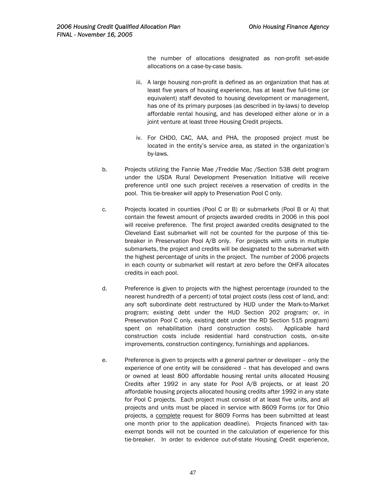the number of allocations designated as non-profit set-aside allocations on a case-by-case basis.

- iii. A large housing non-profit is defined as an organization that has at least five years of housing experience, has at least five full-time (or equivalent) staff devoted to housing development or management, has one of its primary purposes (as described in by-laws) to develop affordable rental housing, and has developed either alone or in a joint venture at least three Housing Credit projects.
- iv. For CHDO, CAC, AAA, and PHA, the proposed project must be located in the entity's service area, as stated in the organization's by-laws.
- b. Projects utilizing the Fannie Mae /Freddie Mac /Section 538 debt program under the USDA Rural Development Preservation Initiative will receive preference until one such project receives a reservation of credits in the pool. This tie-breaker will apply to Preservation Pool C only.
- c. Projects located in counties (Pool C or B) or submarkets (Pool B or A) that contain the fewest amount of projects awarded credits in 2006 in this pool will receive preference. The first project awarded credits designated to the Cleveland East submarket will not be counted for the purpose of this tiebreaker in Preservation Pool A/B only. For projects with units in multiple submarkets, the project and credits will be designated to the submarket with the highest percentage of units in the project. The number of 2006 projects in each county or submarket will restart at zero before the OHFA allocates credits in each pool.
- d. Preference is given to projects with the highest percentage (rounded to the nearest hundredth of a percent) of total project costs (less cost of land, and: any soft subordinate debt restructured by HUD under the Mark-to-Market program; existing debt under the HUD Section 202 program; or, in Preservation Pool C only, existing debt under the RD Section 515 program) spent on rehabilitation (hard construction costs). Applicable hard construction costs include residential hard construction costs, on-site improvements, construction contingency, furnishings and appliances.
- e. Preference is given to projects with a general partner or developer only the experience of one entity will be considered – that has developed and owns or owned at least 800 affordable housing rental units allocated Housing Credits after 1992 in any state for Pool A/B projects, or at least 20 affordable housing projects allocated housing credits after 1992 in any state for Pool C projects. Each project must consist of at least five units, and all projects and units must be placed in service with 8609 Forms (or for Ohio projects, a complete request for 8609 Forms has been submitted at least one month prior to the application deadline). Projects financed with taxexempt bonds will not be counted in the calculation of experience for this tie-breaker.In order to evidence out-of-state Housing Credit experience,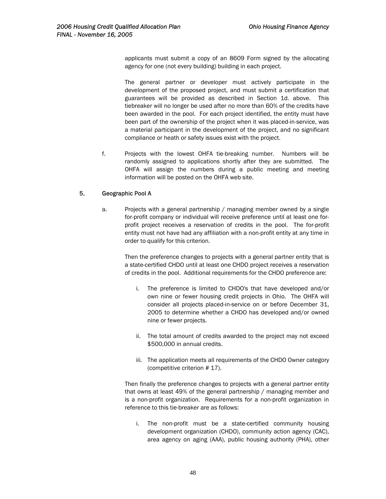applicants must submit a copy of an 8609 Form signed by the allocating agency for one (not every building) building in each project.

The general partner or developer must actively participate in the development of the proposed project, and must submit a certification that guarantees will be provided as described in Section 1d. above. This tiebreaker will no longer be used after no more than 60% of the credits have been awarded in the pool. For each project identified, the entity must have been part of the ownership of the project when it was placed-in-service, was a material participant in the development of the project, and no significant compliance or heath or safety issues exist with the project.

f. Projects with the lowest OHFA tie-breaking number. Numbers will be randomly assigned to applications shortly after they are submitted. The OHFA will assign the numbers during a public meeting and meeting information will be posted on the OHFA web site.

## 5. Geographic Pool A

a. Projects with a general partnership / managing member owned by a single for-profit company or individual will receive preference until at least one forprofit project receives a reservation of credits in the pool. The for-profit entity must not have had any affiliation with a non-profit entity at any time in order to qualify for this criterion.

Then the preference changes to projects with a general partner entity that is a state-certified CHDO until at least one CHDO project receives a reservation of credits in the pool. Additional requirements for the CHDO preference are:

- i. The preference is limited to CHDO's that have developed and/or own nine or fewer housing credit projects in Ohio. The OHFA will consider all projects placed-in-service on or before December 31, 2005 to determine whether a CHDO has developed and/or owned nine or fewer projects.
- ii. The total amount of credits awarded to the project may not exceed \$500,000 in annual credits.
- iii. The application meets all requirements of the CHDO Owner category (competitive criterion # 17).

Then finally the preference changes to projects with a general partner entity that owns at least 49% of the general partnership / managing member and is a non-profit organization. Requirements for a non-profit organization in reference to this tie-breaker are as follows:

i. The non-profit must be a state-certified community housing development organization (CHDO), community action agency (CAC), area agency on aging (AAA), public housing authority (PHA), other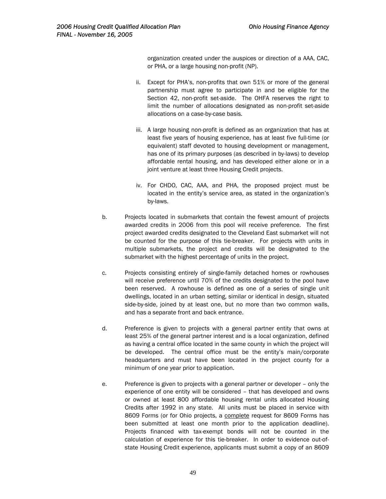organization created under the auspices or direction of a AAA, CAC, or PHA, or a large housing non-profit (NP).

- ii. Except for PHA's, non-profits that own 51% or more of the general partnership must agree to participate in and be eligible for the Section 42, non-profit set-aside. The OHFA reserves the right to limit the number of allocations designated as non-profit set-aside allocations on a case-by-case basis.
- iii. A large housing non-profit is defined as an organization that has at least five years of housing experience, has at least five full-time (or equivalent) staff devoted to housing development or management, has one of its primary purposes (as described in by-laws) to develop affordable rental housing, and has developed either alone or in a joint venture at least three Housing Credit projects.
- iv. For CHDO, CAC, AAA, and PHA, the proposed project must be located in the entity's service area, as stated in the organization's by-laws.
- b. Projects located in submarkets that contain the fewest amount of projects awarded credits in 2006 from this pool will receive preference. The first project awarded credits designated to the Cleveland East submarket will not be counted for the purpose of this tie-breaker. For projects with units in multiple submarkets, the project and credits will be designated to the submarket with the highest percentage of units in the project.
- c. Projects consisting entirely of single-family detached homes or rowhouses will receive preference until 70% of the credits designated to the pool have been reserved. A rowhouse is defined as one of a series of single unit dwellings, located in an urban setting, similar or identical in design, situated side-by-side, joined by at least one, but no more than two common walls, and has a separate front and back entrance.
- d. Preference is given to projects with a general partner entity that owns at least 25% of the general partner interest and is a local organization, defined as having a central office located in the same county in which the project will be developed. The central office must be the entity's main/corporate headquarters and must have been located in the project county for a minimum of one year prior to application.
- e. Preference is given to projects with a general partner or developer only the experience of one entity will be considered – that has developed and owns or owned at least 800 affordable housing rental units allocated Housing Credits after 1992 in any state. All units must be placed in service with 8609 Forms (or for Ohio projects, a complete request for 8609 Forms has been submitted at least one month prior to the application deadline). Projects financed with tax-exempt bonds will not be counted in the calculation of experience for this tie-breaker. In order to evidence out-ofstate Housing Credit experience, applicants must submit a copy of an 8609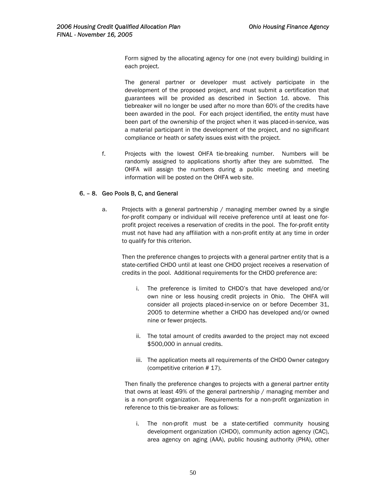Form signed by the allocating agency for one (not every building) building in each project.

The general partner or developer must actively participate in the development of the proposed project, and must submit a certification that guarantees will be provided as described in Section 1d. above. This tiebreaker will no longer be used after no more than 60% of the credits have been awarded in the pool. For each project identified, the entity must have been part of the ownership of the project when it was placed-in-service, was a material participant in the development of the project, and no significant compliance or heath or safety issues exist with the project.

f. Projects with the lowest OHFA tie-breaking number. Numbers will be randomly assigned to applications shortly after they are submitted. The OHFA will assign the numbers during a public meeting and meeting information will be posted on the OHFA web site.

## 6. – 8. Geo Pools B, C, and General

a. Projects with a general partnership / managing member owned by a single for-profit company or individual will receive preference until at least one forprofit project receives a reservation of credits in the pool. The for-profit entity must not have had any affiliation with a non-profit entity at any time in order to qualify for this criterion.

Then the preference changes to projects with a general partner entity that is a state-certified CHDO until at least one CHDO project receives a reservation of credits in the pool. Additional requirements for the CHDO preference are:

- i. The preference is limited to CHDO's that have developed and/or own nine or less housing credit projects in Ohio. The OHFA will consider all projects placed-in-service on or before December 31, 2005 to determine whether a CHDO has developed and/or owned nine or fewer projects.
- ii. The total amount of credits awarded to the project may not exceed \$500,000 in annual credits.
- iii. The application meets all requirements of the CHDO Owner category (competitive criterion # 17).

Then finally the preference changes to projects with a general partner entity that owns at least 49% of the general partnership / managing member and is a non-profit organization. Requirements for a non-profit organization in reference to this tie-breaker are as follows:

i. The non-profit must be a state-certified community housing development organization (CHDO), community action agency (CAC), area agency on aging (AAA), public housing authority (PHA), other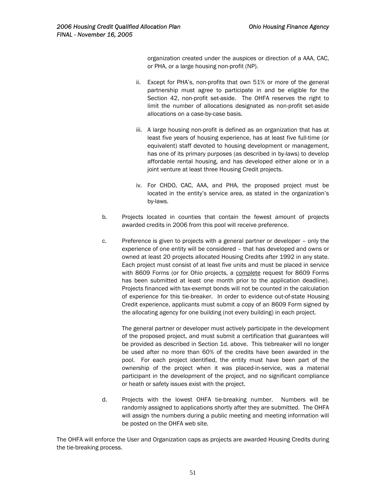organization created under the auspices or direction of a AAA, CAC, or PHA, or a large housing non-profit (NP).

- ii. Except for PHA's, non-profits that own 51% or more of the general partnership must agree to participate in and be eligible for the Section 42, non-profit set-aside. The OHFA reserves the right to limit the number of allocations designated as non-profit set-aside allocations on a case-by-case basis.
- iii. A large housing non-profit is defined as an organization that has at least five years of housing experience, has at least five full-time (or equivalent) staff devoted to housing development or management, has one of its primary purposes (as described in by-laws) to develop affordable rental housing, and has developed either alone or in a joint venture at least three Housing Credit projects.
- iv. For CHDO, CAC, AAA, and PHA, the proposed project must be located in the entity's service area, as stated in the organization's by-laws.
- b. Projects located in counties that contain the fewest amount of projects awarded credits in 2006 from this pool will receive preference.
- c. Preference is given to projects with a general partner or developer only the experience of one entity will be considered – that has developed and owns or owned at least 20 projects allocated Housing Credits after 1992 in any state. Each project must consist of at least five units and must be placed in service with 8609 Forms (or for Ohio projects, a complete request for 8609 Forms has been submitted at least one month prior to the application deadline). Projects financed with tax-exempt bonds will not be counted in the calculation of experience for this tie-breaker. In order to evidence out-of-state Housing Credit experience, applicants must submit a copy of an 8609 Form signed by the allocating agency for one building (not every building) in each project.

The general partner or developer must actively participate in the development of the proposed project, and must submit a certification that guarantees will be provided as described in Section 1d. above. This tiebreaker will no longer be used after no more than 60% of the credits have been awarded in the pool. For each project identified, the entity must have been part of the ownership of the project when it was placed-in-service, was a material participant in the development of the project, and no significant compliance or heath or safety issues exist with the project.

d. Projects with the lowest OHFA tie-breaking number. Numbers will be randomly assigned to applications shortly after they are submitted. The OHFA will assign the numbers during a public meeting and meeting information will be posted on the OHFA web site.

The OHFA will enforce the User and Organization caps as projects are awarded Housing Credits during the tie-breaking process.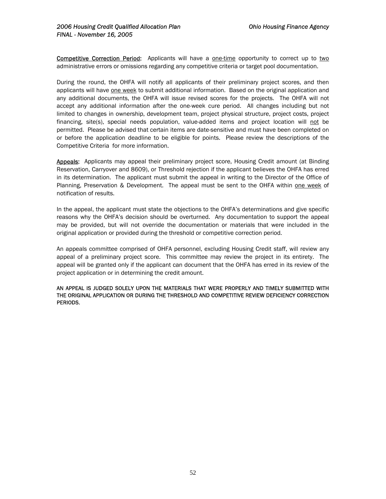Competitive Correction Period: Applicants will have a one-time opportunity to correct up to two administrative errors or omissions regarding any competitive criteria or target pool documentation.

During the round, the OHFA will notify all applicants of their preliminary project scores, and then applicants will have one week to submit additional information. Based on the original application and any additional documents, the OHFA will issue revised scores for the projects. The OHFA will not accept any additional information after the one-week cure period. All changes including but not limited to changes in ownership, development team, project physical structure, project costs, project financing, site(s), special needs population, value-added items and project location will not be permitted. Please be advised that certain items are date-sensitive and must have been completed on or before the application deadline to be eligible for points. Please review the descriptions of the Competitive Criteria for more information.

Appeals: Applicants may appeal their preliminary project score, Housing Credit amount (at Binding Reservation, Carryover and 8609), or Threshold rejection if the applicant believes the OHFA has erred in its determination. The applicant must submit the appeal in writing to the Director of the Office of Planning, Preservation & Development. The appeal must be sent to the OHFA within one week of notification of results.

In the appeal, the applicant must state the objections to the OHFA's determinations and give specific reasons why the OHFA's decision should be overturned. Any documentation to support the appeal may be provided, but will not override the documentation or materials that were included in the original application or provided during the threshold or competitive correction period.

An appeals committee comprised of OHFA personnel, excluding Housing Credit staff, will review any appeal of a preliminary project score. This committee may review the project in its entirety. The appeal will be granted only if the applicant can document that the OHFA has erred in its review of the project application or in determining the credit amount.

AN APPEAL IS JUDGED SOLELY UPON THE MATERIALS THAT WERE PROPERLY AND TIMELY SUBMITTED WITH THE ORIGINAL APPLICATION OR DURING THE THRESHOLD AND COMPETITIVEREVIEW DEFICIENCY CORRECTION PERIODS.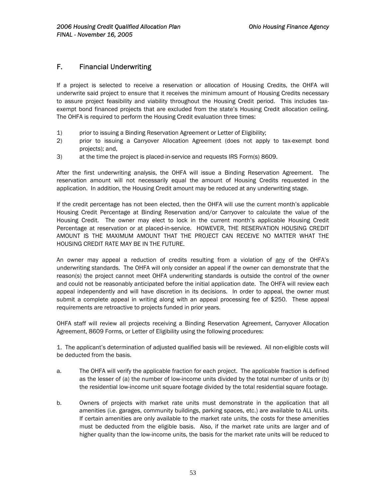# F. Financial Underwriting

If a project is selected to receive a reservation or allocation of Housing Credits, the OHFA will underwrite said project to ensure that it receives the minimum amount of Housing Credits necessary to assure project feasibility and viability throughout the Housing Credit period. This includes taxexempt bond financed projects that are excluded from the state's Housing Credit allocation ceiling. The OHFA is required to perform the Housing Credit evaluation three times:

- 1) prior to issuing a Binding Reservation Agreement or Letter of Eligibility;
- 2) prior to issuing a Carryover Allocation Agreement (does not apply to tax-exempt bond projects); and,
- 3) at the time the project is placed-in-service and requests IRS Form(s) 8609.

After the first underwriting analysis, the OHFA will issue a Binding Reservation Agreement. The reservation amount will not necessarily equal the amount of Housing Credits requested in the application. In addition, the Housing Credit amount may be reduced at any underwriting stage.

If the credit percentage has not been elected, then the OHFA will use the current month's applicable Housing Credit Percentage at Binding Reservation and/or Carryover to calculate the value of the Housing Credit. The owner may elect to lock in the current month's applicable Housing Credit Percentage at reservation or at placed-in-service. HOWEVER, THE RESERVATION HOUSING CREDIT AMOUNT IS THE MAXIMUM AMOUNT THAT THE PROJECT CAN RECEIVE NO MATTER WHAT THE HOUSING CREDIT RATE MAY BE IN THE FUTURE.

An owner may appeal a reduction of credits resulting from a violation of any of the OHFA's underwriting standards. The OHFA will only consider an appeal if the owner can demonstrate that the reason(s) the project cannot meet OHFA underwriting standards is outside the control of the owner and could not be reasonably anticipated before the initial application date. The OHFA will review each appeal independently and will have discretion in its decisions. In order to appeal, the owner must submit a complete appeal in writing along with an appeal processing fee of \$250. These appeal requirements are retroactive to projects funded in prior years.

OHFA staff will review all projects receiving a Binding Reservation Agreement, Carryover Allocation Agreement, 8609 Forms, or Letter of Eligibility using the following procedures:

1. The applicant's determination of adjusted qualified basis will be reviewed. All non-eligible costs will be deducted from the basis.

- a. The OHFA will verify the applicable fraction for each project. The applicable fraction is defined as the lesser of (a) the number of low-income units divided by the total number of units or (b) the residential low-income unit square footage divided by the total residential square footage.
- b. Owners of projects with market rate units must demonstrate in the application that all amenities (i.e. garages, community buildings, parking spaces, etc.) are available to ALL units. If certain amenities are only available to the market rate units, the costs for these amenities must be deducted from the eligible basis. Also, if the market rate units are larger and of higher quality than the low-income units, the basis for the market rate units will be reduced to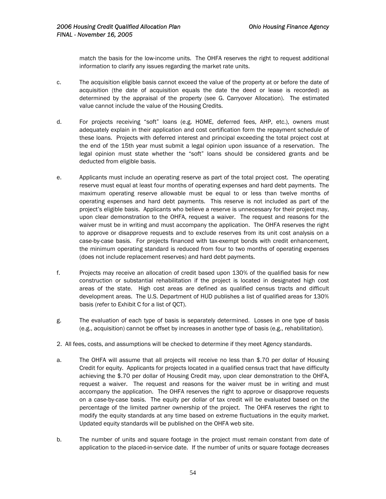match the basis for the low-income units. The OHFA reserves the right to request additional information to clarify any issues regarding the market rate units.

- c. The acquisition eligible basis cannot exceed the value of the property at or before the date of acquisition (the date of acquisition equals the date the deed or lease is recorded) as determined by the appraisal of the property (see G. Carryover Allocation). The estimated value cannot include the value of the Housing Credits.
- d. For projects receiving "soft" loans (e.g. HOME, deferred fees, AHP, etc.), owners must adequately explain in their application and cost certification form the repayment schedule of these loans. Projects with deferred interest and principal exceeding the total project cost at the end of the 15th year must submit a legal opinion upon issuance of a reservation. The legal opinion must state whether the "soft" loans should be considered grants and be deducted from eligible basis.
- e. Applicants must include an operating reserve as part of the total project cost. The operating reserve must equal at least four months of operating expenses and hard debt payments. The maximum operating reserve allowable must be equal to or less than twelve months of operating expenses and hard debt payments. This reserve is not included as part of the project's eligible basis. Applicants who believe a reserve is unnecessary for their project may, upon clear demonstration to the OHFA, request a waiver. The request and reasons for the waiver must be in writing and must accompany the application. The OHFA reserves the right to approve or disapprove requests and to exclude reserves from its unit cost analysis on a case-by-case basis. For projects financed with tax-exempt bonds with credit enhancement, the minimum operating standard is reduced from four to two months of operating expenses (does not include replacement reserves) and hard debt payments.
- f. Projects may receive an allocation of credit based upon 130% of the qualified basis for new construction or substantial rehabilitation if the project is located in designated high cost areas of the state. High cost areas are defined as qualified census tracts and difficult development areas. The U.S. Department of HUD publishes a list of qualified areas for 130% basis (refer to Exhibit C for a list of QCT).
- g. The evaluation of each type of basis is separately determined. Losses in one type of basis (e.g., acquisition) cannot be offset by increases in another type of basis (e.g., rehabilitation).
- 2. All fees, costs, and assumptions will be checked to determine if they meet Agency standards.
- a. The OHFA will assume that all projects will receive no less than \$.70 per dollar of Housing Credit for equity. Applicants for projects located in a qualified census tract that have difficulty achieving the \$.70 per dollar of Housing Credit may, upon clear demonstration to the OHFA, request a waiver. The request and reasons for the waiver must be in writing and must accompany the application. The OHFA reserves the right to approve or disapprove requests on a case-by-case basis. The equity per dollar of tax credit will be evaluated based on the percentage of the limited partner ownership of the project. The OHFA reserves the right to modify the equity standards at any time based on extreme fluctuations in the equity market. Updated equity standards will be published on the OHFA web site.
- b. The number of units and square footage in the project must remain constant from date of application to the placed-in-service date. If the number of units or square footage decreases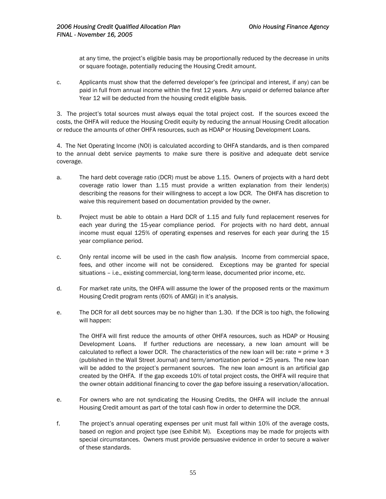at any time, the project's eligible basis may be proportionally reduced by the decrease in units or square footage, potentially reducing the Housing Credit amount.

c. Applicants must show that the deferred developer's fee (principal and interest, if any) can be paid in full from annual income within the first 12 years. Any unpaid or deferred balance after Year 12 will be deducted from the housing credit eligible basis.

3. The project's total sources must always equal the total project cost. If the sources exceed the costs, the OHFA will reduce the Housing Credit equity by reducing the annual Housing Credit allocation or reduce the amounts of other OHFA resources, such as HDAP or Housing Development Loans.

4. The Net Operating Income (NOI) is calculated according to OHFA standards, and is then compared to the annual debt service payments to make sure there is positive and adequate debt service coverage.

- a. The hard debt coverage ratio (DCR) must be above 1.15. Owners of projects with a hard debt coverage ratio lower than 1.15 must provide a written explanation from their lender(s) describing the reasons for their willingness to accept a low DCR. The OHFA has discretion to waive this requirement based on documentation provided by the owner.
- b. Project must be able to obtain a Hard DCR of 1.15 and fully fund replacement reserves for each year during the 15-year compliance period. For projects with no hard debt, annual income must equal 125% of operating expenses and reserves for each year during the 15 year compliance period.
- c. Only rental income will be used in the cash flow analysis. Income from commercial space, fees, and other income will not be considered. Exceptions may be granted for special situations – i.e., existing commercial, long-term lease, documented prior income, etc.
- d. For market rate units, the OHFA will assume the lower of the proposed rents or the maximum Housing Credit program rents (60% of AMGI) in it's analysis.
- e. The DCR for all debt sources may be no higher than 1.30. If the DCR is too high, the following will happen:

The OHFA will first reduce the amounts of other OHFA resources, such as HDAP or Housing Development Loans. If further reductions are necessary, a new loan amount will be calculated to reflect a lower DCR. The characteristics of the new loan will be: rate = prime  $+3$ (published in the Wall Street Journal) and term/amortization period = 25 years. The new loan will be added to the project's permanent sources. The new loan amount is an artificial gap created by the OHFA. If the gap exceeds 10% of total project costs, the OHFA will require that the owner obtain additional financing to cover the gap before issuing a reservation/allocation.

- e. For owners who are not syndicating the Housing Credits, the OHFA will include the annual Housing Credit amount as part of the total cash flow in order to determine the DCR.
- f. The project's annual operating expenses per unit must fall within 10% of the average costs, based on region and project type (see Exhibit M). Exceptions may be made for projects with special circumstances. Owners must provide persuasive evidence in order to secure a waiver of these standards.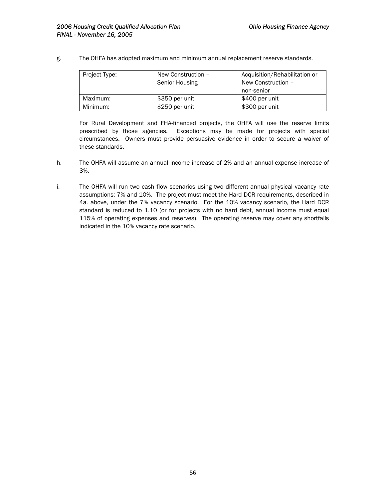g. The OHFA has adopted maximum and minimum annual replacement reserve standards.

| Project Type: | New Construction -<br>Senior Housing | Acquisition/Rehabilitation or<br>New Construction -<br>non-senior |
|---------------|--------------------------------------|-------------------------------------------------------------------|
| Maximum:      | \$350 per unit                       | \$400 per unit                                                    |
| Minimum:      | \$250 per unit                       | \$300 per unit                                                    |

For Rural Development and FHA-financed projects, the OHFA will use the reserve limits prescribed by those agencies. Exceptions may be made for projects with special circumstances. Owners must provide persuasive evidence in order to secure a waiver of these standards.

- h. The OHFA will assume an annual income increase of 2% and an annual expense increase of 3%.
- i. The OHFA will run two cash flow scenarios using two different annual physical vacancy rate assumptions: 7% and 10%. The project must meet the Hard DCR requirements, described in 4a. above, under the 7% vacancy scenario. For the 10% vacancy scenario, the Hard DCR standard is reduced to 1.10 (or for projects with no hard debt, annual income must equal 115% of operating expenses and reserves). The operating reserve may cover any shortfalls indicated in the 10% vacancy rate scenario.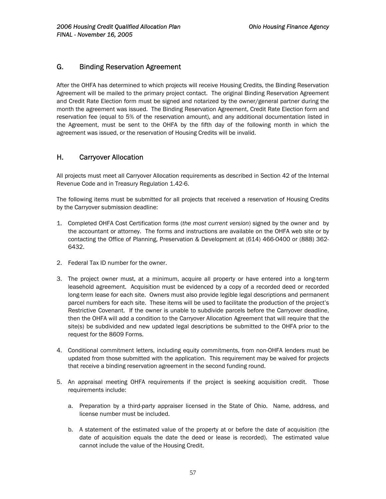# G. Binding Reservation Agreement

After the OHFA has determined to which projects will receive Housing Credits, the Binding Reservation Agreement will be mailed to the primary project contact. The original Binding Reservation Agreement and Credit Rate Election form must be signed and notarized by the owner/general partner during the month the agreement was issued. The Binding Reservation Agreement, Credit Rate Election form and reservation fee (equal to 5% of the reservation amount), and any additional documentation listed in the Agreement, must be sent to the OHFA by the fifth day of the following month in which the agreement was issued, or the reservation of Housing Credits will be invalid.

# H. Carryover Allocation

All projects must meet all Carryover Allocation requirements as described in Section 42 of the Internal Revenue Code and in Treasury Regulation 1.42-6.

The following items must be submitted for all projects that received a reservation of Housing Credits by the Carryover submission deadline:

- 1. Completed OHFA Cost Certification forms (*the most current version*) signed by the owner and by the accountant or attorney. The forms and instructions are available on the OHFA web site or by contacting the Office of Planning, Preservation & Development at (614) 466-0400 or (888) 362- 6432.
- 2. Federal Tax ID number for the owner.
- 3. The project owner must, at a minimum, acquire all property or have entered into a long-term leasehold agreement. Acquisition must be evidenced by a copy of a recorded deed or recorded long-term lease for each site. Owners must also provide legible legal descriptions and permanent parcel numbers for each site. These items will be used to facilitate the production of the project's Restrictive Covenant. If the owner is unable to subdivide parcels before the Carryover deadline, then the OHFA will add a condition to the Carryover Allocation Agreement that will require that the site(s) be subdivided and new updated legal descriptions be submitted to the OHFA prior to the request for the 8609 Forms.
- 4. Conditional commitment letters, including equity commitments, from non-OHFA lenders must be updated from those submitted with the application. This requirement may be waived for projects that receive a binding reservation agreement in the second funding round.
- 5. An appraisal meeting OHFA requirements if the project is seeking acquisition credit. Those requirements include:
	- a. Preparation by a third-party appraiser licensed in the State of Ohio. Name, address, and license number must be included.
	- b. A statement of the estimated value of the property at or before the date of acquisition (the date of acquisition equals the date the deed or lease is recorded). The estimated value cannot include the value of the Housing Credit.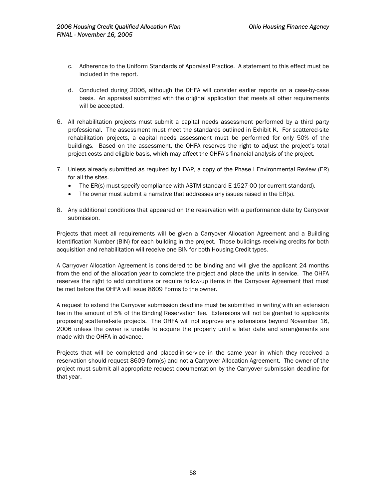- c. Adherence to the Uniform Standards of Appraisal Practice. A statement to this effect must be included in the report.
- d. Conducted during 2006, although the OHFA will consider earlier reports on a case-by-case basis. An appraisal submitted with the original application that meets all other requirements will be accepted.
- 6. All rehabilitation projects must submit a capital needs assessment performed by a third party professional. The assessment must meet the standards outlined in Exhibit K. For scattered-site rehabilitation projects, a capital needs assessment must be performed for only 50% of the buildings. Based on the assessment, the OHFA reserves the right to adjust the project's total project costs and eligible basis, which may affect the OHFA's financial analysis of the project.
- 7. Unless already submitted as required by HDAP, a copy of the Phase I Environmental Review (ER) for all the sites.
	- The ER(s) must specify compliance with ASTM standard E 1527-00 (or current standard).
	- The owner must submit a narrative that addresses any issues raised in the ER(s).
- 8. Any additional conditions that appeared on the reservation with a performance date by Carryover submission.

Projects that meet all requirements will be given a Carryover Allocation Agreement and a Building Identification Number (BIN) for each building in the project. Those buildings receiving credits for both acquisition and rehabilitation will receive one BIN for both Housing Credit types.

A Carryover Allocation Agreement is considered to be binding and will give the applicant 24 months from the end of the allocation year to complete the project and place the units in service. The OHFA reserves the right to add conditions or require follow-up items in the Carryover Agreement that must be met before the OHFA will issue 8609 Forms to the owner.

A request to extend the Carryover submission deadline must be submitted in writing with an extension fee in the amount of 5% of the Binding Reservation fee. Extensions will not be granted to applicants proposing scattered-site projects. The OHFA will not approve any extensions beyond November 16, 2006 unless the owner is unable to acquire the property until a later date and arrangements are made with the OHFA in advance.

Projects that will be completed and placed-in-service in the same year in which they received a reservation should request 8609 form(s) and not a Carryover Allocation Agreement. The owner of the project must submit all appropriate request documentation by the Carryover submission deadline for that year.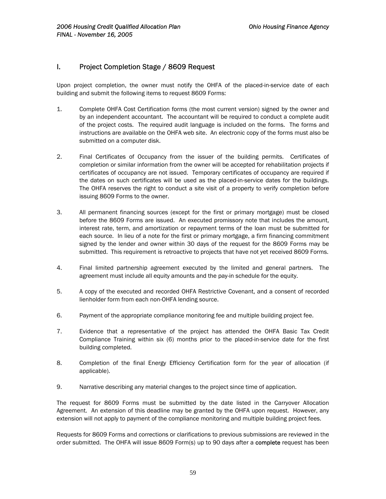# I. Project Completion Stage / 8609 Request

Upon project completion, the owner must notify the OHFA of the placed-in-service date of each building and submit the following items to request 8609 Forms:

- 1. Complete OHFA Cost Certification forms (the most current version) signed by the owner and by an independent accountant. The accountant will be required to conduct a complete audit of the project costs. The required audit language is included on the forms. The forms and instructions are available on the OHFA web site. An electronic copy of the forms must also be submitted on a computer disk.
- 2. Final Certificates of Occupancy from the issuer of the building permits. Certificates of completion or similar information from the owner will be accepted for rehabilitation projects if certificates of occupancy are not issued. Temporary certificates of occupancy are required if the dates on such certificates will be used as the placed-in-service dates for the buildings. The OHFA reserves the right to conduct a site visit of a property to verify completion before issuing 8609 Forms to the owner.
- 3. All permanent financing sources (except for the first or primary mortgage) must be closed before the 8609 Forms are issued. An executed promissory note that includes the amount, interest rate, term, and amortization or repayment terms of the loan must be submitted for each source. In lieu of a note for the first or primary mortgage, a firm financing commitment signed by the lender and owner within 30 days of the request for the 8609 Forms may be submitted. This requirement is retroactive to projects that have not yet received 8609 Forms.
- 4. Final limited partnership agreement executed by the limited and general partners. The agreement must include all equity amounts and the pay-in schedule for the equity.
- 5. A copy of the executed and recorded OHFA Restrictive Covenant, and a consent of recorded lienholder form from each non-OHFA lending source.
- 6. Payment of the appropriate compliance monitoring fee and multiple building project fee.
- 7. Evidence that a representative of the project has attended the OHFA Basic Tax Credit Compliance Training within six (6) months prior to the placed-in-service date for the first building completed.
- 8. Completion of the final Energy Efficiency Certification form for the year of allocation (if applicable).
- 9. Narrative describing any material changes to the project since time of application.

The request for 8609 Forms must be submitted by the date listed in the Carryover Allocation Agreement. An extension of this deadline may be granted by the OHFA upon request. However, any extension will not apply to payment of the compliance monitoring and multiple building project fees.

Requests for 8609 Forms and corrections or clarifications to previous submissions are reviewed in the order submitted. The OHFA will issue 8609 Form(s) up to 90 days after a **complete** request has been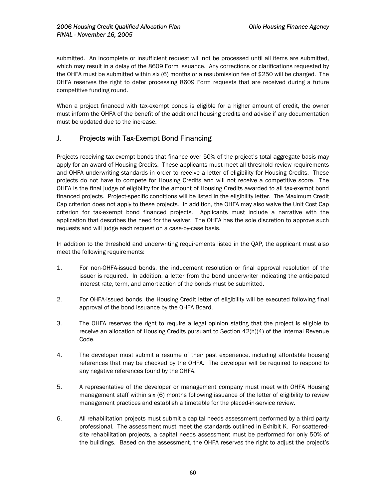submitted. An incomplete or insufficient request will not be processed until all items are submitted, which may result in a delay of the 8609 Form issuance. Any corrections or clarifications requested by the OHFA must be submitted within six (6) months or a resubmission fee of \$250 will be charged. The OHFA reserves the right to defer processing 8609 Form requests that are received during a future competitive funding round.

When a project financed with tax-exempt bonds is eligible for a higher amount of credit, the owner must inform the OHFA of the benefit of the additional housing credits and advise if any documentation must be updated due to the increase.

# J. Projects with Tax-Exempt Bond Financing

Projects receiving tax-exempt bonds that finance over 50% of the project's total aggregate basis may apply for an award of Housing Credits. These applicants must meet all threshold review requirements and OHFA underwriting standards in order to receive a letter of eligibility for Housing Credits. These projects do not have to compete for Housing Credits and will not receive a competitive score. The OHFA is the final judge of eligibility for the amount of Housing Credits awarded to all tax-exempt bond financed projects. Project-specific conditions will be listed in the eligibility letter. The Maximum Credit Cap criterion does not apply to these projects. In addition, the OHFA may also waive the Unit Cost Cap criterion for tax-exempt bond financed projects. Applicants must include a narrative with the application that describes the need for the waiver. The OHFA has the sole discretion to approve such requests and will judge each request on a case-by-case basis.

In addition to the threshold and underwriting requirements listed in the QAP, the applicant must also meet the following requirements:

- 1. For non-OHFA-issued bonds, the inducement resolution or final approval resolution of the issuer is required. In addition, a letter from the bond underwriter indicating the anticipated interest rate, term, and amortization of the bonds must be submitted.
- 2. For OHFA-issued bonds, the Housing Credit letter of eligibility will be executed following final approval of the bond issuance by the OHFA Board.
- 3. The OHFA reserves the right to require a legal opinion stating that the project is eligible to receive an allocation of Housing Credits pursuant to Section 42(h)(4) of the Internal Revenue Code.
- 4. The developer must submit a resume of their past experience, including affordable housing references that may be checked by the OHFA. The developer will be required to respond to any negative references found by the OHFA.
- 5. A representative of the developer or management company must meet with OHFA Housing management staff within six (6) months following issuance of the letter of eligibility to review management practices and establish a timetable for the placed-in-service review.
- 6. All rehabilitation projects must submit a capital needs assessment performed by a third party professional. The assessment must meet the standards outlined in Exhibit K. For scatteredsite rehabilitation projects, a capital needs assessment must be performed for only 50% of the buildings. Based on the assessment, the OHFA reserves the right to adjust the project's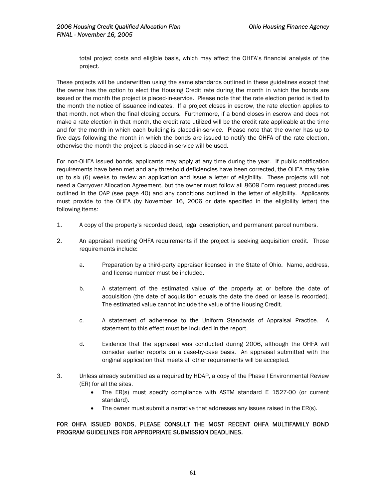total project costs and eligible basis, which may affect the OHFA's financial analysis of the project.

These projects will be underwritten using the same standards outlined in these guidelines except that the owner has the option to elect the Housing Credit rate during the month in which the bonds are issued or the month the project is placed-in-service. Please note that the rate election period is tied to the month the notice of issuance indicates. If a project closes in escrow, the rate election applies to that month, not when the final closing occurs. Furthermore, if a bond closes in escrow and does not make a rate election in that month, the credit rate utilized will be the credit rate applicable at the time and for the month in which each building is placed-in-service. Please note that the owner has up to five days following the month in which the bonds are issued to notify the OHFA of the rate election, otherwise the month the project is placed-in-service will be used.

For non-OHFA issued bonds, applicants may apply at any time during the year. If public notification requirements have been met and any threshold deficiencies have been corrected, the OHFA may take up to six (6) weeks to review an application and issue a letter of eligibility. These projects will not need a Carryover Allocation Agreement, but the owner must follow all 8609 Form request procedures outlined in the QAP (see page 40) and any conditions outlined in the letter of eligibility. Applicants must provide to the OHFA (by November 16, 2006 or date specified in the eligibility letter) the following items:

- 1. A copy of the property's recorded deed, legal description, and permanent parcel numbers.
- 2. An appraisal meeting OHFA requirements if the project is seeking acquisition credit. Those requirements include:
	- a. Preparation by a third-party appraiser licensed in the State of Ohio. Name, address, and license number must be included.
	- b. A statement of the estimated value of the property at or before the date of acquisition (the date of acquisition equals the date the deed or lease is recorded). The estimated value cannot include the value of the Housing Credit.
	- c. A statement of adherence to the Uniform Standards of Appraisal Practice. A statement to this effect must be included in the report.
	- d. Evidence that the appraisal was conducted during 2006, although the OHFA will consider earlier reports on a case-by-case basis. An appraisal submitted with the original application that meets all other requirements will be accepted.
- 3. Unless already submitted as a required by HDAP, a copy of the Phase I Environmental Review (ER) for all the sites.
	- The ER(s) must specify compliance with ASTM standard E 1527-00 (or current standard).
	- The owner must submit a narrative that addresses any issues raised in the ER(s).

## FOR OHFA ISSUED BONDS, PLEASE CONSULT THE MOST RECENT OHFA MULTIFAMILY BOND PROGRAM GUIDELINES FOR APPROPRIATE SUBMISSION DEADLINES.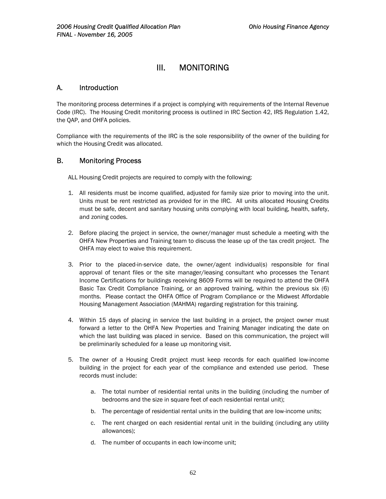# III. MONITORING

# A. Introduction

The monitoring process determines if a project is complying with requirements of the Internal Revenue Code (IRC). The Housing Credit monitoring process is outlined in IRC Section 42, IRS Regulation 1.42, the QAP, and OHFA policies.

Compliance with the requirements of the IRC is the sole responsibility of the owner of the building for which the Housing Credit was allocated.

# B. Monitoring Process

ALL Housing Credit projects are required to comply with the following:

- 1. All residents must be income qualified, adjusted for family size prior to moving into the unit. Units must be rent restricted as provided for in the IRC. All units allocated Housing Credits must be safe, decent and sanitary housing units complying with local building, health, safety, and zoning codes.
- 2. Before placing the project in service, the owner/manager must schedule a meeting with the OHFA New Properties and Training team to discuss the lease up of the tax credit project. The OHFA may elect to waive this requirement.
- 3. Prior to the placed-in-service date, the owner/agent individual(s) responsible for final approval of tenant files or the site manager/leasing consultant who processes the Tenant Income Certifications for buildings receiving 8609 Forms will be required to attend the OHFA Basic Tax Credit Compliance Training, or an approved training, within the previous six (6) months. Please contact the OHFA Office of Program Compliance or the Midwest Affordable Housing Management Association (MAHMA) regarding registration for this training.
- 4. Within 15 days of placing in service the last building in a project, the project owner must forward a letter to the OHFA New Properties and Training Manager indicating the date on which the last building was placed in service. Based on this communication, the project will be preliminarily scheduled for a lease up monitoring visit.
- 5. The owner of a Housing Credit project must keep records for each qualified low-income building in the project for each year of the compliance and extended use period. These records must include:
	- a. The total number of residential rental units in the building (including the number of bedrooms and the size in square feet of each residential rental unit);
	- b. The percentage of residential rental units in the building that are low-income units;
	- c. The rent charged on each residential rental unit in the building (including any utility allowances);
	- d. The number of occupants in each low-income unit;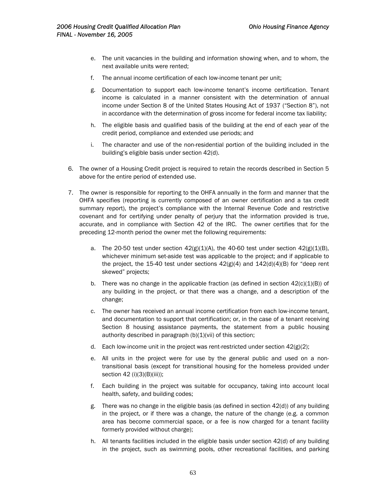- e. The unit vacancies in the building and information showing when, and to whom, the next available units were rented;
- f. The annual income certification of each low-income tenant per unit;
- g. Documentation to support each low-income tenant's income certification. Tenant income is calculated in a manner consistent with the determination of annual income under Section 8 of the United States Housing Act of 1937 ("Section 8"), not in accordance with the determination of gross income for federal income tax liability;
- h. The eligible basis and qualified basis of the building at the end of each year of the credit period, compliance and extended use periods; and
- i. The character and use of the non-residential portion of the building included in the building's eligible basis under section 42(d).
- 6. The owner of a Housing Credit project is required to retain the records described in Section 5 above for the entire period of extended use.
- 7. The owner is responsible for reporting to the OHFA annually in the form and manner that the OHFA specifies (reporting is currently composed of an owner certification and a tax credit summary report), the project's compliance with the Internal Revenue Code and restrictive covenant and for certifying under penalty of perjury that the information provided is true, accurate, and in compliance with Section 42 of the IRC. The owner certifies that for the preceding 12-month period the owner met the following requirements:
	- a. The 20-50 test under section  $42(g)(1)(A)$ , the 40-60 test under section  $42(g)(1)(B)$ , whichever minimum set-aside test was applicable to the project; and if applicable to the project, the 15-40 test under sections  $42(g)(4)$  and  $142(d)(4)(B)$  for "deep rent skewed" projects;
	- b. There was no change in the applicable fraction (as defined in section  $42(c)(1)(B)$ ) of any building in the project, or that there was a change, and a description of the change;
	- c. The owner has received an annual income certification from each low-income tenant, and documentation to support that certification; or, in the case of a tenant receiving Section 8 housing assistance payments, the statement from a public housing authority described in paragraph  $(b)(1)(vi)$  of this section;
	- d. Each low-income unit in the project was rent-restricted under section  $42(g)(2)$ ;
	- e. All units in the project were for use by the general public and used on a nontransitional basis (except for transitional housing for the homeless provided under section 42 (i)(3)(B)(iii));
	- f. Each building in the project was suitable for occupancy, taking into account local health, safety, and building codes;
	- g. There was no change in the eligible basis (as defined in section 42(d)) of any building in the project, or if there was a change, the nature of the change (e.g. a common area has become commercial space, or a fee is now charged for a tenant facility formerly provided without charge);
	- h. All tenants facilities included in the eligible basis under section 42(d) of any building in the project, such as swimming pools, other recreational facilities, and parking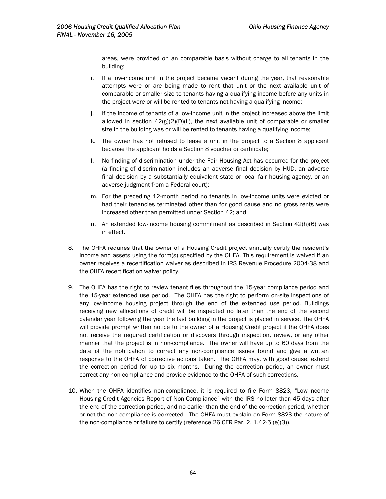areas, were provided on an comparable basis without charge to all tenants in the building;

- i. If a low-income unit in the project became vacant during the year, that reasonable attempts were or are being made to rent that unit or the next available unit of comparable or smaller size to tenants having a qualifying income before any units in the project were or will be rented to tenants not having a qualifying income;
- j. If the income of tenants of a low-income unit in the project increased above the limit allowed in section  $42(g)(2)(D)(ii)$ , the next available unit of comparable or smaller size in the building was or will be rented to tenants having a qualifying income;
- k. The owner has not refused to lease a unit in the project to a Section 8 applicant because the applicant holds a Section 8 voucher or certificate;
- l. No finding of discrimination under the Fair Housing Act has occurred for the project (a finding of discrimination includes an adverse final decision by HUD, an adverse final decision by a substantially equivalent state or local fair housing agency, or an adverse judgment from a Federal court);
- m. For the preceding 12-month period no tenants in low-income units were evicted or had their tenancies terminated other than for good cause and no gross rents were increased other than permitted under Section 42; and
- n. An extended low-income housing commitment as described in Section 42(h)(6) was in effect.
- 8. The OHFA requires that the owner of a Housing Credit project annually certify the resident's income and assets using the form(s) specified by the OHFA. This requirement is waived if an owner receives a recertification waiver as described in IRS Revenue Procedure 2004-38 and the OHFA recertification waiver policy.
- 9. The OHFA has the right to review tenant files throughout the 15-year compliance period and the 15-year extended use period. The OHFA has the right to perform on-site inspections of any low-income housing project through the end of the extended use period. Buildings receiving new allocations of credit will be inspected no later than the end of the second calendar year following the year the last building in the project is placed in service. The OHFA will provide prompt written notice to the owner of a Housing Credit project if the OHFA does not receive the required certification or discovers through inspection, review, or any other manner that the project is in non-compliance. The owner will have up to 60 days from the date of the notification to correct any non-compliance issues found and give a written response to the OHFA of corrective actions taken. The OHFA may, with good cause, extend the correction period for up to six months. During the correction period, an owner must correct any non-compliance and provide evidence to the OHFA of such corrections.
- 10. When the OHFA identifies non-compliance, it is required to file Form 8823, "Low-Income Housing Credit Agencies Report of Non-Compliance" with the IRS no later than 45 days after the end of the correction period, and no earlier than the end of the correction period, whether or not the non-compliance is corrected. The OHFA must explain on Form 8823 the nature of the non-compliance or failure to certify (reference 26 CFR Par. 2. 1.42-5 (e)(3)).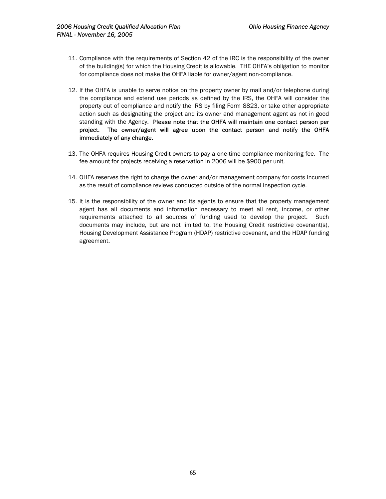- 11. Compliance with the requirements of Section 42 of the IRC is the responsibility of the owner of the building(s) for which the Housing Credit is allowable. THE OHFA's obligation to monitor for compliance does not make the OHFA liable for owner/agent non-compliance.
- 12. If the OHFA is unable to serve notice on the property owner by mail and/or telephone during the compliance and extend use periods as defined by the IRS, the OHFA will consider the property out of compliance and notify the IRS by filing Form 8823, or take other appropriate action such as designating the project and its owner and management agent as not in good standing with the Agency. Please note that the OHFA will maintain one contact person per project. The owner/agent will agree upon the contact person and notify the OHFA immediately of any change.
- 13. The OHFA requires Housing Credit owners to pay a one-time compliance monitoring fee. The fee amount for projects receiving a reservation in 2006 will be \$900 per unit.
- 14. OHFA reserves the right to charge the owner and/or management company for costs incurred as the result of compliance reviews conducted outside of the normal inspection cycle.
- 15. It is the responsibility of the owner and its agents to ensure that the property management agent has all documents and information necessary to meet all rent, income, or other requirements attached to all sources of funding used to develop the project. Such documents may include, but are not limited to, the Housing Credit restrictive covenant(s), Housing Development Assistance Program (HDAP) restrictive covenant, and the HDAP funding agreement.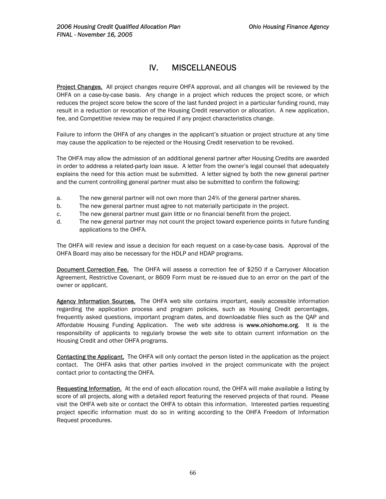# IV. MISCELLANEOUS

Project Changes. All project changes require OHFA approval, and all changes will be reviewed by the OHFA on a case-by-case basis. Any change in a project which reduces the project score, or which reduces the project score below the score of the last funded project in a particular funding round, may result in a reduction or revocation of the Housing Credit reservation or allocation. A new application, fee, and Competitive review may be required if any project characteristics change.

Failure to inform the OHFA of any changes in the applicant's situation or project structure at any time may cause the application to be rejected or the Housing Credit reservation to be revoked.

The OHFA may allow the admission of an additional general partner after Housing Credits are awarded in order to address a related-party loan issue. A letter from the owner's legal counsel that adequately explains the need for this action must be submitted. A letter signed by both the new general partner and the current controlling general partner must also be submitted to confirm the following:

- a. The new general partner will not own more than 24% of the general partner shares.
- b. The new general partner must agree to not materially participate in the project.
- c. The new general partner must gain little or no financial benefit from the project.
- d. The new general partner may not count the project toward experience points in future funding applications to the OHFA.

The OHFA will review and issue a decision for each request on a case-by-case basis. Approval of the OHFA Board may also be necessary for the HDLP and HDAP programs.

**Document Correction Fee.** The OHFA will assess a correction fee of \$250 if a Carryover Allocation Agreement, Restrictive Covenant, or 8609 Form must be re-issued due to an error on the part of the owner or applicant.

Agency Information Sources. The OHFA web site contains important, easily accessible information regarding the application process and program policies, such as Housing Credit percentages, frequently asked questions, important program dates, and downloadable files such as the QAP and Affordable Housing Funding Application. The web site address is www.ohiohome.org. It is the responsibility of applicants to regularly browse the web site to obtain current information on the Housing Credit and other OHFA programs.

Contacting the Applicant. The OHFA will only contact the person listed in the application as the project contact. The OHFA asks that other parties involved in the project communicate with the project contact prior to contacting the OHFA.

Requesting Information. At the end of each allocation round, the OHFA will make available a listing by score of all projects, along with a detailed report featuring the reserved projects of that round. Please visit the OHFA web site or contact the OHFA to obtain this information. Interested parties requesting project specific information must do so in writing according to the OHFA Freedom of Information Request procedures.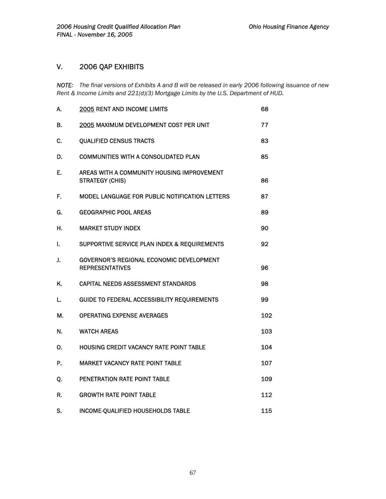# V. 2006 QAP EXHIBITS

*NOTE: The final versions of Exhibits A and B will be released in early 2006 following issuance of new Rent & Income Limits and 221(d)(3) Mortgage Limits by the U.S. Department of HUD.* 

| А. | 2005 RENT AND INCOME LIMITS                                               | 68  |
|----|---------------------------------------------------------------------------|-----|
| В. | 2005 MAXIMUM DEVELOPMENT COST PER UNIT                                    | 77  |
| C. | <b>QUALIFIED CENSUS TRACTS</b>                                            | 83  |
| D. | <b>COMMUNITIES WITH A CONSOLIDATED PLAN</b>                               | 85  |
| Е. | AREAS WITH A COMMUNITY HOUSING IMPROVEMENT<br><b>STRATEGY (CHIS)</b>      | 86  |
| F. | MODEL LANGUAGE FOR PUBLIC NOTIFICATION LETTERS                            | 87  |
| G. | <b>GEOGRAPHIC POOL AREAS</b>                                              | 89  |
| Н. | <b>MARKET STUDY INDEX</b>                                                 | 90  |
| ı. | SUPPORTIVE SERVICE PLAN INDEX & REQUIREMENTS                              | 92  |
| J. | <b>GOVERNOR'S REGIONAL ECONOMIC DEVELOPMENT</b><br><b>REPRESENTATIVES</b> | 96  |
| K. | <b>CAPITAL NEEDS ASSESSMENT STANDARDS</b>                                 | 98  |
| L. | <b>GUIDE TO FEDERAL ACCESSIBILITY REQUIREMENTS</b>                        | 99  |
| М. | <b>OPERATING EXPENSE AVERAGES</b>                                         | 102 |
| N. | <b>WATCH AREAS</b>                                                        | 103 |
| Ο. | <b>HOUSING CREDIT VACANCY RATE POINT TABLE</b>                            | 104 |
| Р. | <b>MARKET VACANCY RATE POINT TABLE</b>                                    | 107 |
| Q. | <b>PENETRATION RATE POINT TABLE</b>                                       | 109 |
| R. | <b>GROWTH RATE POINT TABLE</b>                                            | 112 |
| S. | <b>INCOME-QUALIFIED HOUSEHOLDS TABLE</b>                                  | 115 |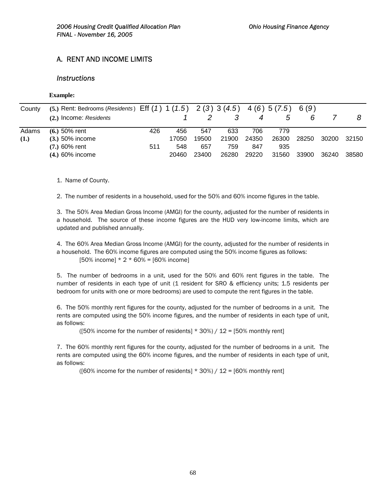# A. RENT AND INCOME LIMITS

## *Instructions*

#### **Example:**

| County | (5.) Rent: Bedrooms (Residents) Eff $(1)$ 1 $(1.5)$ 2 $(3)$ 3 $(4.5)$ 4 $(6)$ 5 $(7.5)$ 6 $(9)$ |     |       |       |       |       |       |       |       |       |
|--------|-------------------------------------------------------------------------------------------------|-----|-------|-------|-------|-------|-------|-------|-------|-------|
|        | (2.) Income: Residents                                                                          |     |       |       |       |       | 5     | 6     |       |       |
| Adams  | $(6.)$ 50% rent                                                                                 | 426 | 456   | 547   | 633   | 706   | 779   |       |       |       |
| (1.)   | $(3.)$ 50% income                                                                               |     | 17050 | 19500 | 21900 | 24350 | 26300 | 28250 | 30200 | 32150 |
|        | $(7.) 60%$ rent                                                                                 | 511 | 548   | 657   | 759   | 847   | 935   |       |       |       |
|        | $(4.)\,60\%$ income                                                                             |     | 20460 | 23400 | 26280 | 29220 | 31560 | 33900 | 36240 | 38580 |

1. Name of County.

2. The number of residents in a household, used for the 50% and 60% income figures in the table.

3. The 50% Area Median Gross Income (AMGI) for the county, adjusted for the number of residents in a household. The source of these income figures are the HUD very low-income limits, which are updated and published annually.

4. The 60% Area Median Gross Income (AMGI) for the county, adjusted for the number of residents in a household. The 60% income figures are computed using the 50% income figures as follows:  $[50\% \text{ income}] * 2 * 60\% = [60\% \text{ income}]$ 

5. The number of bedrooms in a unit, used for the 50% and 60% rent figures in the table. The number of residents in each type of unit (1 resident for SRO & efficiency units; 1.5 residents per bedroom for units with one or more bedrooms) are used to compute the rent figures in the table.

6. The 50% monthly rent figures for the county, adjusted for the number of bedrooms in a unit. The rents are computed using the 50% income figures, and the number of residents in each type of unit, as follows:

( $[50\%$  income for the number of residents]  $*$  30%) / 12 = [50% monthly rent]

7. The 60% monthly rent figures for the county, adjusted for the number of bedrooms in a unit. The rents are computed using the 60% income figures, and the number of residents in each type of unit, as follows:

( $[60\%$  income for the number of residents]  $*$  30%) / 12 =  $[60\%$  monthly rent]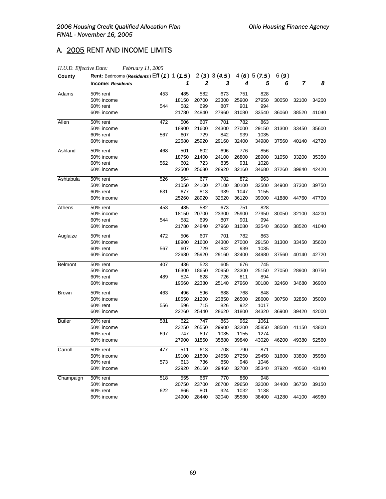# A. 2005 RENT AND INCOME LIMITS

| H.U.D. Effective Date: |                                               | February 11, 2005 |       |       |            |       |            |       |       |       |
|------------------------|-----------------------------------------------|-------------------|-------|-------|------------|-------|------------|-------|-------|-------|
| County                 | Rent: Bedrooms (Residents) $Eff(1)$ 1 $(1.5)$ |                   |       |       | 2(3)3(4.5) |       | 4(6)5(7.5) | 6(9)  |       |       |
|                        | <b>Income: Residents</b>                      |                   | 1     | 2     | 3          | 4     | 5          | 6     | 7     | 8     |
| Adams                  | 50% rent                                      | 453               | 485   | 582   | 673        | 751   | 828        |       |       |       |
|                        | 50% income                                    |                   | 18150 | 20700 | 23300      | 25900 | 27950      | 30050 | 32100 | 34200 |
|                        | 60% rent                                      | 544               | 582   | 699   | 807        | 901   | 994        |       |       |       |
|                        | 60% income                                    |                   | 21780 | 24840 | 27960      | 31080 | 33540      | 36060 | 38520 | 41040 |
| Allen                  | 50% rent                                      | 472               | 506   | 607   | 701        | 782   | 863        |       |       |       |
|                        | 50% income                                    |                   | 18900 | 21600 | 24300      | 27000 | 29150      | 31300 | 33450 | 35600 |
|                        | 60% rent                                      | 567               | 607   | 729   | 842        | 939   | 1035       |       |       |       |
|                        | 60% income                                    |                   | 22680 | 25920 | 29160      | 32400 | 34980      | 37560 | 40140 | 42720 |
| Ashland                | 50% rent                                      | 468               | 501   | 602   | 696        | 776   | 856        |       |       |       |
|                        | 50% income                                    |                   | 18750 | 21400 | 24100      | 26800 | 28900      | 31050 | 33200 | 35350 |
|                        | 60% rent                                      | 562               | 602   | 723   | 835        | 931   | 1028       |       |       |       |
|                        | 60% income                                    |                   | 22500 | 25680 | 28920      | 32160 | 34680      | 37260 | 39840 | 42420 |
| Ashtabula              | 50% rent                                      | 526               | 564   | 677   | 782        | 872   | 963        |       |       |       |
|                        | 50% income                                    |                   | 21050 | 24100 | 27100      | 30100 | 32500      | 34900 | 37300 | 39750 |
|                        | 60% rent                                      | 631               | 677   | 813   | 939        | 1047  | 1155       |       |       |       |
|                        | 60% income                                    |                   | 25260 | 28920 | 32520      | 36120 | 39000      | 41880 | 44760 | 47700 |
| Athens                 | 50% rent                                      | 453               | 485   | 582   | 673        | 751   | 828        |       |       |       |
|                        | 50% income                                    |                   | 18150 | 20700 | 23300      | 25900 | 27950      | 30050 | 32100 | 34200 |
|                        | 60% rent                                      | 544               | 582   | 699   | 807        | 901   | 994        |       |       |       |
|                        | 60% income                                    |                   | 21780 | 24840 | 27960      | 31080 | 33540      | 36060 | 38520 | 41040 |
| Auglaize               | 50% rent                                      | 472               | 506   | 607   | 701        | 782   | 863        |       |       |       |
|                        | 50% income                                    |                   | 18900 | 21600 | 24300      | 27000 | 29150      | 31300 | 33450 | 35600 |
|                        | 60% rent                                      | 567               | 607   | 729   | 842        | 939   | 1035       |       |       |       |
|                        | 60% income                                    |                   | 22680 | 25920 | 29160      | 32400 | 34980      | 37560 | 40140 | 42720 |
| <b>Belmont</b>         | 50% rent                                      | 407               | 436   | 523   | 605        | 676   | 745        |       |       |       |
|                        | 50% income                                    |                   | 16300 | 18650 | 20950      | 23300 | 25150      | 27050 | 28900 | 30750 |
|                        | 60% rent                                      | 489               | 524   | 628   | 726        | 811   | 894        |       |       |       |
|                        | 60% income                                    |                   | 19560 | 22380 | 25140      | 27960 | 30180      | 32460 | 34680 | 36900 |
| <b>Brown</b>           | 50% rent                                      | 463               | 496   | 596   | 688        | 768   | 848        |       |       |       |
|                        | 50% income                                    |                   | 18550 | 21200 | 23850      | 26500 | 28600      | 30750 | 32850 | 35000 |
|                        | 60% rent                                      | 556               | 596   | 715   | 826        | 922   | 1017       |       |       |       |
|                        | 60% income                                    |                   | 22260 | 25440 | 28620      | 31800 | 34320      | 36900 | 39420 | 42000 |
| <b>Butler</b>          | 50% rent                                      | 581               | 622   | 747   | 863        | 962   | 1061       |       |       |       |
|                        | 50% income                                    |                   | 23250 | 26550 | 29900      | 33200 | 35850      | 38500 | 41150 | 43800 |
|                        | 60% rent                                      | 697               | 747   | 897   | 1035       | 1155  | 1274       |       |       |       |
|                        | 60% income                                    |                   | 27900 | 31860 | 35880      | 39840 | 43020      | 46200 | 49380 | 52560 |
| Carroll                | 50% rent                                      | 477               | 511   | 613   | 708        | 790   | 871        |       |       |       |
|                        | 50% income                                    |                   | 19100 | 21800 | 24550      | 27250 | 29450      | 31600 | 33800 | 35950 |
|                        | 60% rent                                      | 573               | 613   | 736   | 850        | 948   | 1046       |       |       |       |
|                        | 60% income                                    |                   | 22920 | 26160 | 29460      | 32700 | 35340      | 37920 | 40560 | 43140 |
| Champaign              | 50% rent                                      | 518               | 555   | 667   | 770        | 860   | 948        |       |       |       |
|                        | 50% income                                    |                   | 20750 | 23700 | 26700      | 29650 | 32000      | 34400 | 36750 | 39150 |
|                        | 60% rent                                      | 622               | 666   | 801   | 924        | 1032  | 1138       |       |       |       |
|                        | 60% income                                    |                   | 24900 | 28440 | 32040      | 35580 | 38400      | 41280 | 44100 | 46980 |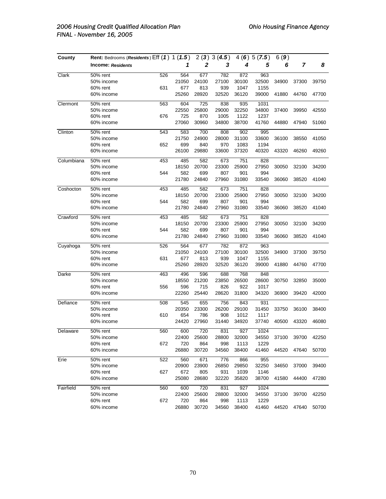| County     | Rent: Bedrooms (Residents) Eff (1) 1 (1.5) |     |       |       | 2(3)3(4.5) |       | 4(6)5(7.5) | 6(9)  |       |             |
|------------|--------------------------------------------|-----|-------|-------|------------|-------|------------|-------|-------|-------------|
|            | <b>Income: Residents</b>                   |     | 1     | 2     | 3          | 4     | 5          | 6     | 7     | 8           |
| Clark      | 50% rent                                   | 526 | 564   | 677   | 782        | 872   | 963        |       |       |             |
|            | 50% income                                 |     | 21050 | 24100 | 27100      | 30100 | 32500      | 34900 | 37300 | 39750       |
|            | 60% rent                                   | 631 | 677   | 813   | 939        | 1047  | 1155       |       |       |             |
|            | 60% income                                 |     | 25260 | 28920 | 32520      | 36120 | 39000      | 41880 | 44760 | 47700       |
| Clermont   | 50% rent                                   | 563 | 604   | 725   | 838        | 935   | 1031       |       |       |             |
|            | 50% income                                 |     | 22550 | 25800 | 29000      | 32250 | 34800      | 37400 | 39950 | 42550       |
|            | 60% rent                                   | 676 | 725   | 870   | 1005       | 1122  | 1237       |       |       |             |
|            | 60% income                                 |     | 27060 | 30960 | 34800      | 38700 | 41760      | 44880 | 47940 | 51060       |
| Clinton    | 50% rent                                   | 543 | 583   | 700   | 808        | 902   | 995        |       |       |             |
|            | 50% income                                 |     | 21750 | 24900 | 28000      | 31100 | 33600      | 36100 | 38550 | 41050       |
|            | 60% rent                                   | 652 | 699   | 840   | 970        | 1083  | 1194       |       |       |             |
|            | 60% income                                 |     | 26100 | 29880 | 33600      | 37320 | 40320      | 43320 | 46260 | 49260       |
| Columbiana | 50% rent                                   | 453 | 485   | 582   | 673        | 751   | 828        |       |       |             |
|            | 50% income                                 |     | 18150 | 20700 | 23300      | 25900 | 27950      | 30050 | 32100 | 34200       |
|            | 60% rent                                   | 544 | 582   | 699   | 807        | 901   | 994        |       |       |             |
|            | 60% income                                 |     | 21780 | 24840 | 27960      | 31080 | 33540      | 36060 | 38520 | 41040       |
| Coshocton  | 50% rent                                   | 453 | 485   | 582   | 673        | 751   | 828        |       |       |             |
|            | 50% income                                 |     | 18150 | 20700 | 23300      | 25900 | 27950      | 30050 | 32100 | 34200       |
|            | 60% rent                                   | 544 | 582   | 699   | 807        | 901   | 994        |       |       |             |
|            | 60% income                                 |     | 21780 | 24840 | 27960      | 31080 | 33540      | 36060 | 38520 | 41040       |
| Crawford   | 50% rent                                   | 453 | 485   | 582   | 673        | 751   | 828        |       |       |             |
|            | 50% income                                 |     | 18150 | 20700 | 23300      | 25900 | 27950      | 30050 | 32100 | 34200       |
|            | 60% rent                                   | 544 | 582   | 699   | 807        | 901   | 994        |       |       |             |
|            | 60% income                                 |     | 21780 | 24840 | 27960      | 31080 | 33540      | 36060 | 38520 | 41040       |
| Cuyahoga   | 50% rent                                   | 526 | 564   | 677   | 782        | 872   | 963        |       |       |             |
|            | 50% income                                 |     | 21050 | 24100 | 27100      | 30100 | 32500      | 34900 | 37300 | 39750       |
|            | 60% rent                                   | 631 | 677   | 813   | 939        | 1047  | 1155       |       |       |             |
|            | 60% income                                 |     | 25260 | 28920 | 32520      | 36120 | 39000      | 41880 | 44760 | 47700       |
| Darke      | 50% rent                                   | 463 | 496   | 596   | 688        | 768   | 848        |       |       |             |
|            | 50% income                                 |     | 18550 | 21200 | 23850      | 26500 | 28600      | 30750 | 32850 | 35000       |
|            | 60% rent                                   | 556 | 596   | 715   | 826        | 922   | 1017       |       |       |             |
|            | 60% income                                 |     | 22260 | 25440 | 28620      | 31800 | 34320      | 36900 | 39420 | 42000       |
| Defiance   | 50% rent                                   | 508 | 545   | 655   | 756        | 843   | 931        |       |       |             |
|            | 50% income                                 |     | 20350 | 23300 | 26200      | 29100 | 31450      | 33750 | 36100 | 38400       |
|            | 60% rent                                   | 610 | 654   | 786   | 908        | 1012  | 1117       |       |       |             |
|            | 60% income                                 |     | 24420 | 27960 | 31440      | 34920 | 37740      | 40500 | 43320 | 46080       |
| Delaware   | 50% rent                                   | 560 | 600   | 720   | 831        | 927   | 1024       |       |       |             |
|            | 50% income                                 |     | 22400 | 25600 | 28800      | 32000 | 34550      | 37100 | 39700 | 42250       |
|            | 60% rent                                   | 672 | 720   | 864   | 998        | 1113  | 1229       |       |       |             |
|            | 60% income                                 |     | 26880 | 30720 | 34560      | 38400 | 41460      | 44520 | 47640 | 50700       |
| Erie       | 50% rent                                   | 522 | 560   | 671   | 776        | 866   | 955        |       |       |             |
|            | 50% income                                 |     | 20900 | 23900 | 26850      | 29850 | 32250      | 34650 | 37000 | 39400       |
|            | 60% rent                                   | 627 | 672   | 805   | 931        | 1039  | 1146       |       |       |             |
|            | 60% income                                 |     | 25080 | 28680 | 32220      | 35820 | 38700      | 41580 | 44400 | 47280       |
| Fairfield  | 50% rent                                   | 560 | 600   | 720   | 831        | 927   | 1024       |       |       |             |
|            | 50% income                                 |     | 22400 | 25600 | 28800      | 32000 | 34550      | 37100 | 39700 | 42250       |
|            | 60% rent                                   | 672 | 720   | 864   | 998        | 1113  | 1229       |       |       |             |
|            | 60% income                                 |     | 26880 | 30720 | 34560      | 38400 | 41460      | 44520 |       | 47640 50700 |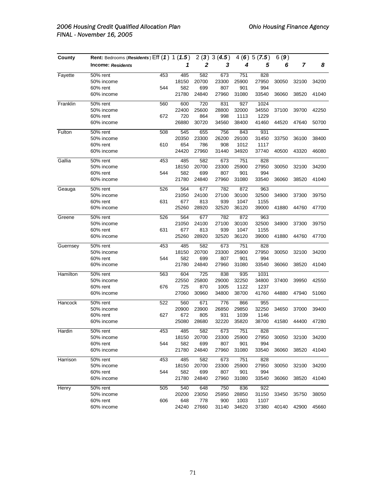| County   | Rent: Bedrooms (Residents) Eff (1) 1 (1.5) |     |       | 2(3)  | 3(4.5) |       | 4(6)5(7.5) | 6(9)  |       |       |
|----------|--------------------------------------------|-----|-------|-------|--------|-------|------------|-------|-------|-------|
|          | <b>Income: Residents</b>                   |     | 1     | 2     | 3      | 4     | 5          | 6     | 7     | 8     |
| Fayette  | 50% rent                                   | 453 | 485   | 582   | 673    | 751   | 828        |       |       |       |
|          | 50% income                                 |     | 18150 | 20700 | 23300  | 25900 | 27950      | 30050 | 32100 | 34200 |
|          | 60% rent                                   | 544 | 582   | 699   | 807    | 901   | 994        |       |       |       |
|          | 60% income                                 |     | 21780 | 24840 | 27960  | 31080 | 33540      | 36060 | 38520 | 41040 |
| Franklin | 50% rent                                   | 560 | 600   | 720   | 831    | 927   | 1024       |       |       |       |
|          | 50% income                                 |     | 22400 | 25600 | 28800  | 32000 | 34550      | 37100 | 39700 | 42250 |
|          | 60% rent                                   | 672 | 720   | 864   | 998    | 1113  | 1229       |       |       |       |
|          | 60% income                                 |     | 26880 | 30720 | 34560  | 38400 | 41460      | 44520 | 47640 | 50700 |
| Fulton   | 50% rent                                   | 508 | 545   | 655   | 756    | 843   | 931        |       |       |       |
|          | 50% income                                 |     | 20350 | 23300 | 26200  | 29100 | 31450      | 33750 | 36100 | 38400 |
|          | 60% rent                                   | 610 | 654   | 786   | 908    | 1012  | 1117       |       |       |       |
|          | 60% income                                 |     | 24420 | 27960 | 31440  | 34920 | 37740      | 40500 | 43320 | 46080 |
| Gallia   | 50% rent                                   | 453 | 485   | 582   | 673    | 751   | 828        |       |       |       |
|          | 50% income                                 |     | 18150 | 20700 | 23300  | 25900 | 27950      | 30050 | 32100 | 34200 |
|          | 60% rent                                   | 544 | 582   | 699   | 807    | 901   | 994        |       |       |       |
|          | 60% income                                 |     | 21780 | 24840 | 27960  | 31080 | 33540      | 36060 | 38520 | 41040 |
| Geauga   | 50% rent                                   | 526 | 564   | 677   | 782    | 872   | 963        |       |       |       |
|          | 50% income                                 |     | 21050 | 24100 | 27100  | 30100 | 32500      | 34900 | 37300 | 39750 |
|          | 60% rent                                   | 631 | 677   | 813   | 939    | 1047  | 1155       |       |       |       |
|          | 60% income                                 |     | 25260 | 28920 | 32520  | 36120 | 39000      | 41880 | 44760 | 47700 |
| Greene   | 50% rent                                   | 526 | 564   | 677   | 782    | 872   | 963        |       |       |       |
|          | 50% income                                 |     | 21050 | 24100 | 27100  | 30100 | 32500      | 34900 | 37300 | 39750 |
|          | 60% rent                                   | 631 | 677   | 813   | 939    | 1047  | 1155       |       |       |       |
|          | 60% income                                 |     | 25260 | 28920 | 32520  | 36120 | 39000      | 41880 | 44760 | 47700 |
| Guernsey | 50% rent                                   | 453 | 485   | 582   | 673    | 751   | 828        |       |       |       |
|          | 50% income                                 |     | 18150 | 20700 | 23300  | 25900 | 27950      | 30050 | 32100 | 34200 |
|          | 60% rent                                   | 544 | 582   | 699   | 807    | 901   | 994        |       |       |       |
|          | 60% income                                 |     | 21780 | 24840 | 27960  | 31080 | 33540      | 36060 | 38520 | 41040 |
| Hamilton | 50% rent                                   | 563 | 604   | 725   | 838    | 935   | 1031       |       |       |       |
|          | 50% income                                 |     | 22550 | 25800 | 29000  | 32250 | 34800      | 37400 | 39950 | 42550 |
|          | 60% rent                                   | 676 | 725   | 870   | 1005   | 1122  | 1237       |       |       |       |
|          | 60% income                                 |     | 27060 | 30960 | 34800  | 38700 | 41760      | 44880 | 47940 | 51060 |
| Hancock  | 50% rent                                   | 522 | 560   | 671   | 776    | 866   | 955        |       |       |       |
|          | 50% income                                 |     | 20900 | 23900 | 26850  | 29850 | 32250      | 34650 | 37000 | 39400 |
|          | 60% rent                                   | 627 | 672   | 805   | 931    | 1039  | 1146       |       |       |       |
|          | 60% income                                 |     | 25080 | 28680 | 32220  | 35820 | 38700      | 41580 | 44400 | 47280 |
| Hardin   | 50% rent                                   | 453 | 485   | 582   | 673    | 751   | 828        |       |       |       |
|          | 50% income                                 |     | 18150 | 20700 | 23300  | 25900 | 27950      | 30050 | 32100 | 34200 |
|          | 60% rent                                   | 544 | 582   | 699   | 807    | 901   | 994        |       |       |       |
|          | 60% income                                 |     | 21780 | 24840 | 27960  | 31080 | 33540      | 36060 | 38520 | 41040 |
| Harrison | 50% rent                                   | 453 | 485   | 582   | 673    | 751   | 828        |       |       |       |
|          | 50% income                                 |     | 18150 | 20700 | 23300  | 25900 | 27950      | 30050 | 32100 | 34200 |
|          | 60% rent                                   | 544 | 582   | 699   | 807    | 901   | 994        |       |       |       |
|          | 60% income                                 |     | 21780 | 24840 | 27960  | 31080 | 33540      | 36060 | 38520 | 41040 |
| Henry    | 50% rent                                   | 505 | 540   | 648   | 750    | 836   | 922        |       |       |       |
|          | 50% income                                 |     | 20200 | 23050 | 25950  | 28850 | 31150      | 33450 | 35750 | 38050 |
|          | 60% rent                                   | 606 | 648   | 778   | 900    | 1003  | 1107       |       |       |       |
|          | 60% income                                 |     | 24240 | 27660 | 31140  | 34620 | 37380      | 40140 | 42900 | 45660 |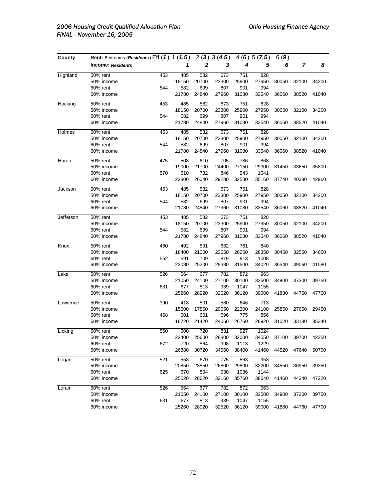| County    | Rent: Bedrooms (Residents) Eff (1) 1 (1.5) |     |       |       | 2(3)3(4.5) |       | 4(6)5(7.5) | 6(9)  |       |       |
|-----------|--------------------------------------------|-----|-------|-------|------------|-------|------------|-------|-------|-------|
|           | <b>Income: Residents</b>                   |     | 1     | 2     | 3          | 4     | 5          | 6     | 7     | 8     |
| Highland  | 50% rent                                   | 453 | 485   | 582   | 673        | 751   | 828        |       |       |       |
|           | 50% income                                 |     | 18150 | 20700 | 23300      | 25900 | 27950      | 30050 | 32100 | 34200 |
|           | 60% rent                                   | 544 | 582   | 699   | 807        | 901   | 994        |       |       |       |
|           | 60% income                                 |     | 21780 | 24840 | 27960      | 31080 | 33540      | 36060 | 38520 | 41040 |
| Hocking   | 50% rent                                   | 453 | 485   | 582   | 673        | 751   | 828        |       |       |       |
|           | 50% income                                 |     | 18150 | 20700 | 23300      | 25900 | 27950      | 30050 | 32100 | 34200 |
|           | 60% rent                                   | 544 | 582   | 699   | 807        | 901   | 994        |       |       |       |
|           | 60% income                                 |     | 21780 | 24840 | 27960      | 31080 | 33540      | 36060 | 38520 | 41040 |
| Holmes    | 50% rent                                   | 453 | 485   | 582   | 673        | 751   | 828        |       |       |       |
|           | 50% income                                 |     | 18150 | 20700 | 23300      | 25900 | 27950      | 30050 | 32100 | 34200 |
|           | 60% rent                                   | 544 | 582   | 699   | 807        | 901   | 994        |       |       |       |
|           | 60% income                                 |     | 21780 | 24840 | 27960      | 31080 | 33540      | 36060 | 38520 | 41040 |
| Huron     | 50% rent                                   | 475 | 508   | 610   | 705        | 786   | 868        |       |       |       |
|           | 50% income                                 |     | 19000 | 21700 | 24400      | 27150 | 29300      | 31450 | 33650 | 35800 |
|           | 60% rent                                   | 570 | 610   | 732   | 846        | 943   | 1041       |       |       |       |
|           | 60% income                                 |     | 22800 | 26040 | 29280      | 32580 | 35160      | 37740 | 40380 | 42960 |
| Jackson   | 50% rent                                   | 453 | 485   | 582   | 673        | 751   | 828        |       |       |       |
|           | 50% income                                 |     | 18150 | 20700 | 23300      | 25900 | 27950      | 30050 | 32100 | 34200 |
|           | 60% rent                                   | 544 | 582   | 699   | 807        | 901   | 994        |       |       |       |
|           | 60% income                                 |     | 21780 | 24840 | 27960      | 31080 | 33540      | 36060 | 38520 | 41040 |
| Jefferson | 50% rent                                   | 453 | 485   | 582   | 673        | 751   | 828        |       |       |       |
|           | 50% income                                 |     | 18150 | 20700 | 23300      | 25900 | 27950      | 30050 | 32100 | 34200 |
|           | 60% rent                                   | 544 | 582   | 699   | 807        | 901   | 994        |       |       |       |
|           | 60% income                                 |     | 21780 | 24840 | 27960      | 31080 | 33540      | 36060 | 38520 | 41040 |
| Knox      | 50% rent                                   | 460 | 492   | 591   | 682        | 761   | 840        |       |       |       |
|           | 50% income                                 |     | 18400 | 21000 | 23650      | 26250 | 28350      | 30450 | 32550 | 34650 |
|           | 60% rent                                   | 552 | 591   | 709   | 819        | 913   | 1008       |       |       |       |
|           | 60% income                                 |     | 22080 | 25200 | 28380      | 31500 | 34020      | 36540 | 39060 | 41580 |
| Lake      | 50% rent                                   | 526 | 564   | 677   | 782        | 872   | 963        |       |       |       |
|           | 50% income                                 |     | 21050 | 24100 | 27100      | 30100 | 32500      | 34900 | 37300 | 39750 |
|           | 60% rent                                   | 631 | 677   | 813   | 939        | 1047  | 1155       |       |       |       |
|           | 60% income                                 |     | 25260 | 28920 | 32520      | 36120 | 39000      | 41880 | 44760 | 47700 |
| Lawrence  | 50% rent                                   | 390 | 418   | 501   | 580        | 646   | 713        |       |       |       |
|           | 50% income                                 |     | 15600 | 17850 | 20050      | 22300 | 24100      | 25850 | 27650 | 29450 |
|           | 60% rent                                   | 468 | 501   | 601   | 696        | 775   | 856        |       |       |       |
|           | 60% income                                 |     | 18720 | 21420 | 24060      | 26760 | 28920      | 31020 | 33180 | 35340 |
| Licking   | 50% rent                                   | 560 | 600   | 720   | 831        | 927   | 1024       |       |       |       |
|           | 50% income                                 |     | 22400 | 25600 | 28800      | 32000 | 34550      | 37100 | 39700 | 42250 |
|           | 60% rent                                   | 672 | 720   | 864   | 998        | 1113  | 1229       |       |       |       |
|           | 60% income                                 |     | 26880 | 30720 | 34560      | 38400 | 41460      | 44520 | 47640 | 50700 |
| Logan     | 50% rent                                   | 521 | 558   | 670   | 775        | 863   | 953        |       |       |       |
|           | 50% income                                 |     | 20850 | 23850 | 26800      | 29800 | 32200      | 34550 | 36950 | 39350 |
|           | 60% rent                                   | 625 | 670   | 804   | 930        | 1036  | 1144       |       |       |       |
|           | 60% income                                 |     | 25020 | 28620 | 32160      | 35760 | 38640      | 41460 | 44340 | 47220 |
| Lorain    | 50% rent                                   | 526 | 564   | 677   | 782        | 872   | 963        |       |       |       |
|           | 50% income                                 |     | 21050 | 24100 | 27100      | 30100 | 32500      | 34900 | 37300 | 39750 |
|           | 60% rent                                   | 631 | 677   | 813   | 939        | 1047  | 1155       |       |       |       |
|           | 60% income                                 |     | 25260 | 28920 | 32520      | 36120 | 39000      | 41880 | 44760 | 47700 |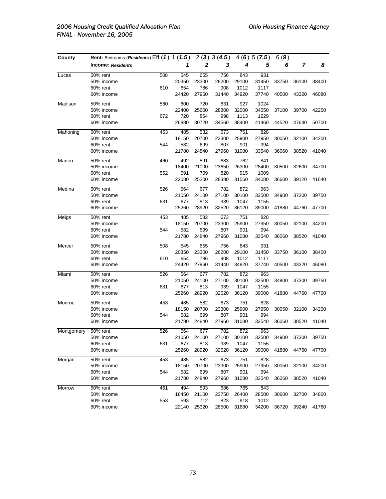| County     | Rent: Bedrooms (Residents) Eff (1) 1 (1.5) |     |              |              | 2(3)3(4.5)   |              | 4(6)5(7.5)    | 6(9)  |       |       |
|------------|--------------------------------------------|-----|--------------|--------------|--------------|--------------|---------------|-------|-------|-------|
|            | <b>Income: Residents</b>                   |     | 1            | 2            | 3            | 4            | 5             | 6     | 7     | 8     |
| Lucas      | 50% rent                                   | 508 | 545          | 655          | 756          | 843          | 931           |       |       |       |
|            | 50% income                                 |     | 20350        | 23300        | 26200        | 29100        | 31450         | 33750 | 36100 | 38400 |
|            | 60% rent                                   | 610 | 654          | 786          | 908          | 1012         | 1117          |       |       |       |
|            | 60% income                                 |     | 24420        | 27960        | 31440        | 34920        | 37740         | 40500 | 43320 | 46080 |
| Madison    | 50% rent                                   | 560 | 600          | 720          | 831          | 927          | 1024          |       |       |       |
|            | 50% income                                 |     | 22400        | 25600        | 28800        | 32000        | 34550         | 37100 | 39700 | 42250 |
|            | 60% rent                                   | 672 | 720          | 864          | 998          | 1113         | 1229          |       |       |       |
|            | 60% income                                 |     | 26880        | 30720        | 34560        | 38400        | 41460         | 44520 | 47640 | 50700 |
| Mahoning   | 50% rent                                   | 453 | 485          | 582          | 673          | 751          | 828           |       |       |       |
|            | 50% income                                 |     | 18150        | 20700        | 23300        | 25900        | 27950         | 30050 | 32100 | 34200 |
|            | 60% rent                                   | 544 | 582          | 699          | 807          | 901          | 994           |       |       |       |
|            | 60% income                                 |     | 21780        | 24840        | 27960        | 31080        | 33540         | 36060 | 38520 | 41040 |
| Marion     | 50% rent                                   | 460 | 492          | 591          | 683          | 762          | 841           |       |       |       |
|            | 50% income                                 |     | 18400        | 21000        | 23650        | 26300        | 28400         | 30500 | 32600 | 34700 |
|            | 60% rent                                   | 552 | 591          | 709          | 820          | 915          | 1009          |       |       |       |
|            | 60% income                                 |     | 22080        | 25200        | 28380        | 31560        | 34080         | 36600 | 39120 | 41640 |
| Medina     | 50% rent                                   | 526 | 564          | 677          | 782          | 872          | 963           |       |       |       |
|            | 50% income                                 |     | 21050        | 24100        | 27100        | 30100        | 32500         | 34900 | 37300 | 39750 |
|            | 60% rent                                   | 631 | 677          | 813          | 939          | 1047         | 1155          |       |       |       |
|            | 60% income                                 |     | 25260        | 28920        | 32520        | 36120        | 39000         | 41880 | 44760 | 47700 |
| Meigs      | 50% rent                                   | 453 | 485          | 582          | 673          | 751          | 828           |       |       |       |
|            | 50% income                                 |     | 18150        | 20700        | 23300        | 25900        | 27950         | 30050 | 32100 | 34200 |
|            | 60% rent                                   | 544 | 582          | 699          | 807          | 901          | 994           |       |       |       |
|            | 60% income                                 |     | 21780        | 24840        | 27960        | 31080        | 33540         | 36060 | 38520 | 41040 |
| Mercer     | 50% rent                                   | 508 | 545          | 655          | 756          | 843          | 931           |       |       |       |
|            | 50% income                                 |     | 20350        | 23300        | 26200        | 29100        | 31450         | 33750 | 36100 | 38400 |
|            | 60% rent                                   | 610 | 654          | 786          | 908          | 1012         | 1117          |       |       |       |
|            | 60% income                                 |     | 24420        | 27960        | 31440        | 34920        | 37740         | 40500 | 43320 | 46080 |
| Miami      | 50% rent                                   | 526 | 564          | 677          | 782          | 872          | 963           |       |       |       |
|            | 50% income                                 |     | 21050        | 24100        | 27100        | 30100        | 32500         | 34900 | 37300 | 39750 |
|            | 60% rent                                   | 631 | 677          | 813          | 939          | 1047         | 1155          |       |       |       |
|            | 60% income                                 |     | 25260        | 28920        | 32520        | 36120        | 39000         | 41880 | 44760 | 47700 |
| Monroe     | 50% rent                                   | 453 | 485          | 582          | 673          | 751          | 828           |       |       |       |
|            | 50% income                                 |     | 18150        | 20700        | 23300        | 25900        | 27950         | 30050 | 32100 | 34200 |
|            | 60% rent                                   | 544 | 582          | 699          | 807          | 901          | 994           |       |       |       |
|            | 60% income                                 |     | 21780        | 24840        | 27960        | 31080        | 33540         | 36060 | 38520 | 41040 |
| Montgomery | 50% rent                                   | 526 | 564          | 677          | 782          | 872          | 963           |       |       |       |
|            | 50% income                                 |     | 21050        | 24100        | 27100        | 30100        | 32500         | 34900 | 37300 | 39750 |
|            | 60% rent                                   | 631 | 677          | 813          | 939          | 1047         | 1155          |       |       |       |
|            | 60% income                                 |     | 25260        | 28920        | 32520        | 36120        | 39000         | 41880 | 44760 | 47700 |
| Morgan     | 50% rent                                   | 453 | 485          | 582          | 673          | 751          | 828           |       |       |       |
|            | 50% income                                 |     | 18150        | 20700        | 23300        | 25900        | 27950         | 30050 | 32100 | 34200 |
|            | 60% rent                                   | 544 | 582          | 699          | 807          | 901          | 994           |       |       |       |
|            | 60% income                                 |     | 21780        | 24840        | 27960        | 31080        | 33540         | 36060 | 38520 | 41040 |
| Morrow     | 50% rent                                   | 461 | 494          | 593          | 686          | 765          | 843           |       |       |       |
|            | 50% income                                 |     | 18450        | 21100        | 23750        | 26400        | 28500         | 30600 | 32700 | 34800 |
|            | 60% rent<br>60% income                     | 553 | 593<br>22140 | 712<br>25320 | 823<br>28500 | 918<br>31680 | 1012<br>34200 | 36720 | 39240 | 41760 |
|            |                                            |     |              |              |              |              |               |       |       |       |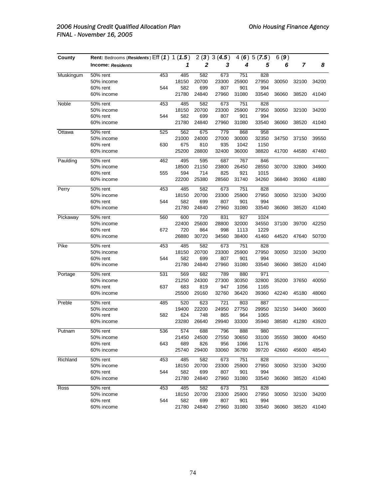| County    | Rent: Bedrooms (Residents) Eff (1) 1 (1.5) |     |       |       | 2(3)3(4.5) |       | 4(6)5(7.5) | 6(9)  |       |       |
|-----------|--------------------------------------------|-----|-------|-------|------------|-------|------------|-------|-------|-------|
|           | <b>Income: Residents</b>                   |     | 1     | 2     | 3          | 4     | 5          | 6     | 7     | 8     |
| Muskingum | 50% rent                                   | 453 | 485   | 582   | 673        | 751   | 828        |       |       |       |
|           | 50% income                                 |     | 18150 | 20700 | 23300      | 25900 | 27950      | 30050 | 32100 | 34200 |
|           | 60% rent                                   | 544 | 582   | 699   | 807        | 901   | 994        |       |       |       |
|           | 60% income                                 |     | 21780 | 24840 | 27960      | 31080 | 33540      | 36060 | 38520 | 41040 |
| Noble     | 50% rent                                   | 453 | 485   | 582   | 673        | 751   | 828        |       |       |       |
|           | 50% income                                 |     | 18150 | 20700 | 23300      | 25900 | 27950      | 30050 | 32100 | 34200 |
|           | 60% rent                                   | 544 | 582   | 699   | 807        | 901   | 994        |       |       |       |
|           | 60% income                                 |     | 21780 | 24840 | 27960      | 31080 | 33540      | 36060 | 38520 | 41040 |
| Ottawa    | 50% rent                                   | 525 | 562   | 675   | 779        | 868   | 958        |       |       |       |
|           | 50% income                                 |     | 21000 | 24000 | 27000      | 30000 | 32350      | 34750 | 37150 | 39550 |
|           | 60% rent                                   | 630 | 675   | 810   | 935        | 1042  | 1150       |       |       |       |
|           | 60% income                                 |     | 25200 | 28800 | 32400      | 36000 | 38820      | 41700 | 44580 | 47460 |
| Paulding  | 50% rent                                   | 462 | 495   | 595   | 687        | 767   | 846        |       |       |       |
|           | 50% income                                 |     | 18500 | 21150 | 23800      | 26450 | 28550      | 30700 | 32800 | 34900 |
|           | 60% rent                                   | 555 | 594   | 714   | 825        | 921   | 1015       |       |       |       |
|           | 60% income                                 |     | 22200 | 25380 | 28560      | 31740 | 34260      | 36840 | 39360 | 41880 |
| Perry     | 50% rent                                   | 453 | 485   | 582   | 673        | 751   | 828        |       |       |       |
|           | 50% income                                 |     | 18150 | 20700 | 23300      | 25900 | 27950      | 30050 | 32100 | 34200 |
|           | 60% rent                                   | 544 | 582   | 699   | 807        | 901   | 994        |       |       |       |
|           | 60% income                                 |     | 21780 | 24840 | 27960      | 31080 | 33540      | 36060 | 38520 | 41040 |
| Pickaway  | 50% rent                                   | 560 | 600   | 720   | 831        | 927   | 1024       |       |       |       |
|           | 50% income                                 |     | 22400 | 25600 | 28800      | 32000 | 34550      | 37100 | 39700 | 42250 |
|           | 60% rent                                   | 672 | 720   | 864   | 998        | 1113  | 1229       |       |       |       |
|           | 60% income                                 |     | 26880 | 30720 | 34560      | 38400 | 41460      | 44520 | 47640 | 50700 |
| Pike      | 50% rent                                   | 453 | 485   | 582   | 673        | 751   | 828        |       |       |       |
|           | 50% income                                 |     | 18150 | 20700 | 23300      | 25900 | 27950      | 30050 | 32100 | 34200 |
|           | 60% rent                                   | 544 | 582   | 699   | 807        | 901   | 994        |       |       |       |
|           | 60% income                                 |     | 21780 | 24840 | 27960      | 31080 | 33540      | 36060 | 38520 | 41040 |
| Portage   | 50% rent                                   | 531 | 569   | 682   | 789        | 880   | 971        |       |       |       |
|           | 50% income                                 |     | 21250 | 24300 | 27300      | 30350 | 32800      | 35200 | 37650 | 40050 |
|           | 60% rent                                   | 637 | 683   | 819   | 947        | 1056  | 1165       |       |       |       |
|           | 60% income                                 |     | 25500 | 29160 | 32760      | 36420 | 39360      | 42240 | 45180 | 48060 |
| Preble    | 50% rent                                   | 485 | 520   | 623   | 721        | 803   | 887        |       |       |       |
|           | 50% income                                 |     | 19400 | 22200 | 24950      | 27750 | 29950      | 32150 | 34400 | 36600 |
|           | 60% rent                                   | 582 | 624   | 748   | 865        | 964   | 1065       |       |       |       |
|           | 60% income                                 |     | 23280 | 26640 | 29940      | 33300 | 35940      | 38580 | 41280 | 43920 |
| Putnam    | 50% rent                                   | 536 | 574   | 688   | 796        | 888   | 980        |       |       |       |
|           | 50% income                                 |     | 21450 | 24500 | 27550      | 30650 | 33100      | 35550 | 38000 | 40450 |
|           | 60% rent                                   | 643 | 689   | 826   | 956        | 1066  | 1176       |       |       |       |
|           | 60% income                                 |     | 25740 | 29400 | 33060      | 36780 | 39720      | 42660 | 45600 | 48540 |
| Richland  | 50% rent                                   | 453 | 485   | 582   | 673        | 751   | 828        |       |       |       |
|           | 50% income                                 |     | 18150 | 20700 | 23300      | 25900 | 27950      | 30050 | 32100 | 34200 |
|           | 60% rent                                   | 544 | 582   | 699   | 807        | 901   | 994        |       |       |       |
|           | 60% income                                 |     | 21780 | 24840 | 27960      | 31080 | 33540      | 36060 | 38520 | 41040 |
| Ross      | 50% rent                                   | 453 | 485   | 582   | 673        | 751   | 828        |       |       |       |
|           | 50% income                                 |     | 18150 | 20700 | 23300      | 25900 | 27950      | 30050 | 32100 | 34200 |
|           | 60% rent                                   | 544 | 582   | 699   | 807        | 901   | 994        |       |       |       |
|           | 60% income                                 |     | 21780 | 24840 | 27960      | 31080 | 33540      | 36060 | 38520 | 41040 |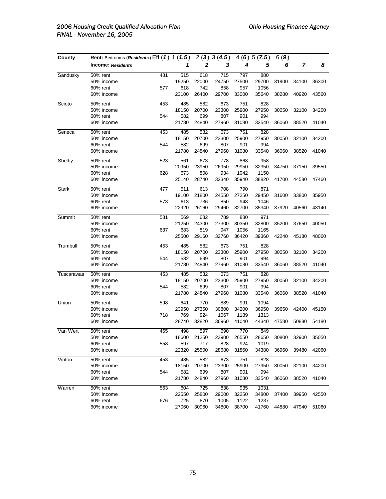| County       | Rent: Bedrooms (Residents) Eff (1) 1 (1.5) |     |       |       | 2(3)3(4.5) |       | 4(6)5(7.5) | 6(9)  |       |       |
|--------------|--------------------------------------------|-----|-------|-------|------------|-------|------------|-------|-------|-------|
|              | <b>Income: Residents</b>                   |     | 1     | 2     | 3          | 4     | 5          | 6     | 7     | 8     |
| Sandusky     | 50% rent                                   | 481 | 515   | 618   | 715        | 797   | 880        |       |       |       |
|              | 50% income                                 |     | 19250 | 22000 | 24750      | 27500 | 29700      | 31900 | 34100 | 36300 |
|              | 60% rent                                   | 577 | 618   | 742   | 858        | 957   | 1056       |       |       |       |
|              | 60% income                                 |     | 23100 | 26400 | 29700      | 33000 | 35640      | 38280 | 40920 | 43560 |
| Scioto       | 50% rent                                   | 453 | 485   | 582   | 673        | 751   | 828        |       |       |       |
|              | 50% income                                 |     | 18150 | 20700 | 23300      | 25900 | 27950      | 30050 | 32100 | 34200 |
|              | 60% rent                                   | 544 | 582   | 699   | 807        | 901   | 994        |       |       |       |
|              | 60% income                                 |     | 21780 | 24840 | 27960      | 31080 | 33540      | 36060 | 38520 | 41040 |
| Seneca       | 50% rent                                   | 453 | 485   | 582   | 673        | 751   | 828        |       |       |       |
|              | 50% income                                 |     | 18150 | 20700 | 23300      | 25900 | 27950      | 30050 | 32100 | 34200 |
|              | 60% rent                                   | 544 | 582   | 699   | 807        | 901   | 994        |       |       |       |
|              | 60% income                                 |     | 21780 | 24840 | 27960      | 31080 | 33540      | 36060 | 38520 | 41040 |
| Shelby       | 50% rent                                   | 523 | 561   | 673   | 778        | 868   | 958        |       |       |       |
|              | 50% income                                 |     | 20950 | 23950 | 26950      | 29950 | 32350      | 34750 | 37150 | 39550 |
|              | 60% rent                                   | 628 | 673   | 808   | 934        | 1042  | 1150       |       |       |       |
|              | 60% income                                 |     | 25140 | 28740 | 32340      | 35940 | 38820      | 41700 | 44580 | 47460 |
| <b>Stark</b> | 50% rent                                   | 477 | 511   | 613   | 708        | 790   | 871        |       |       |       |
|              | 50% income                                 |     | 19100 | 21800 | 24550      | 27250 | 29450      | 31600 | 33800 | 35950 |
|              | 60% rent                                   | 573 | 613   | 736   | 850        | 948   | 1046       |       |       |       |
|              | 60% income                                 |     | 22920 | 26160 | 29460      | 32700 | 35340      | 37920 | 40560 | 43140 |
| Summit       | 50% rent                                   | 531 | 569   | 682   | 789        | 880   | 971        |       |       |       |
|              | 50% income                                 |     | 21250 | 24300 | 27300      | 30350 | 32800      | 35200 | 37650 | 40050 |
|              | 60% rent                                   | 637 | 683   | 819   | 947        | 1056  | 1165       |       |       |       |
|              | 60% income                                 |     | 25500 | 29160 | 32760      | 36420 | 39360      | 42240 | 45180 | 48060 |
| Trumbull     | 50% rent                                   | 453 | 485   | 582   | 673        | 751   | 828        |       |       |       |
|              | 50% income                                 |     | 18150 | 20700 | 23300      | 25900 | 27950      | 30050 | 32100 | 34200 |
|              | 60% rent                                   | 544 | 582   | 699   | 807        | 901   | 994        |       |       |       |
|              | 60% income                                 |     | 21780 | 24840 | 27960      | 31080 | 33540      | 36060 | 38520 | 41040 |
| Tuscarawas   | 50% rent                                   | 453 | 485   | 582   | 673        | 751   | 828        |       |       |       |
|              | 50% income                                 |     | 18150 | 20700 | 23300      | 25900 | 27950      | 30050 | 32100 | 34200 |
|              | 60% rent                                   | 544 | 582   | 699   | 807        | 901   | 994        |       |       |       |
|              | 60% income                                 |     | 21780 | 24840 | 27960      | 31080 | 33540      | 36060 | 38520 | 41040 |
| Union        | 50% rent                                   | 598 | 641   | 770   | 889        | 991   | 1094       |       |       |       |
|              | 50% income                                 |     | 23950 | 27350 | 30800      | 34200 | 36950      | 39650 | 42400 | 45150 |
|              | 60% rent                                   | 718 | 769   | 924   | 1067       | 1189  | 1313       |       |       |       |
|              | 60% income                                 |     | 28740 | 32820 | 36960      | 41040 | 44340      | 47580 | 50880 | 54180 |
| Van Wert     | 50% rent                                   | 465 | 498   | 597   | 690        | 770   | 849        |       |       |       |
|              | 50% income                                 |     | 18600 | 21250 | 23900      | 26550 | 28650      | 30800 | 32900 | 35050 |
|              | 60% rent                                   | 558 | 597   | 717   | 828        | 924   | 1019       |       |       |       |
|              | 60% income                                 |     | 22320 | 25500 | 28680      | 31860 | 34380      | 36960 | 39480 | 42060 |
| Vinton       | 50% rent                                   | 453 | 485   | 582   | 673        | 751   | 828        |       |       |       |
|              | 50% income                                 |     | 18150 | 20700 | 23300      | 25900 | 27950      | 30050 | 32100 | 34200 |
|              | 60% rent                                   | 544 | 582   | 699   | 807        | 901   | 994        |       |       |       |
|              | 60% income                                 |     | 21780 | 24840 | 27960      | 31080 | 33540      | 36060 | 38520 | 41040 |
| Warren       | 50% rent                                   | 563 | 604   | 725   | 838        | 935   | 1031       |       |       |       |
|              | 50% income                                 |     | 22550 | 25800 | 29000      | 32250 | 34800      | 37400 | 39950 | 42550 |
|              | 60% rent                                   | 676 | 725   | 870   | 1005       | 1122  | 1237       |       |       |       |
|              | 60% income                                 |     | 27060 | 30960 | 34800      | 38700 | 41760      | 44880 | 47940 | 51060 |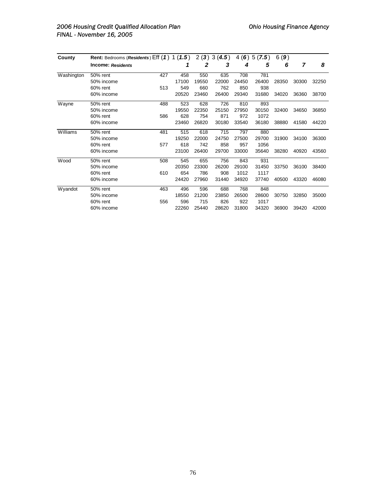| County     | Rent: Bedrooms ( <i>Residents</i> ) $Eff (1) 1 (1.5)$ |     |       |       | 2(3)3(4.5) |       | 4(6)5(7.5) | 6(9)  |       |       |
|------------|-------------------------------------------------------|-----|-------|-------|------------|-------|------------|-------|-------|-------|
|            | <b>Income: Residents</b>                              |     | 1     | 2     | 3          | 4     | 5          | 6     | 7     | 8     |
| Washington | 50% rent                                              | 427 | 458   | 550   | 635        | 708   | 781        |       |       |       |
|            | 50% income                                            |     | 17100 | 19550 | 22000      | 24450 | 26400      | 28350 | 30300 | 32250 |
|            | 60% rent                                              | 513 | 549   | 660   | 762        | 850   | 938        |       |       |       |
|            | 60% income                                            |     | 20520 | 23460 | 26400      | 29340 | 31680      | 34020 | 36360 | 38700 |
| Wayne      | 50% rent                                              | 488 | 523   | 628   | 726        | 810   | 893        |       |       |       |
|            | 50% income                                            |     | 19550 | 22350 | 25150      | 27950 | 30150      | 32400 | 34650 | 36850 |
|            | 60% rent                                              | 586 | 628   | 754   | 871        | 972   | 1072       |       |       |       |
|            | 60% income                                            |     | 23460 | 26820 | 30180      | 33540 | 36180      | 38880 | 41580 | 44220 |
| Williams   | 50% rent                                              | 481 | 515   | 618   | 715        | 797   | 880        |       |       |       |
|            | 50% income                                            |     | 19250 | 22000 | 24750      | 27500 | 29700      | 31900 | 34100 | 36300 |
|            | 60% rent                                              | 577 | 618   | 742   | 858        | 957   | 1056       |       |       |       |
|            | 60% income                                            |     | 23100 | 26400 | 29700      | 33000 | 35640      | 38280 | 40920 | 43560 |
| Wood       | 50% rent                                              | 508 | 545   | 655   | 756        | 843   | 931        |       |       |       |
|            | 50% income                                            |     | 20350 | 23300 | 26200      | 29100 | 31450      | 33750 | 36100 | 38400 |
|            | 60% rent                                              | 610 | 654   | 786   | 908        | 1012  | 1117       |       |       |       |
|            | 60% income                                            |     | 24420 | 27960 | 31440      | 34920 | 37740      | 40500 | 43320 | 46080 |
| Wyandot    | 50% rent                                              | 463 | 496   | 596   | 688        | 768   | 848        |       |       |       |
|            | 50% income                                            |     | 18550 | 21200 | 23850      | 26500 | 28600      | 30750 | 32850 | 35000 |
|            | 60% rent                                              | 556 | 596   | 715   | 826        | 922   | 1017       |       |       |       |
|            | 60% income                                            |     | 22260 | 25440 | 28620      | 31800 | 34320      | 36900 | 39420 | 42000 |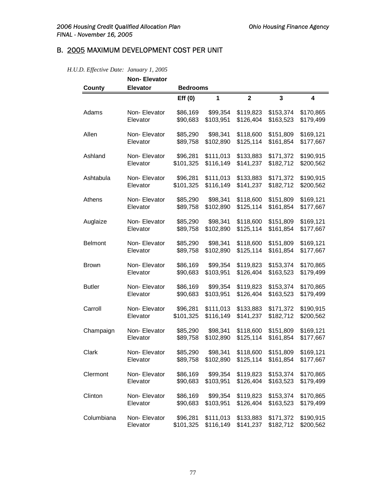# B. 2005 MAXIMUM DEVELOPMENT COST PER UNIT

## *H.U.D. Effective Date: January 1, 2005*

| County         | <b>Non-Elevator</b><br><b>Elevator</b> | <b>Bedrooms</b> |           |                |                         |           |
|----------------|----------------------------------------|-----------------|-----------|----------------|-------------------------|-----------|
|                |                                        | Eff(0)          | 1         | $\overline{2}$ | $\overline{\mathbf{3}}$ | 4         |
| Adams          | Non-Elevator                           | \$86,169        | \$99,354  | \$119,823      | \$153,374               | \$170,865 |
|                | Elevator                               | \$90,683        | \$103,951 | \$126,404      | \$163,523               | \$179,499 |
| Allen          | Non-Elevator                           | \$85,290        | \$98,341  | \$118,600      | \$151,809               | \$169,121 |
|                | Elevator                               | \$89,758        | \$102,890 | \$125,114      | \$161,854               | \$177,667 |
| Ashland        | Non-Elevator                           | \$96,281        | \$111,013 | \$133,883      | \$171,372               | \$190,915 |
|                | Elevator                               | \$101,325       | \$116,149 | \$141,237      | \$182,712               | \$200,562 |
| Ashtabula      | Non-Elevator                           | \$96,281        | \$111,013 | \$133,883      | \$171,372               | \$190,915 |
|                | Elevator                               | \$101,325       | \$116,149 | \$141,237      | \$182,712               | \$200,562 |
| Athens         | Non-Elevator                           | \$85,290        | \$98,341  | \$118,600      | \$151,809               | \$169,121 |
|                | Elevator                               | \$89,758        | \$102,890 | \$125,114      | \$161,854               | \$177,667 |
| Auglaize       | Non-Elevator                           | \$85,290        | \$98,341  | \$118,600      | \$151,809               | \$169,121 |
|                | Elevator                               | \$89,758        | \$102,890 | \$125,114      | \$161,854               | \$177,667 |
| <b>Belmont</b> | Non-Elevator                           | \$85,290        | \$98,341  | \$118,600      | \$151,809               | \$169,121 |
|                | Elevator                               | \$89,758        | \$102,890 | \$125,114      | \$161,854               | \$177,667 |
| <b>Brown</b>   | Non-Elevator                           | \$86,169        | \$99,354  | \$119,823      | \$153,374               | \$170,865 |
|                | Elevator                               | \$90,683        | \$103,951 | \$126,404      | \$163,523               | \$179,499 |
| <b>Butler</b>  | Non-Elevator                           | \$86,169        | \$99,354  | \$119,823      | \$153,374               | \$170,865 |
|                | Elevator                               | \$90,683        | \$103,951 | \$126,404      | \$163,523               | \$179,499 |
| Carroll        | Non-Elevator                           | \$96,281        | \$111,013 | \$133,883      | \$171,372               | \$190,915 |
|                | Elevator                               | \$101,325       | \$116,149 | \$141,237      | \$182,712               | \$200,562 |
| Champaign      | Non-Elevator                           | \$85,290        | \$98,341  | \$118,600      | \$151,809               | \$169,121 |
|                | Elevator                               | \$89,758        | \$102,890 | \$125,114      | \$161,854               | \$177,667 |
| Clark          | Non-Elevator                           | \$85,290        | \$98,341  | \$118,600      | \$151,809               | \$169,121 |
|                | Elevator                               | \$89,758        | \$102,890 | \$125,114      | \$161,854               | \$177,667 |
| Clermont       | Non-Elevator                           | \$86,169        | \$99,354  | \$119,823      | \$153,374               | \$170,865 |
|                | Elevator                               | \$90,683        | \$103,951 | \$126,404      | \$163,523               | \$179,499 |
| Clinton        | Non-Elevator                           | \$86,169        | \$99,354  | \$119,823      | \$153,374               | \$170,865 |
|                | Elevator                               | \$90,683        | \$103,951 | \$126,404      | \$163,523               | \$179,499 |
| Columbiana     | Non-Elevator                           | \$96,281        | \$111,013 | \$133,883      | \$171,372               | \$190,915 |
|                | Elevator                               | \$101,325       | \$116,149 | \$141,237      | \$182,712               | \$200,562 |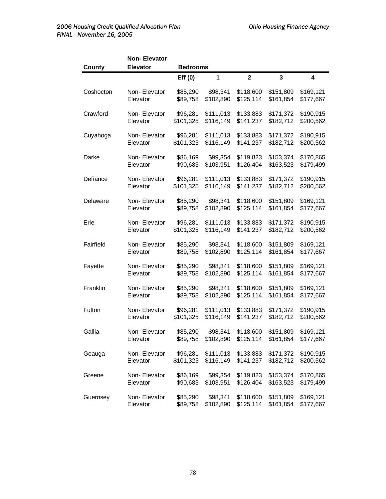| <b>County</b> | <b>Non-Elevator</b><br><b>Elevator</b> | <b>Bedrooms</b> |           |                         |                         |                         |
|---------------|----------------------------------------|-----------------|-----------|-------------------------|-------------------------|-------------------------|
|               |                                        | Eff(0)          | 1         | $\overline{\mathbf{2}}$ | $\overline{\mathbf{3}}$ | $\overline{\mathbf{4}}$ |
| Coshocton     | Non-Elevator                           | \$85,290        | \$98,341  | \$118,600               | \$151,809               | \$169,121               |
|               | Elevator                               | \$89,758        | \$102,890 | \$125,114               | \$161,854               | \$177,667               |
| Crawford      | Non-Elevator                           | \$96,281        | \$111,013 | \$133,883               | \$171,372               | \$190,915               |
|               | Elevator                               | \$101,325       | \$116,149 | \$141,237               | \$182,712               | \$200,562               |
| Cuyahoga      | Non-Elevator                           | \$96,281        | \$111,013 | \$133,883               | \$171,372               | \$190,915               |
|               | Elevator                               | \$101,325       | \$116,149 | \$141,237               | \$182,712               | \$200,562               |
| Darke         | Non-Elevator                           | \$86,169        | \$99,354  | \$119,823               | \$153,374               | \$170,865               |
|               | Elevator                               | \$90,683        | \$103,951 | \$126,404               | \$163,523               | \$179,499               |
| Defiance      | Non-Elevator                           | \$96,281        | \$111,013 | \$133,883               | \$171,372               | \$190,915               |
|               | Elevator                               | \$101,325       | \$116,149 | \$141,237               | \$182,712               | \$200,562               |
| Delaware      | Non-Elevator                           | \$85,290        | \$98,341  | \$118,600               | \$151,809               | \$169,121               |
|               | Elevator                               | \$89,758        | \$102,890 | \$125,114               | \$161,854               | \$177,667               |
| Erie          | Non-Elevator                           | \$96,281        | \$111,013 | \$133,883               | \$171,372               | \$190,915               |
|               | Elevator                               | \$101,325       | \$116,149 | \$141,237               | \$182,712               | \$200,562               |
| Fairfield     | Non-Elevator                           | \$85,290        | \$98,341  | \$118,600               | \$151,809               | \$169,121               |
|               | Elevator                               | \$89,758        | \$102,890 | \$125,114               | \$161,854               | \$177,667               |
| Fayette       | Non-Elevator                           | \$85,290        | \$98,341  | \$118,600               | \$151,809               | \$169,121               |
|               | Elevator                               | \$89,758        | \$102,890 | \$125,114               | \$161,854               | \$177,667               |
| Franklin      | Non-Elevator                           | \$85,290        | \$98,341  | \$118,600               | \$151,809               | \$169,121               |
|               | Elevator                               | \$89,758        | \$102,890 | \$125,114               | \$161,854               | \$177,667               |
| Fulton        | Non-Elevator                           | \$96,281        | \$111,013 | \$133,883               | \$171,372               | \$190,915               |
|               | Elevator                               | \$101,325       | \$116,149 | \$141,237               | \$182,712               | \$200,562               |
| Gallia        | Non-Elevator                           | \$85,290        | \$98,341  | \$118,600               | \$151,809               | \$169,121               |
|               | Elevator                               | \$89,758        | \$102,890 | \$125,114               | \$161,854               | \$177,667               |
| Geauga        | Non-Elevator                           | \$96,281        | \$111,013 | \$133,883               | \$171,372               | \$190,915               |
|               | Elevator                               | \$101,325       | \$116,149 | \$141,237               | \$182,712               | \$200,562               |
| Greene        | Non-Elevator                           | \$86,169        | \$99,354  | \$119,823               | \$153,374               | \$170,865               |
|               | Elevator                               | \$90,683        | \$103,951 | \$126,404               | \$163,523               | \$179,499               |
| Guernsey      | Non-Elevator                           | \$85,290        | \$98,341  | \$118,600               | \$151,809               | \$169,121               |
|               | Elevator                               | \$89,758        | \$102,890 | \$125,114               | \$161,854               | \$177,667               |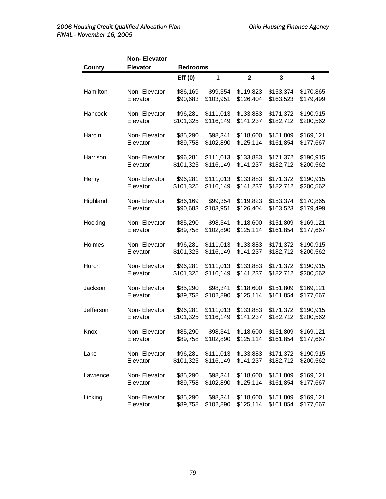| County    | Non-Elevator<br><b>Elevator</b> | <b>Bedrooms</b> |           |                         |                         |                         |
|-----------|---------------------------------|-----------------|-----------|-------------------------|-------------------------|-------------------------|
|           |                                 | Eff(0)          | 1         | $\overline{\mathbf{2}}$ | $\overline{\mathbf{3}}$ | $\overline{\mathbf{4}}$ |
| Hamilton  | Non-Elevator                    | \$86,169        | \$99,354  | \$119,823               | \$153,374               | \$170,865               |
|           | Elevator                        | \$90,683        | \$103,951 | \$126,404               | \$163,523               | \$179,499               |
| Hancock   | Non-Elevator                    | \$96,281        | \$111,013 | \$133,883               | \$171,372               | \$190,915               |
|           | Elevator                        | \$101,325       | \$116,149 | \$141,237               | \$182,712               | \$200,562               |
| Hardin    | Non-Elevator                    | \$85,290        | \$98,341  | \$118,600               | \$151,809               | \$169,121               |
|           | Elevator                        | \$89,758        | \$102,890 | \$125,114               | \$161,854               | \$177,667               |
| Harrison  | Non-Elevator                    | \$96,281        | \$111,013 | \$133,883               | \$171,372               | \$190,915               |
|           | Elevator                        | \$101,325       | \$116,149 | \$141,237               | \$182,712               | \$200,562               |
| Henry     | Non-Elevator                    | \$96,281        | \$111,013 | \$133,883               | \$171,372               | \$190,915               |
|           | Elevator                        | \$101,325       | \$116,149 | \$141,237               | \$182,712               | \$200,562               |
| Highland  | Non-Elevator                    | \$86,169        | \$99,354  | \$119,823               | \$153,374               | \$170,865               |
|           | Elevator                        | \$90,683        | \$103,951 | \$126,404               | \$163,523               | \$179,499               |
| Hocking   | Non-Elevator                    | \$85,290        | \$98,341  | \$118,600               | \$151,809               | \$169,121               |
|           | Elevator                        | \$89,758        | \$102,890 | \$125,114               | \$161,854               | \$177,667               |
| Holmes    | Non-Elevator                    | \$96,281        | \$111,013 | \$133,883               | \$171,372               | \$190,915               |
|           | Elevator                        | \$101,325       | \$116,149 | \$141,237               | \$182,712               | \$200,562               |
| Huron     | Non-Elevator                    | \$96,281        | \$111,013 | \$133,883               | \$171,372               | \$190,915               |
|           | Elevator                        | \$101,325       | \$116,149 | \$141,237               | \$182,712               | \$200,562               |
| Jackson   | Non-Elevator                    | \$85,290        | \$98,341  | \$118,600               | \$151,809               | \$169,121               |
|           | Elevator                        | \$89,758        | \$102,890 | \$125,114               | \$161,854               | \$177,667               |
| Jefferson | Non-Elevator                    | \$96,281        | \$111,013 | \$133,883               | \$171,372               | \$190,915               |
|           | Elevator                        | \$101,325       | \$116,149 | \$141,237               | \$182,712               | \$200,562               |
| Knox      | Non-Elevator                    | \$85,290        | \$98,341  | \$118,600               | \$151,809               | \$169,121               |
|           | Elevator                        | \$89,758        | \$102,890 | \$125,114               | \$161,854               | \$177,667               |
| Lake      | Non-Elevator                    | \$96,281        | \$111,013 | \$133,883               | \$171,372               | \$190,915               |
|           | Elevator                        | \$101,325       | \$116,149 | \$141,237               | \$182,712               | \$200,562               |
| Lawrence  | Non-Elevator                    | \$85,290        | \$98,341  | \$118,600               | \$151,809               | \$169,121               |
|           | Elevator                        | \$89,758        | \$102,890 | \$125,114               | \$161,854               | \$177,667               |
| Licking   | Non-Elevator                    | \$85,290        | \$98,341  | \$118,600               | \$151,809               | \$169,121               |
|           | Elevator                        | \$89,758        | \$102,890 | \$125,114               | \$161,854               | \$177,667               |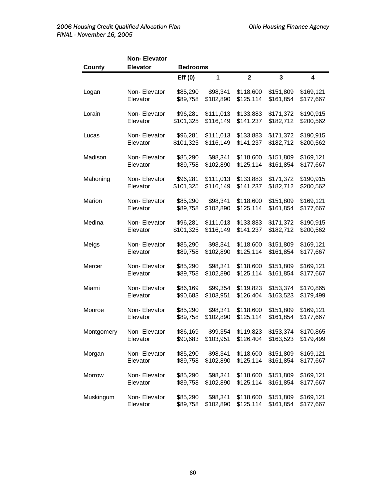| <b>County</b> | Non-Elevator<br><b>Elevator</b> | <b>Bedrooms</b> |           |              |              |           |
|---------------|---------------------------------|-----------------|-----------|--------------|--------------|-----------|
|               |                                 | Eff(0)          | 1         | $\mathbf{2}$ | $\mathbf{3}$ | 4         |
| Logan         | Non-Elevator                    | \$85,290        | \$98,341  | \$118,600    | \$151,809    | \$169,121 |
|               | Elevator                        | \$89,758        | \$102,890 | \$125,114    | \$161,854    | \$177,667 |
| Lorain        | Non-Elevator                    | \$96,281        | \$111,013 | \$133,883    | \$171,372    | \$190,915 |
|               | Elevator                        | \$101,325       | \$116,149 | \$141,237    | \$182,712    | \$200,562 |
| Lucas         | Non-Elevator                    | \$96,281        | \$111,013 | \$133,883    | \$171,372    | \$190,915 |
|               | Elevator                        | \$101,325       | \$116,149 | \$141,237    | \$182,712    | \$200,562 |
| Madison       | Non-Elevator                    | \$85,290        | \$98,341  | \$118,600    | \$151,809    | \$169,121 |
|               | Elevator                        | \$89,758        | \$102,890 | \$125,114    | \$161,854    | \$177,667 |
| Mahoning      | Non-Elevator                    | \$96,281        | \$111,013 | \$133,883    | \$171,372    | \$190,915 |
|               | Elevator                        | \$101,325       | \$116,149 | \$141,237    | \$182,712    | \$200,562 |
| Marion        | Non-Elevator                    | \$85,290        | \$98,341  | \$118,600    | \$151,809    | \$169,121 |
|               | Elevator                        | \$89,758        | \$102,890 | \$125,114    | \$161,854    | \$177,667 |
| Medina        | Non-Elevator                    | \$96,281        | \$111,013 | \$133,883    | \$171,372    | \$190,915 |
|               | Elevator                        | \$101,325       | \$116,149 | \$141,237    | \$182,712    | \$200,562 |
| Meigs         | Non-Elevator                    | \$85,290        | \$98,341  | \$118,600    | \$151,809    | \$169,121 |
|               | Elevator                        | \$89,758        | \$102,890 | \$125,114    | \$161,854    | \$177,667 |
| Mercer        | Non-Elevator                    | \$85,290        | \$98,341  | \$118,600    | \$151,809    | \$169,121 |
|               | Elevator                        | \$89,758        | \$102,890 | \$125,114    | \$161,854    | \$177,667 |
| Miami         | Non-Elevator                    | \$86,169        | \$99,354  | \$119,823    | \$153,374    | \$170,865 |
|               | Elevator                        | \$90,683        | \$103,951 | \$126,404    | \$163,523    | \$179,499 |
| Monroe        | Non-Elevator                    | \$85,290        | \$98,341  | \$118,600    | \$151,809    | \$169,121 |
|               | Elevator                        | \$89,758        | \$102,890 | \$125,114    | \$161,854    | \$177,667 |
| Montgomery    | Non-Elevator                    | \$86,169        | \$99,354  | \$119,823    | \$153,374    | \$170,865 |
|               | Elevator                        | \$90,683        | \$103,951 | \$126,404    | \$163,523    | \$179,499 |
| Morgan        | Non-Elevator                    | \$85,290        | \$98,341  | \$118,600    | \$151,809    | \$169,121 |
|               | Elevator                        | \$89,758        | \$102,890 | \$125,114    | \$161,854    | \$177,667 |
| Morrow        | Non-Elevator                    | \$85,290        | \$98,341  | \$118,600    | \$151,809    | \$169,121 |
|               | Elevator                        | \$89,758        | \$102,890 | \$125,114    | \$161,854    | \$177,667 |
| Muskingum     | Non-Elevator                    | \$85,290        | \$98,341  | \$118,600    | \$151,809    | \$169,121 |
|               | Elevator                        | \$89,758        | \$102,890 | \$125,114    | \$161,854    | \$177,667 |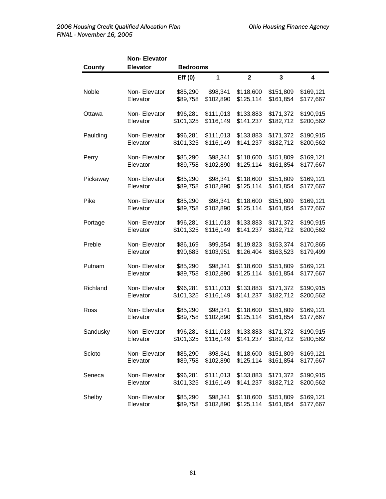| <b>County</b> | <b>Non-Elevator</b><br><b>Elevator</b> | <b>Bedrooms</b> |           |                |                         |                         |
|---------------|----------------------------------------|-----------------|-----------|----------------|-------------------------|-------------------------|
|               |                                        | Eff(0)          | 1         | $\overline{2}$ | $\overline{\mathbf{3}}$ | $\overline{\mathbf{4}}$ |
| Noble         | Non-Elevator                           | \$85,290        | \$98,341  | \$118,600      | \$151,809               | \$169,121               |
|               | Elevator                               | \$89,758        | \$102,890 | \$125,114      | \$161,854               | \$177,667               |
| Ottawa        | Non-Elevator                           | \$96,281        | \$111,013 | \$133,883      | \$171,372               | \$190,915               |
|               | Elevator                               | \$101,325       | \$116,149 | \$141,237      | \$182,712               | \$200,562               |
| Paulding      | Non-Elevator                           | \$96,281        | \$111,013 | \$133,883      | \$171,372               | \$190,915               |
|               | Elevator                               | \$101,325       | \$116,149 | \$141,237      | \$182,712               | \$200,562               |
| Perry         | Non-Elevator                           | \$85,290        | \$98,341  | \$118,600      | \$151,809               | \$169,121               |
|               | Elevator                               | \$89,758        | \$102,890 | \$125,114      | \$161,854               | \$177,667               |
| Pickaway      | Non-Elevator                           | \$85,290        | \$98,341  | \$118,600      | \$151,809               | \$169,121               |
|               | Elevator                               | \$89,758        | \$102,890 | \$125,114      | \$161,854               | \$177,667               |
| Pike          | Non-Elevator                           | \$85,290        | \$98,341  | \$118,600      | \$151,809               | \$169,121               |
|               | Elevator                               | \$89,758        | \$102,890 | \$125,114      | \$161,854               | \$177,667               |
| Portage       | Non-Elevator                           | \$96,281        | \$111,013 | \$133,883      | \$171,372               | \$190,915               |
|               | Elevator                               | \$101,325       | \$116,149 | \$141,237      | \$182,712               | \$200,562               |
| Preble        | Non-Elevator                           | \$86,169        | \$99,354  | \$119,823      | \$153,374               | \$170,865               |
|               | Elevator                               | \$90,683        | \$103,951 | \$126,404      | \$163,523               | \$179,499               |
| Putnam        | Non-Elevator                           | \$85,290        | \$98,341  | \$118,600      | \$151,809               | \$169,121               |
|               | Elevator                               | \$89,758        | \$102,890 | \$125,114      | \$161,854               | \$177,667               |
| Richland      | Non-Elevator                           | \$96,281        | \$111,013 | \$133,883      | \$171,372               | \$190,915               |
|               | Elevator                               | \$101,325       | \$116,149 | \$141,237      | \$182,712               | \$200,562               |
| Ross          | Non-Elevator                           | \$85,290        | \$98,341  | \$118,600      | \$151,809               | \$169,121               |
|               | Elevator                               | \$89,758        | \$102,890 | \$125,114      | \$161,854               | \$177,667               |
| Sandusky      | Non-Elevator                           | \$96,281        | \$111,013 | \$133,883      | \$171,372               | \$190,915               |
|               | Elevator                               | \$101,325       | \$116,149 | \$141,237      | \$182,712               | \$200,562               |
| Scioto        | Non-Elevator                           | \$85,290        | \$98,341  | \$118,600      | \$151,809               | \$169,121               |
|               | Elevator                               | \$89,758        | \$102,890 | \$125,114      | \$161,854               | \$177,667               |
| Seneca        | Non-Elevator                           | \$96,281        | \$111,013 | \$133,883      | \$171,372               | \$190,915               |
|               | Elevator                               | \$101,325       | \$116,149 | \$141,237      | \$182,712               | \$200,562               |
| Shelby        | Non-Elevator                           | \$85,290        | \$98,341  | \$118,600      | \$151,809               | \$169,121               |
|               | Elevator                               | \$89,758        | \$102,890 | \$125,114      | \$161,854               | \$177,667               |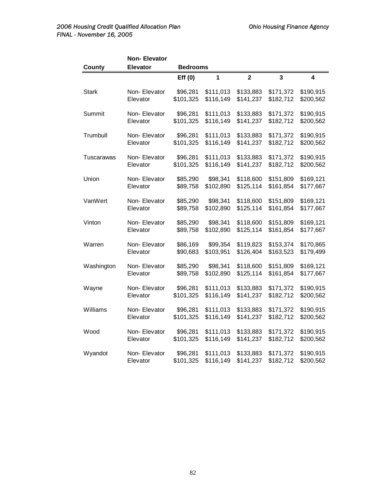|              | <b>Non-Elevator</b> |                 |              |                |                         |                         |
|--------------|---------------------|-----------------|--------------|----------------|-------------------------|-------------------------|
| County       | <b>Elevator</b>     | <b>Bedrooms</b> |              |                |                         |                         |
|              |                     | Eff(0)          | $\mathbf{1}$ | $\overline{2}$ | $\overline{\mathbf{3}}$ | $\overline{\mathbf{4}}$ |
| <b>Stark</b> | Non-Elevator        | \$96,281        | \$111,013    | \$133,883      | \$171,372               | \$190,915               |
|              | Elevator            | \$101,325       | \$116,149    | \$141,237      | \$182,712               | \$200,562               |
| Summit       | Non-Elevator        | \$96,281        | \$111,013    | \$133,883      | \$171,372               | \$190,915               |
|              | Elevator            | \$101,325       | \$116,149    | \$141,237      | \$182,712               | \$200,562               |
| Trumbull     | Non-Elevator        | \$96,281        | \$111,013    | \$133,883      | \$171,372               | \$190,915               |
|              | Elevator            | \$101,325       | \$116,149    | \$141,237      | \$182,712               | \$200,562               |
| Tuscarawas   | Non-Elevator        | \$96,281        | \$111,013    | \$133,883      | \$171,372               | \$190,915               |
|              | Elevator            | \$101,325       | \$116,149    | \$141,237      | \$182,712               | \$200,562               |
| Union        | Non-Elevator        | \$85,290        | \$98,341     | \$118,600      | \$151,809               | \$169,121               |
|              | Elevator            | \$89,758        | \$102,890    | \$125,114      | \$161,854               | \$177,667               |
| VanWert      | Non-Elevator        | \$85,290        | \$98,341     | \$118,600      | \$151,809               | \$169,121               |
|              | Elevator            | \$89,758        | \$102,890    | \$125,114      | \$161,854               | \$177,667               |
| Vinton       | Non-Elevator        | \$85,290        | \$98,341     | \$118,600      | \$151,809               | \$169,121               |
|              | Elevator            | \$89,758        | \$102,890    | \$125,114      | \$161,854               | \$177,667               |
| Warren       | Non-Elevator        | \$86,169        | \$99,354     | \$119,823      | \$153,374               | \$170,865               |
|              | Elevator            | \$90,683        | \$103,951    | \$126,404      | \$163,523               | \$179,499               |
| Washington   | Non-Elevator        | \$85,290        | \$98,341     | \$118,600      | \$151,809               | \$169,121               |
|              | Elevator            | \$89,758        | \$102,890    | \$125,114      | \$161,854               | \$177,667               |
| Wayne        | Non-Elevator        | \$96,281        | \$111,013    | \$133,883      | \$171,372               | \$190,915               |
|              | Elevator            | \$101,325       | \$116,149    | \$141,237      | \$182,712               | \$200,562               |
| Williams     | Non-Elevator        | \$96,281        | \$111,013    | \$133,883      | \$171,372               | \$190,915               |
|              | Elevator            | \$101,325       | \$116,149    | \$141,237      | \$182,712               | \$200,562               |
| Wood         | Non-Elevator        | \$96,281        | \$111,013    | \$133,883      | \$171,372               | \$190,915               |
|              | Elevator            | \$101,325       | \$116,149    | \$141,237      | \$182,712               | \$200,562               |
| Wyandot      | Non-Elevator        | \$96,281        | \$111,013    | \$133,883      | \$171,372               | \$190,915               |
|              | Elevator            | \$101,325       | \$116,149    | \$141,237      | \$182,712               | \$200,562               |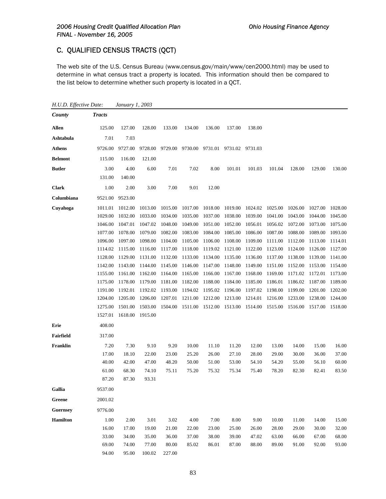## C. QUALIFIED CENSUS TRACTS (QCT)

The web site of the U.S. Census Bureau (www.census.gov/main/www/cen2000.html) may be used to determine in what census tract a property is located. This information should then be compared to the list below to determine whether such property is located in a QCT.

*H.U.D. Effective Date: January 1, 2003 County Tracts* **Allen** 125.00 127.00 128.00 133.00 134.00 136.00 137.00 138.00 **Ashtabula** 7.01 7.03 **Athens** 9726.00 9727.00 9728.00 9729.00 9730.00 9731.01 9731.02 9731.03 **Belmont** 115.00 116.00 121.00 **Butler** 3.00 4.00 6.00 7.01 7.02 8.00 101.01 101.03 101.04 128.00 129.00 130.00 131.00 140.00 **Clark** 1.00 2.00 3.00 7.00 9.01 12.00 **Columbiana** 9521.00 9523.00 **Cuyahoga** 1011.01 1012.00 1013.00 1015.00 1017.00 1018.00 1019.00 1024.02 1025.00 1026.00 1027.00 1028.00 1029.00 1032.00 1033.00 1034.00 1035.00 1037.00 1038.00 1039.00 1041.00 1043.00 1044.00 1045.00 1046.00 1047.01 1047.02 1048.00 1049.00 1051.00 1052.00 1056.01 1056.02 1072.00 1073.00 1075.00 1077.00 1078.00 1079.00 1082.00 1083.00 1084.00 1085.00 1086.00 1087.00 1088.00 1089.00 1093.00 1096.00 1097.00 1098.00 1104.00 1105.00 1106.00 1108.00 1109.00 1111.00 1112.00 1113.00 1114.01 1114.02 1115.00 1116.00 1117.00 1118.00 1119.02 1121.00 1122.00 1123.00 1124.00 1126.00 1127.00 1128.00 1129.00 1131.00 1132.00 1133.00 1134.00 1135.00 1136.00 1137.00 1138.00 1139.00 1141.00 1142.00 1143.00 1144.00 1145.00 1146.00 1147.00 1148.00 1149.00 1151.00 1152.00 1153.00 1154.00 1155.00 1161.00 1162.00 1164.00 1165.00 1166.00 1167.00 1168.00 1169.00 1171.02 1172.01 1173.00 1175.00 1178.00 1179.00 1181.00 1182.00 1188.00 1184.00 1185.00 1186.01 1186.02 1187.00 1189.00 1191.00 1192.01 1192.02 1193.00 1194.02 1195.02 1196.00 1197.02 1198.00 1199.00 1201.00 1202.00 1204.00 1205.00 1206.00 1207.01 1211.00 1212.00 1213.00 1214.01 1216.00 1233.00 1238.00 1244.00 1275.00 1501.00 1503.00 1504.00 1511.00 1512.00 1513.00 1514.00 1515.00 1516.00 1517.00 1518.00 1527.01 1618.00 1915.00 **Erie** 408.00 **Fairfield** 317.00 **Franklin** 7.20 7.30 9.10 9.20 10.00 11.10 11.20 12.00 13.00 14.00 15.00 16.00 17.00 18.10 22.00 23.00 25.20 26.00 27.10 28.00 29.00 30.00 36.00 37.00 40.00 42.00 47.00 48.20 50.00 51.00 53.00 54.10 54.20 55.00 56.10 60.00 61.00 68.30 74.10 75.11 75.20 75.32 75.34 75.40 78.20 82.30 82.41 83.50 87.20 87.30 93.31 **Gallia** 9537.00 **Greene** 2001.02 **Guernsey** 9776.00 **Hamilton** 1.00 2.00 3.01 3.02 4.00 7.00 8.00 9.00 10.00 11.00 14.00 15.00 16.00 17.00 19.00 21.00 22.00 23.00 25.00 26.00 28.00 29.00 30.00 32.00 33.00 34.00 35.00 36.00 37.00 38.00 39.00 47.02 63.00 66.00 67.00 68.00 69.00 74.00 77.00 80.00 85.02 86.01 87.00 88.00 89.00 91.00 92.00 93.00 94.00 95.00 100.02 227.00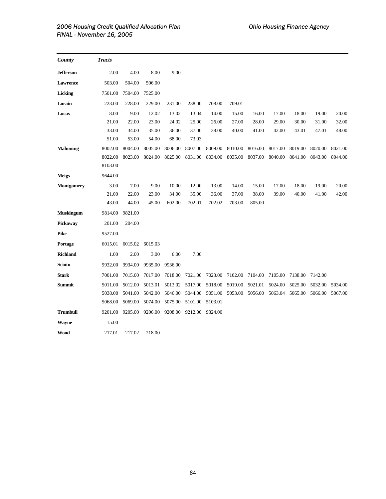| County            | <b>Tracts</b> |         |         |         |         |         |         |         |         |         |         |         |
|-------------------|---------------|---------|---------|---------|---------|---------|---------|---------|---------|---------|---------|---------|
| <b>Jefferson</b>  | 2.00          | 4.00    | 8.00    | 9.00    |         |         |         |         |         |         |         |         |
| Lawrence          | 503.00        | 504.00  | 506.00  |         |         |         |         |         |         |         |         |         |
| Licking           | 7501.00       | 7504.00 | 7525.00 |         |         |         |         |         |         |         |         |         |
| Lorain            | 223.00        | 228.00  | 229.00  | 231.00  | 238.00  | 708.00  | 709.01  |         |         |         |         |         |
| Lucas             | 8.00          | 9.00    | 12.02   | 13.02   | 13.04   | 14.00   | 15.00   | 16.00   | 17.00   | 18.00   | 19.00   | 20.00   |
|                   | 21.00         | 22.00   | 23.00   | 24.02   | 25.00   | 26.00   | 27.00   | 28.00   | 29.00   | 30.00   | 31.00   | 32.00   |
|                   | 33.00         | 34.00   | 35.00   | 36.00   | 37.00   | 38.00   | 40.00   | 41.00   | 42.00   | 43.01   | 47.01   | 48.00   |
|                   | 51.00         | 53.00   | 54.00   | 68.00   | 73.03   |         |         |         |         |         |         |         |
| <b>Mahoning</b>   | 8002.00       | 8004.00 | 8005.00 | 8006.00 | 8007.00 | 8009.00 | 8010.00 | 8016.00 | 8017.00 | 8019.00 | 8020.00 | 8021.00 |
|                   | 8022.00       | 8023.00 | 8024.00 | 8025.00 | 8031.00 | 8034.00 | 8035.00 | 8037.00 | 8040.00 | 8041.00 | 8043.00 | 8044.00 |
|                   | 8103.00       |         |         |         |         |         |         |         |         |         |         |         |
| <b>Meigs</b>      | 9644.00       |         |         |         |         |         |         |         |         |         |         |         |
| <b>Montgomery</b> | 3.00          | 7.00    | 9.00    | 10.00   | 12.00   | 13.00   | 14.00   | 15.00   | 17.00   | 18.00   | 19.00   | 20.00   |
|                   | 21.00         | 22.00   | 23.00   | 34.00   | 35.00   | 36.00   | 37.00   | 38.00   | 39.00   | 40.00   | 41.00   | 42.00   |
|                   | 43.00         | 44.00   | 45.00   | 602.00  | 702.01  | 702.02  | 703.00  | 805.00  |         |         |         |         |
| <b>Muskingum</b>  | 9814.00       | 9821.00 |         |         |         |         |         |         |         |         |         |         |
| Pickaway          | 201.00        | 204.00  |         |         |         |         |         |         |         |         |         |         |
| <b>Pike</b>       | 9527.00       |         |         |         |         |         |         |         |         |         |         |         |
| Portage           | 6015.01       | 6015.02 | 6015.03 |         |         |         |         |         |         |         |         |         |
| <b>Richland</b>   | 1.00          | 2.00    | 3.00    | 6.00    | 7.00    |         |         |         |         |         |         |         |
| <b>Scioto</b>     | 9932.00       | 9934.00 | 9935.00 | 9936.00 |         |         |         |         |         |         |         |         |
| <b>Stark</b>      | 7001.00       | 7015.00 | 7017.00 | 7018.00 | 7021.00 | 7023.00 | 7102.00 | 7104.00 | 7105.00 | 7138.00 | 7142.00 |         |
| Summit            | 5011.00       | 5012.00 | 5013.01 | 5013.02 | 5017.00 | 5018.00 | 5019.00 | 5021.01 | 5024.00 | 5025.00 | 5032.00 | 5034.00 |
|                   | 5038.00       | 5041.00 | 5042.00 | 5046.00 | 5044.00 | 5051.00 | 5053.00 | 5056.00 | 5063.04 | 5065.00 | 5066.00 | 5067.00 |
|                   | 5068.00       | 5069.00 | 5074.00 | 5075.00 | 5101.00 | 5103.01 |         |         |         |         |         |         |
| <b>Trumbull</b>   | 9201.00       | 9205.00 | 9206.00 | 9208.00 | 9212.00 | 9324.00 |         |         |         |         |         |         |
| Wayne             | 15.00         |         |         |         |         |         |         |         |         |         |         |         |
| Wood              | 217.01        | 217.02  | 218.00  |         |         |         |         |         |         |         |         |         |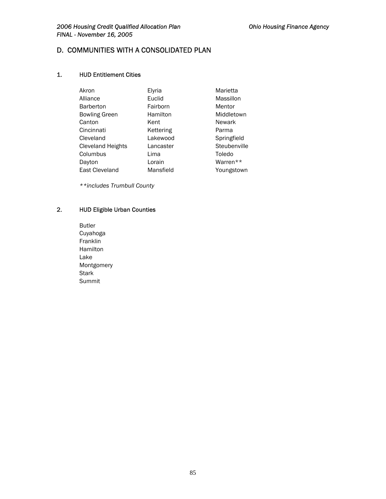# D. COMMUNITIES WITH A CONSOLIDATED PLAN

## 1. HUD Entitlement Cities

| Akron                    | Elyria    | Marietta      |
|--------------------------|-----------|---------------|
| Alliance                 | Euclid    | Massillon     |
| <b>Barberton</b>         | Fairborn  | Mentor        |
| <b>Bowling Green</b>     | Hamilton  | Middletown    |
| Canton                   | Kent      | <b>Newark</b> |
| Cincinnati               | Kettering | Parma         |
| Cleveland                | Lakewood  | Springfield   |
| <b>Cleveland Heights</b> | Lancaster | Steubenville  |
| Columbus                 | Lima      | Toledo        |
| Dayton                   | Lorain    | Warren**      |
| East Cleveland           | Mansfield | Youngstown    |

*\*\*includes Trumbull County* 

# 2. HUD Eligible Urban Counties

Butler Cuyahoga Franklin Hamilton Lake Montgomery **Stark** Summit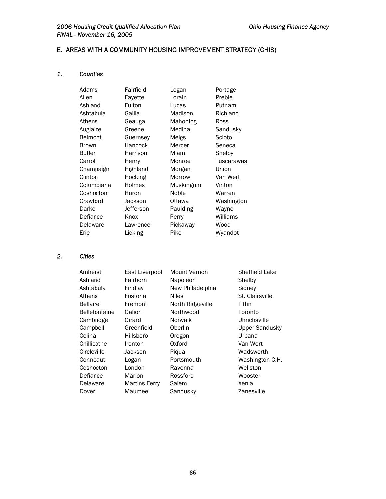# E. AREAS WITH A COMMUNITY HOUSING IMPROVEMENT STRATEGY (CHIS)

# *1. Counties*

| Adams          | Fairfield | Logan     | Portage    |
|----------------|-----------|-----------|------------|
| Allen          | Fayette   | Lorain    | Preble     |
| Ashland        | Fulton    | Lucas     | Putnam     |
| Ashtabula      | Gallia    | Madison   | Richland   |
| Athens         | Geauga    | Mahoning  | Ross       |
| Auglaize       | Greene    | Medina    | Sandusky   |
| <b>Belmont</b> | Guernsey  | Meigs     | Scioto     |
| <b>Brown</b>   | Hancock   | Mercer    | Seneca     |
| <b>Butler</b>  | Harrison  | Miami     | Shelby     |
| Carroll        | Henry     | Monroe    | Tuscarawas |
| Champaign      | Highland  | Morgan    | Union      |
| Clinton        | Hocking   | Morrow    | Van Wert   |
| Columbiana     | Holmes    | Muskingum | Vinton     |
| Coshocton      | Huron     | Noble     | Warren     |
| Crawford       | Jackson   | Ottawa    | Washington |
| Darke          | Jefferson | Paulding  | Wayne      |
| Defiance       | Knox      | Perry     | Williams   |
| Delaware       | Lawrence  | Pickaway  | Wood       |
| Erie           | Licking   | Pike      | Wyandot    |

## *2. Cities*

| Amherst              | East Liverpool       | Mount Vernon     | Sheffield Lake        |
|----------------------|----------------------|------------------|-----------------------|
| Ashland              | Fairborn             | Napoleon         | Shelby                |
| Ashtabula            | Findlay              | New Philadelphia | Sidney                |
| Athens               | Fostoria             | <b>Niles</b>     | St. Clairsville       |
| <b>Bellaire</b>      | Fremont              | North Ridgeville | Tiffin                |
| <b>Bellefontaine</b> | Galion               | Northwood        | Toronto               |
| Cambridge            | Girard               | Norwalk          | Uhrichsville          |
| Campbell             | Greenfield           | Oberlin          | <b>Upper Sandusky</b> |
| Celina               | Hillsboro            | Oregon           | Urbana                |
| Chillicothe          | Ironton              | Oxford           | Van Wert              |
| Circleville          | Jackson              | Pigua            | Wadsworth             |
| Conneaut             | Logan                | Portsmouth       | Washington C.H.       |
| Coshocton            | London               | Ravenna          | Wellston              |
| Defiance             | Marion               | Rossford         | Wooster               |
| Delaware             | <b>Martins Ferry</b> | Salem            | Xenia                 |
| Dover                | Maumee               | Sandusky         | Zanesville            |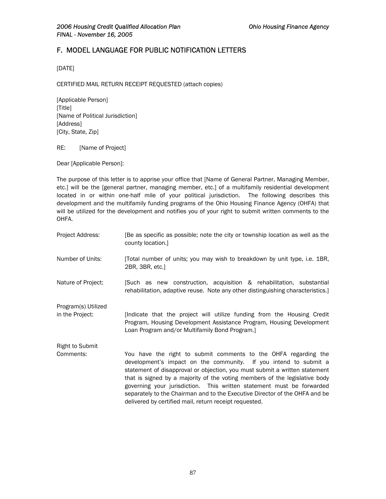# F. MODEL LANGUAGE FOR PUBLIC NOTIFICATION LETTERS

[DATE]

CERTIFIED MAIL RETURN RECEIPT REQUESTED (attach copies)

[Applicable Person] [Title] [Name of Political Jurisdiction] [Address] [City, State, Zip]

RE: [Name of Project]

Dear [Applicable Person]:

The purpose of this letter is to apprise your office that [Name of General Partner, Managing Member, etc.] will be the [general partner, managing member, etc.] of a multifamily residential development located in or within one-half mile of your political jurisdiction. The following describes this development and the multifamily funding programs of the Ohio Housing Finance Agency (OHFA) that will be utilized for the development and notifies you of your right to submit written comments to the OHFA.

| Project Address:                       | [Be as specific as possible; note the city or township location as well as the<br>county location.]                                                                                                                                                                                                                                                                                                                                                                                                               |
|----------------------------------------|-------------------------------------------------------------------------------------------------------------------------------------------------------------------------------------------------------------------------------------------------------------------------------------------------------------------------------------------------------------------------------------------------------------------------------------------------------------------------------------------------------------------|
| Number of Units:                       | [Total number of units; you may wish to breakdown by unit type, i.e. 1BR,<br>2BR, 3BR, etc.]                                                                                                                                                                                                                                                                                                                                                                                                                      |
| Nature of Project:                     | [Such as new construction, acquisition & rehabilitation, substantial<br>rehabilitation, adaptive reuse. Note any other distinguishing characteristics.                                                                                                                                                                                                                                                                                                                                                            |
| Program(s) Utilized<br>in the Project: | Indicate that the project will utilize funding from the Housing Credit<br>Program, Housing Development Assistance Program, Housing Development<br>Loan Program and/or Multifamily Bond Program.]                                                                                                                                                                                                                                                                                                                  |
| <b>Right to Submit</b>                 |                                                                                                                                                                                                                                                                                                                                                                                                                                                                                                                   |
| Comments:                              | You have the right to submit comments to the OHFA regarding the<br>development's impact on the community. If you intend to submit a<br>statement of disapproval or objection, you must submit a written statement<br>that is signed by a majority of the voting members of the legislative body<br>governing your jurisdiction. This written statement must be forwarded<br>separately to the Chairman and to the Executive Director of the OHFA and be<br>delivered by certified mail, return receipt requested. |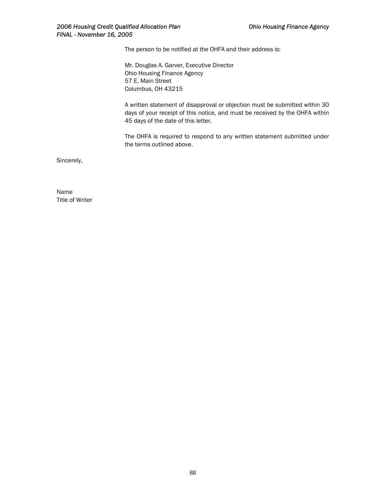The person to be notified at the OHFA and their address is:

Mr. Douglas A. Garver, Executive Director Ohio Housing Finance Agency 57 E. Main Street Columbus, OH 43215

A written statement of disapproval or objection must be submitted within 30 days of your receipt of this notice, and must be received by the OHFA within 45 days of the date of this letter.

The OHFA is required to respond to any written statement submitted under the terms outlined above.

Sincerely,

Name Title of Writer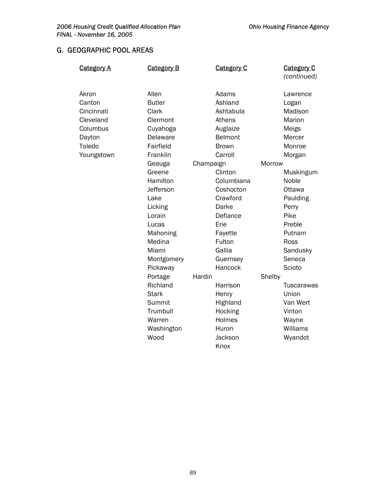# G. GEOGRAPHIC POOL AREAS

| <u>Category A</u> | <b>Category B</b> |           | <b>Category C</b> |        | <b>Category C</b> |
|-------------------|-------------------|-----------|-------------------|--------|-------------------|
|                   |                   |           |                   |        | (continued)       |
| Akron             | Allen             |           | Adams             |        | Lawrence          |
| Canton            | <b>Butler</b>     |           | Ashland           |        | Logan             |
| Cincinnati        | Clark             |           | Ashtabula         |        | Madison           |
| Cleveland         | Clermont          |           | Athens            |        | Marion            |
| Columbus          | Cuyahoga          |           | Auglaize          |        | Meigs             |
| Dayton            | Delaware          |           | Belmont           |        | Mercer            |
| Toledo            | Fairfield         |           | <b>Brown</b>      |        | Monroe            |
| Youngstown        | Franklin          |           | Carroll           |        | Morgan            |
|                   | Geauga            | Champaign |                   | Morrow |                   |
|                   | Greene            |           | Clinton           |        | Muskingum         |
|                   | Hamilton          |           | Columbiana        |        | Noble             |
|                   | Jefferson         |           | Coshocton         |        | Ottawa            |
|                   | Lake              |           | Crawford          |        | Paulding          |
|                   | Licking           |           | Darke             |        | Perry             |
|                   | Lorain            |           | Defiance          |        | Pike              |
|                   | Lucas             |           | Erie              |        | Preble            |
|                   | Mahoning          |           | Fayette           |        | Putnam            |
|                   | Medina            |           | Fulton            |        | Ross              |
|                   | Miami             |           | Gallia            |        | Sandusky          |
|                   | Montgomery        |           | Guernsey          |        | Seneca            |
|                   | Pickaway          |           | Hancock           |        | Scioto            |
|                   | Portage           | Hardin    |                   | Shelby |                   |
|                   | Richland          |           | Harrison          |        | <b>Tuscarawas</b> |
|                   | <b>Stark</b>      |           | Henry             |        | Union             |
|                   | Summit            |           | Highland          |        | Van Wert          |
|                   | Trumbull          |           | Hocking           |        | Vinton            |
|                   | Warren            |           | Holmes            |        | Wayne             |
|                   | Washington        |           | Huron             |        | Williams          |
|                   | Wood              |           | Jackson           |        | Wyandot           |
|                   |                   |           | Knox              |        |                   |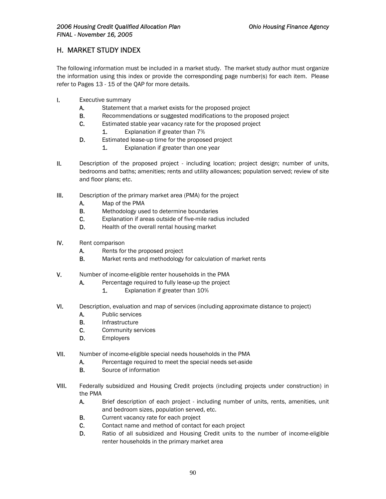# H. MARKET STUDY INDEX

The following information must be included in a market study. The market study author must organize the information using this index or provide the corresponding page number(s) for each item. Please refer to Pages 13 - 15 of the QAP for more details.

- I. Executive summary
	- A. Statement that a market exists for the proposed project
	- **B.** Recommendations or suggested modifications to the proposed project
	- C. Estimated stable year vacancy rate for the proposed project
		- 1. Explanation if greater than 7%
	- D. Estimated lease-up time for the proposed project
		- 1. Explanation if greater than one year
- II. Description of the proposed project including location; project design; number of units, bedrooms and baths; amenities; rents and utility allowances; population served; review of site and floor plans; etc.
- III. Description of the primary market area (PMA) for the project
	- A. Map of the PMA
	- **B.** Methodology used to determine boundaries
	- C. Explanation if areas outside of five-mile radius included
	- D. Health of the overall rental housing market
- IV. Rent comparison
	- A. Rents for the proposed project
	- B. Market rents and methodology for calculation of market rents
- V. Number of income-eligible renter households in the PMA
	- A. Percentage required to fully lease-up the project
		- 1. Explanation if greater than 10%
- VI. Description, evaluation and map of services (including approximate distance to project)
	- A. Public services
	- B. Infrastructure
	- C. Community services
	- D. Employers
- VII. Number of income-eligible special needs households in the PMA
	- A. Percentage required to meet the special needs set-aside
		- B. Source of information
- VIII. Federally subsidized and Housing Credit projects (including projects under construction) in the PMA
	- A. Brief description of each project including number of units, rents, amenities, unit and bedroom sizes, population served, etc.
	- **B.** Current vacancy rate for each project
	- C. Contact name and method of contact for each project
	- D. Ratio of all subsidized and Housing Credit units to the number of income-eligible renter households in the primary market area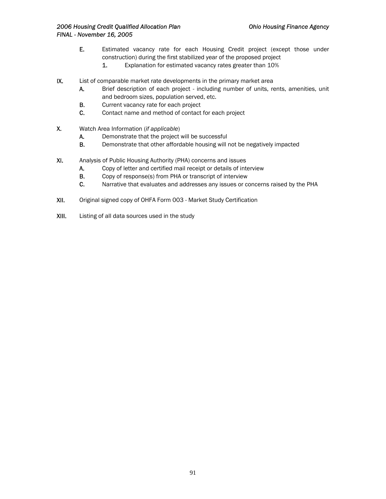- E. Estimated vacancy rate for each Housing Credit project (except those under construction) during the first stabilized year of the proposed project
	- 1. Explanation for estimated vacancy rates greater than 10%
- IX. List of comparable market rate developments in the primary market area
	- A. Brief description of each project including number of units, rents, amenities, unit and bedroom sizes, population served, etc.
	- B. Current vacancy rate for each project
	- C. Contact name and method of contact for each project
- X. Watch Area Information (*if applicable*)
	- A. Demonstrate that the project will be successful
	- B. Demonstrate that other affordable housing will not be negatively impacted
- XI. Analysis of Public Housing Authority (PHA) concerns and issues
	- A. Copy of letter and certified mail receipt or details of interview
	- B. Copy of response(s) from PHA or transcript of interview
	- C. Narrative that evaluates and addresses any issues or concerns raised by the PHA
- XII. Original signed copy of OHFA Form 003 Market Study Certification
- XIII. Listing of all data sources used in the study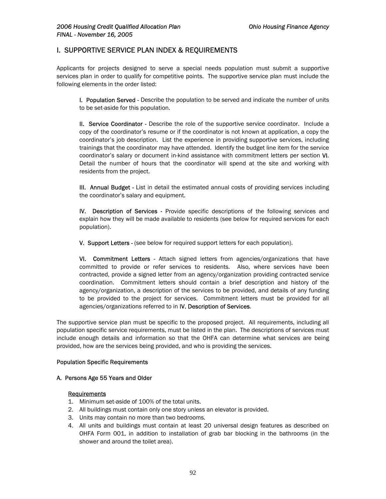## I. SUPPORTIVE SERVICE PLAN INDEX & REQUIREMENTS

Applicants for projects designed to serve a special needs population must submit a supportive services plan in order to qualify for competitive points. The supportive service plan must include the following elements in the order listed:

I. Population Served - Describe the population to be served and indicate the number of units to be set-aside for this population.

II. Service Coordinator - Describe the role of the supportive service coordinator. Include a copy of the coordinator's resume or if the coordinator is not known at application, a copy the coordinator's job description. List the experience in providing supportive services, including trainings that the coordinator may have attended. Identify the budget line item for the service coordinator's salary or document in-kind assistance with commitment letters per section VI. Detail the number of hours that the coordinator will spend at the site and working with residents from the project.

III. Annual Budget - List in detail the estimated annual costs of providing services including the coordinator's salary and equipment.

IV. Description of Services - Provide specific descriptions of the following services and explain how they will be made available to residents (see below for required services for each population).

V. Support Letters - (see below for required support letters for each population).

VI. Commitment Letters - Attach signed letters from agencies/organizations that have committed to provide or refer services to residents. Also, where services have been contracted, provide a signed letter from an agency/organization providing contracted service coordination. Commitment letters should contain a brief description and history of the agency/organization, a description of the services to be provided, and details of any funding to be provided to the project for services. Commitment letters must be provided for all agencies/organizations referred to in IV. Description of Services.

The supportive service plan must be specific to the proposed project. All requirements, including all population specific service requirements, must be listed in the plan. The descriptions of services must include enough details and information so that the OHFA can determine what services are being provided, how are the services being provided, and who is providing the services.

### Population Specific Requirements

### A. Persons Age 55 Years and Older

### **Requirements**

- 1. Minimum set-aside of 100% of the total units.
- 2. All buildings must contain only one story unless an elevator is provided.
- 3. Units may contain no more than two bedrooms.
- 4. All units and buildings must contain at least 20 universal design features as described on OHFA Form 001, in addition to installation of grab bar blocking in the bathrooms (in the shower and around the toilet area).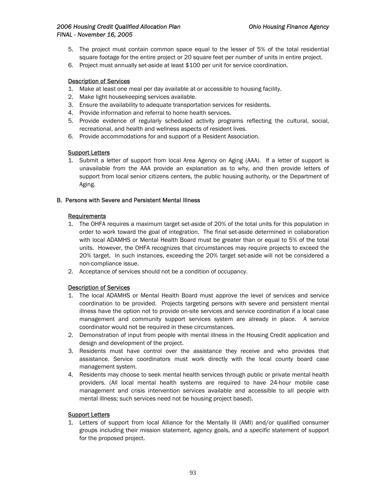- 5. The project must contain common space equal to the lesser of 5% of the total residential square footage for the entire project or 20 square feet per number of units in entire project.
- 6. Project must annually set-aside at least \$100 per unit for service coordination.

### Description of Services

- 1. Make at least one meal per day available at or accessible to housing facility.
- 2. Make light housekeeping services available.
- 3. Ensure the availability to adequate transportation services for residents.
- 4. Provide information and referral to home health services.
- 5. Provide evidence of regularly scheduled activity programs reflecting the cultural, social, recreational, and health and wellness aspects of resident lives.
- 6. Provide accommodations for and support of a Resident Association.

## **Support Letters**

1. Submit a letter of support from local Area Agency on Aging (AAA). If a letter of support is unavailable from the AAA provide an explanation as to why, and then provide letters of support from local senior citizens centers, the public housing authority, or the Department of Aging.

### B. Persons with Severe and Persistent Mental Illness

### Requirements

- 1. The OHFA requires a maximum target set-aside of 20% of the total units for this population in order to work toward the goal of integration. The final set-aside determined in collaboration with local ADAMHS or Mental Health Board must be greater than or equal to 5% of the total units. However, the OHFA recognizes that circumstances may require projects to exceed the 20% target. In such instances, exceeding the 20% target set-aside will not be considered a non-compliance issue.
- 2. Acceptance of services should not be a condition of occupancy.

## Description of Services

- 1. The local ADAMHS or Mental Health Board must approve the level of services and service coordination to be provided. Projects targeting persons with severe and persistent mental illness have the option not to provide on-site services and service coordination if a local case management and community support services system are already in place. A service coordinator would not be required in these circumstances.
- 2. Demonstration of input from people with mental illness in the Housing Credit application and design and development of the project.
- 3. Residents must have control over the assistance they receive and who provides that assistance. Service coordinators must work directly with the local county board case management system.
- 4. Residents may choose to seek mental health services through public or private mental health providers. (All local mental health systems are required to have 24-hour mobile case management and crisis intervention services available and accessible to all people with mental illness; such services need not be housing project based).

### **Support Letters**

1. Letters of support from local Alliance for the Mentally Ill (AMI) and/or qualified consumer groups including their mission statement, agency goals, and a *specific* statement of support for the proposed project.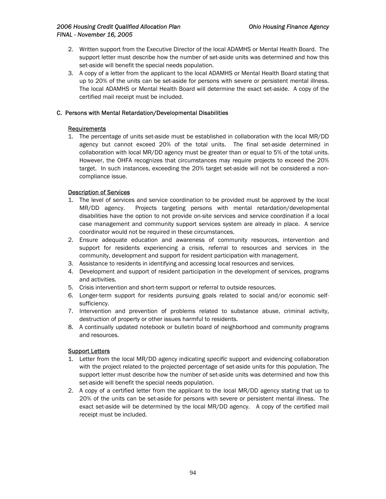- 2. Written support from the Executive Director of the local ADAMHS or Mental Health Board. The support letter must describe how the number of set-aside units was determined and how this set-aside will benefit the special needs population.
- 3. A copy of a letter from the applicant to the local ADAMHS or Mental Health Board stating that up to 20% of the units can be set-aside for persons with severe or persistent mental illness. The local ADAMHS or Mental Health Board will determine the exact set-aside. A copy of the certified mail receipt must be included.

## C. Persons with Mental Retardation/Developmental Disabilities

## **Requirements**

1. The percentage of units set-aside must be established in collaboration with the local MR/DD agency but cannot exceed 20% of the total units. The final set-aside determined in collaboration with local MR/DD agency must be greater than or equal to 5% of the total units. However, the OHFA recognizes that circumstances may require projects to exceed the 20% target. In such instances, exceeding the 20% target set-aside will not be considered a noncompliance issue.

## Description of Services

- 1. The level of services and service coordination to be provided must be approved by the local MR/DD agency. Projects targeting persons with mental retardation/developmental disabilities have the option to not provide on-site services and service coordination if a local case management and community support services system are already in place. A service coordinator would not be required in these circumstances.
- 2. Ensure adequate education and awareness of community resources, intervention and support for residents experiencing a crisis, referral to resources and services in the community, development and support for resident participation with management.
- 3. Assistance to residents in identifying and accessing local resources and services.
- 4. Development and support of resident participation in the development of services, programs and activities.
- 5. Crisis intervention and short-term support or referral to outside resources.
- 6. Longer-term support for residents pursuing goals related to social and/or economic selfsufficiency.
- 7. Intervention and prevention of problems related to substance abuse, criminal activity, destruction of property or other issues harmful to residents.
- 8. A continually updated notebook or bulletin board of neighborhood and community programs and resources.

## Support Letters

- 1. Letter from the local MR/DD agency indicating *specific* support and evidencing collaboration with the project related to the projected percentage of set-aside units for this population. The support letter must describe how the number of set-aside units was determined and how this set-aside will benefit the special needs population.
- 2. A copy of a certified letter from the applicant to the local MR/DD agency stating that up to 20% of the units can be set-aside for persons with severe or persistent mental illness. The exact set-aside will be determined by the local MR/DD agency. A copy of the certified mail receipt must be included.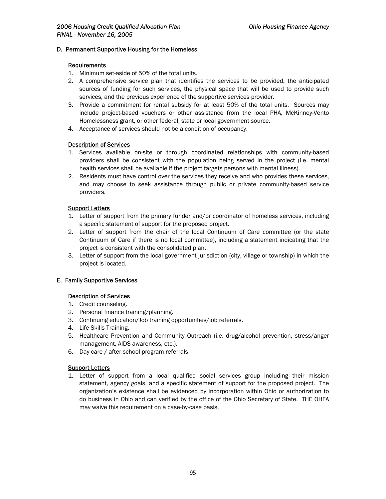### D. Permanent Supportive Housing for the Homeless

#### Requirements

- 1. Minimum set-aside of 50% of the total units.
- 2. A comprehensive service plan that identifies the services to be provided, the anticipated sources of funding for such services, the physical space that will be used to provide such services, and the previous experience of the supportive services provider.
- 3. Provide a commitment for rental subsidy for at least 50% of the total units. Sources may include project-based vouchers or other assistance from the local PHA, McKinney-Vento Homelessness grant, or other federal, state or local government source.
- 4. Acceptance of services should not be a condition of occupancy.

### Description of Services

- 1. Services available on-site or through coordinated relationships with community-based providers shall be consistent with the population being served in the project (i.e. mental health services shall be available if the project targets persons with mental illness).
- 2. Residents must have control over the services they receive and who provides these services, and may choose to seek assistance through public or private community-based service providers.

## **Support Letters**

- 1. Letter of support from the primary funder and/or coordinator of homeless services, including a specific statement of support for the proposed project.
- 2. Letter of support from the chair of the local Continuum of Care committee (or the state Continuum of Care if there is no local committee), including a statement indicating that the project is consistent with the consolidated plan.
- 3. Letter of support from the local government jurisdiction (city, village or township) in which the project is located.

### E. Family Supportive Services

### Description of Services

- 1. Credit counseling.
- 2. Personal finance training/planning.
- 3. Continuing education/Job training opportunities/job referrals.
- 4. Life Skills Training.
- 5. Healthcare Prevention and Community Outreach (i.e. drug/alcohol prevention, stress/anger management, AIDS awareness, etc.).
- 6. Day care / after school program referrals

### Support Letters

1. Letter of support from a local qualified social services group including their mission statement, agency goals, and a specific statement of support for the proposed project. The organization's existence shall be evidenced by incorporation within Ohio or authorization to do business in Ohio and can verified by the office of the Ohio Secretary of State. THE OHFA may waive this requirement on a case-by-case basis.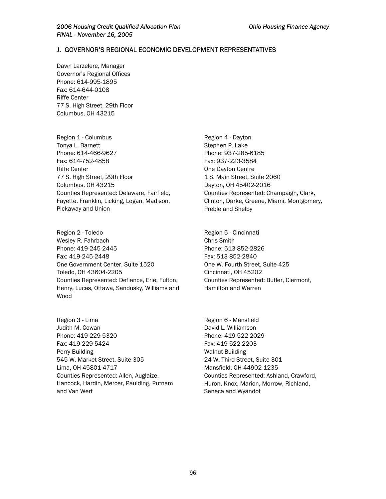## J. GOVERNOR'S REGIONAL ECONOMIC DEVELOPMENT REPRESENTATIVES

Dawn Larzelere, Manager Governor's Regional Offices Phone: 614-995-1895 Fax: 614-644-0108 Riffe Center 77 S. High Street, 29th Floor Columbus, OH 43215

Region 1 - Columbus Tonya L. Barnett Phone: 614-466-9627 Fax: 614-752-4858 Riffe Center 77 S. High Street, 29th Floor Columbus, OH 43215 Counties Represented: Delaware, Fairfield, Fayette, Franklin, Licking, Logan, Madison, Pickaway and Union

Region 2 - Toledo Wesley R. Fahrbach Phone: 419-245-2445 Fax: 419-245-2448 One Government Center, Suite 1520 Toledo, OH 43604-2205 Counties Represented: Defiance, Erie, Fulton, Henry, Lucas, Ottawa, Sandusky, Williams and Wood

Region 3 - Lima Judith M. Cowan Phone: 419-229-5320 Fax: 419-229-5424 Perry Building 545 W. Market Street, Suite 305 Lima, OH 45801-4717 Counties Represented: Allen, Auglaize, Hancock, Hardin, Mercer, Paulding, Putnam and Van Wert

Region 4 - Dayton Stephen P. Lake Phone: 937-285-6185 Fax: 937-223-3584 One Dayton Centre 1 S. Main Street, Suite 2060 Dayton, OH 45402-2016 Counties Represented: Champaign, Clark, Clinton, Darke, Greene, Miami, Montgomery, Preble and Shelby

Region 5 - Cincinnati Chris Smith Phone: 513-852-2826 Fax: 513-852-2840 One W. Fourth Street, Suite 425 Cincinnati, OH 45202 Counties Represented: Butler, Clermont, Hamilton and Warren

Region 6 - Mansfield David L. Williamson Phone: 419-522-2029 Fax: 419-522-2203 Walnut Building 24 W. Third Street, Suite 301 Mansfield, OH 44902-1235 Counties Represented: Ashland, Crawford, Huron, Knox, Marion, Morrow, Richland, Seneca and Wyandot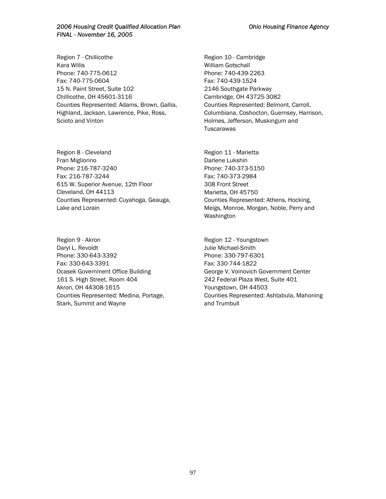Region 7 - Chillicothe Kara Willis Phone: 740-775-0612 Fax: 740-775-0604 15 N. Paint Street, Suite 102 Chillicothe, OH 45601-3116 Counties Represented: Adams, Brown, Gallia, Highland, Jackson, Lawrence, Pike, Ross, Scioto and Vinton

Region 8 - Cleveland Fran Migliorino Phone: 216-787-3240 Fax: 216-787-3244 615 W. Superior Avenue, 12th Floor Cleveland, OH 44113 Counties Represented: Cuyahoga, Geauga, Lake and Lorain

Region 9 - Akron Daryl L. Revoldt Phone: 330-643-3392 Fax: 330-643-3391 Ocasek Government Office Building 161 S. High Street, Room 404 Akron, OH 44308-1615 Counties Represented: Medina, Portage, Stark, Summit and Wayne

Region 10 - Cambridge William Gotschall Phone: 740-439-2263 Fax: 740-439-1524 2146 Southgate Parkway Cambridge, OH 43725-3082 Counties Represented: Belmont, Carroll, Columbiana, Coshocton, Guernsey, Harrison, Holmes, Jefferson, Muskingum and **Tuscarawas** 

Region 11 - Marietta Darlene Lukshin Phone: 740-373-5150 Fax: 740-373-2984 308 Front Street Marietta, OH 45750 Counties Represented: Athens, Hocking, Meigs, Monroe, Morgan, Noble, Perry and Washington

Region 12 - Youngstown Julie Michael-Smith Phone: 330-797-6301 Fax: 330-744-1822 George V. Voinovich Government Center 242 Federal Plaza West, Suite 401 Youngstown, OH 44503 Counties Represented: Ashtabula, Mahoning and Trumbull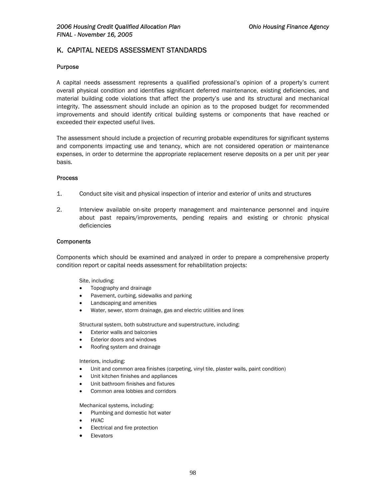# K. CAPITAL NEEDS ASSESSMENT STANDARDS

#### Purpose

A capital needs assessment represents a qualified professional's opinion of a property's current overall physical condition and identifies significant deferred maintenance, existing deficiencies, and material building code violations that affect the property's use and its structural and mechanical integrity. The assessment should include an opinion as to the proposed budget for recommended improvements and should identify critical building systems or components that have reached or exceeded their expected useful lives.

The assessment should include a projection of recurring probable expenditures for significant systems and components impacting use and tenancy, which are not considered operation or maintenance expenses, in order to determine the appropriate replacement reserve deposits on a per unit per year basis.

#### **Process**

- 1. Conduct site visit and physical inspection of interior and exterior of units and structures
- 2. Interview available on-site property management and maintenance personnel and inquire about past repairs/improvements, pending repairs and existing or chronic physical deficiencies

#### **Components**

Components which should be examined and analyzed in order to prepare a comprehensive property condition report or capital needs assessment for rehabilitation projects:

#### Site, including:

- Topography and drainage
- Pavement, curbing, sidewalks and parking
- Landscaping and amenities
- Water, sewer, storm drainage, gas and electric utilities and lines

Structural system, both substructure and superstructure, including:

- **Exterior walls and balconies**
- Exterior doors and windows
- Roofing system and drainage

#### Interiors, including:

- Unit and common area finishes (carpeting, vinyl tile, plaster walls, paint condition)
- Unit kitchen finishes and appliances
- Unit bathroom finishes and fixtures
- Common area lobbies and corridors

Mechanical systems, including:

- Plumbing and domestic hot water
- HVAC
- Electrical and fire protection
- **Elevators**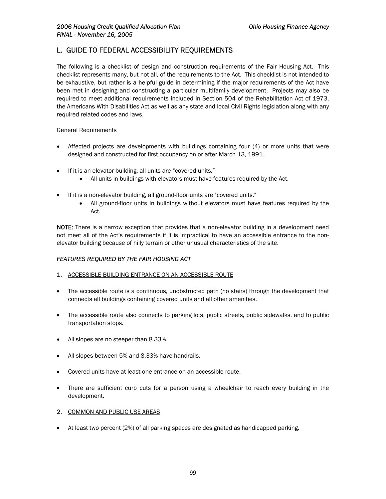# L. GUIDE TO FEDERAL ACCESSIBILITY REQUIREMENTS

The following is a checklist of design and construction requirements of the Fair Housing Act. This checklist represents many, but not all, of the requirements to the Act. This checklist is not intended to be exhaustive, but rather is a helpful guide in determining if the major requirements of the Act have been met in designing and constructing a particular multifamily development. Projects may also be required to meet additional requirements included in Section 504 of the Rehabilitation Act of 1973, the Americans With Disabilities Act as well as any state and local Civil Rights legislation along with any required related codes and laws.

## General Requirements

- Affected projects are developments with buildings containing four (4) or more units that were designed and constructed for first occupancy on or after March 13, 1991.
- If it is an elevator building, all units are "covered units."
	- All units in buildings with elevators must have features required by the Act.
- If it is a non-elevator building, all ground-floor units are "covered units."
	- All ground-floor units in buildings without elevators must have features required by the Act.

NOTE: There is a narrow exception that provides that a non-elevator building in a development need not meet all of the Act's requirements if it is impractical to have an accessible entrance to the nonelevator building because of hilly terrain or other unusual characteristics of the site.

## *FEATURES REQUIRED BY THE FAIR HOUSING ACT*

- 1. ACCESSIBLE BUILDING ENTRANCE ON AN ACCESSIBLE ROUTE
- The accessible route is a continuous, unobstructed path (no stairs) through the development that connects all buildings containing covered units and all other amenities.
- The accessible route also connects to parking lots, public streets, public sidewalks, and to public transportation stops.
- All slopes are no steeper than 8.33%.
- All slopes between 5% and 8.33% have handrails.
- Covered units have at least one entrance on an accessible route.
- There are sufficient curb cuts for a person using a wheelchair to reach every building in the development.
- 2. COMMON AND PUBLIC USE AREAS
- At least two percent (2%) of all parking spaces are designated as handicapped parking.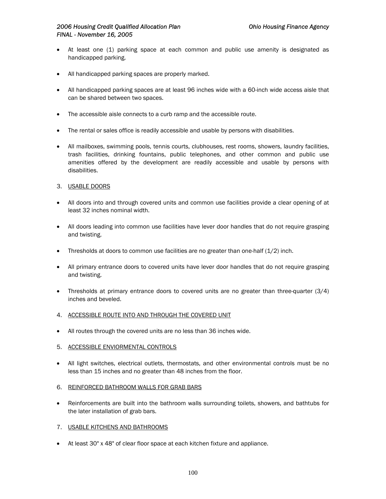- At least one (1) parking space at each common and public use amenity is designated as handicapped parking.
- All handicapped parking spaces are properly marked.
- All handicapped parking spaces are at least 96 inches wide with a 60-inch wide access aisle that can be shared between two spaces.
- The accessible aisle connects to a curb ramp and the accessible route.
- The rental or sales office is readily accessible and usable by persons with disabilities.
- All mailboxes, swimming pools, tennis courts, clubhouses, rest rooms, showers, laundry facilities, trash facilities, drinking fountains, public telephones, and other common and public use amenities offered by the development are readily accessible and usable by persons with disabilities.
- 3. USABLE DOORS
- All doors into and through covered units and common use facilities provide a clear opening of at least 32 inches nominal width.
- All doors leading into common use facilities have lever door handles that do not require grasping and twisting.
- Thresholds at doors to common use facilities are no greater than one-half  $(1/2)$  inch.
- All primary entrance doors to covered units have lever door handles that do not require grasping and twisting.
- Thresholds at primary entrance doors to covered units are no greater than three-quarter (3/4) inches and beveled.
- 4. ACCESSIBLE ROUTE INTO AND THROUGH THE COVERED UNIT
- All routes through the covered units are no less than 36 inches wide.
- 5. ACCESSIBLE ENVIORMENTAL CONTROLS
- All light switches, electrical outlets, thermostats, and other environmental controls must be no less than 15 inches and no greater than 48 inches from the floor.
- 6. REINFORCED BATHROOM WALLS FOR GRAB BARS
- Reinforcements are built into the bathroom walls surrounding toilets, showers, and bathtubs for the later installation of grab bars.
- 7. USABLE KITCHENS AND BATHROOMS
- At least 30" x 48" of clear floor space at each kitchen fixture and appliance.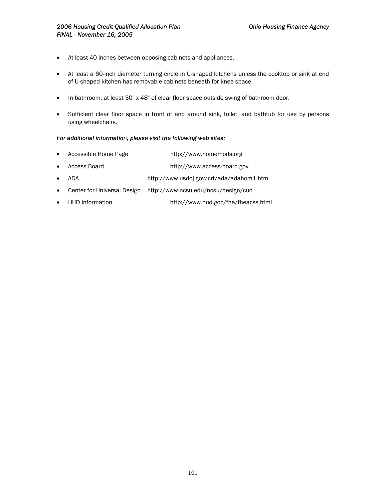- At least 40 inches between opposing cabinets and appliances.
- At least a 60-inch diameter turning circle in U-shaped kitchens unless the cooktop or sink at end of U-shaped kitchen has removable cabinets beneath for knee space.
- In bathroom, at least 30" x 48" of clear floor space outside swing of bathroom door.
- Sufficient clear floor space in front of and around sink, toilet, and bathtub for use by persons using wheelchairs.

### *For additional information, please visit the following web sites:*

- Accessible Home Page http://www.homemods.org
- Access Board http://www.access-board.gov
- ADA http://www.usdoj.gov/crt/ada/adahom1.htm
- Center for Universal Design http://www.ncsu.edu/ncsu/design/cud
- HUD information http://www.hud.goc/fhe/fheacss.html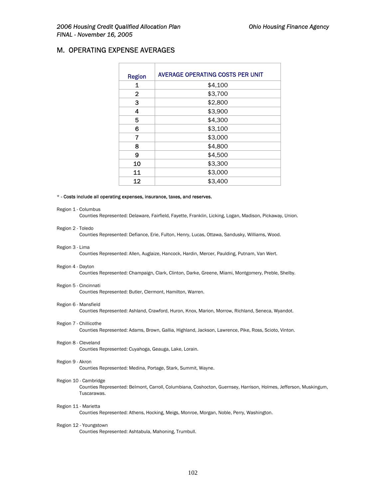## M. OPERATING EXPENSE AVERAGES

| <b>Region</b> | <b>AVERAGE OPERATING COSTS PER UNIT</b> |
|---------------|-----------------------------------------|
| 1             | \$4,100                                 |
| $\mathbf{2}$  | \$3,700                                 |
| 3             | \$2,800                                 |
| 4             | \$3,900                                 |
| 5             | \$4,300                                 |
| 6             | \$3,100                                 |
| 7             | \$3,000                                 |
| 8             | \$4,800                                 |
| 9             | \$4,500                                 |
| 10            | \$3,300                                 |
| 11            | \$3,000                                 |
| 12            | \$3,400                                 |

#### \* - Costs include all operating expenses, insurance, taxes, and reserves.

#### Region 1 - Columbus

Counties Represented: Delaware, Fairfield, Fayette, Franklin, Licking, Logan, Madison, Pickaway, Union.

# Region 2 - Toledo

Counties Represented: Defiance, Erie, Fulton, Henry, Lucas, Ottawa, Sandusky, Williams, Wood.

#### Region 3 - Lima

Counties Represented: Allen, Auglaize, Hancock, Hardin, Mercer, Paulding, Putnam, Van Wert.

#### Region 4 - Dayton

Counties Represented: Champaign, Clark, Clinton, Darke, Greene, Miami, Montgomery, Preble, Shelby.

#### Region 5 - Cincinnati

Counties Represented: Butler, Clermont, Hamilton, Warren.

#### Region 6 - Mansfield

Counties Represented: Ashland, Crawford, Huron, Knox, Marion, Morrow, Richland, Seneca, Wyandot.

Region 7 - Chillicothe

Counties Represented: Adams, Brown, Gallia, Highland, Jackson, Lawrence, Pike, Ross, Scioto, Vinton.

#### Region 8 - Cleveland

Counties Represented: Cuyahoga, Geauga, Lake, Lorain.

#### Region 9 - Akron

Counties Represented: Medina, Portage, Stark, Summit, Wayne.

#### Region 10 - Cambridge

Counties Represented: Belmont, Carroll, Columbiana, Coshocton, Guernsey, Harrison, Holmes, Jefferson, Muskingum, Tuscarawas.

#### Region 11 - Marietta

Counties Represented: Athens, Hocking, Meigs, Monroe, Morgan, Noble, Perry, Washington.

#### Region 12 - Youngstown

Counties Represented: Ashtabula, Mahoning, Trumbull.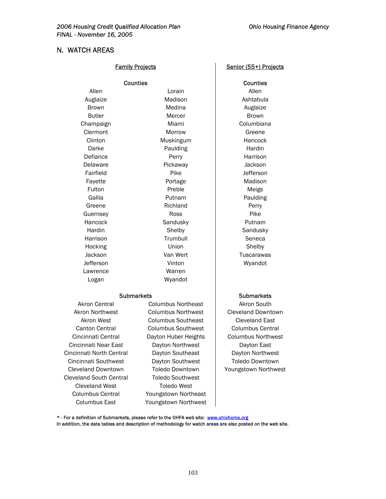## N. WATCH AREAS

|               | <b>Counties</b> | Counties     |
|---------------|-----------------|--------------|
| Allen         | Lorain          | Allen        |
| Auglaize      | Madison         | Ashtabula    |
| <b>Brown</b>  | Medina          | Auglaize     |
| <b>Butler</b> | Mercer          | <b>Brown</b> |
| Champaign     | Miami           | Columbiana   |
| Clermont      | Morrow          | Greene       |
| Clinton       | Muskingum       | Hancock      |
| Darke         | Paulding        | Hardin       |
| Defiance      | Perry           | Harrison     |
| Delaware      | Pickaway        | Jackson      |
| Fairfield     | Pike            | Jefferson    |
| Fayette       | Portage         | Madison      |
| Fulton        | Preble          | Meigs        |
| Gallia        | Putnam          | Paulding     |
| Greene        | Richland        | Perry        |
| Guernsey      | Ross            | Pike         |
| Hancock       | Sandusky        | Putnam       |
| Hardin        | Shelby          | Sandusky     |
| Harrison      | Trumbull        | Seneca       |
| Hocking       | Union           | Shelby       |
| Jackson       | Van Wert        | Tuscarawas   |
| Jefferson     | Vinton          | Wyandot      |
| Lawrence      | Warren          |              |
| Logan         | Wyandot         |              |

Cincinnati Near East Dayton Northwest | Dayton East Cincinnati North Central Dayton Southeast | Dayton Northwest Cincinnati Southwest Dayton Southwest | Toledo Downtown Cleveland Downtown Toledo Downtown | Youngstown Northwest Cleveland South Central Toledo Southwest Cleveland West **Toledo** West

Akron Central **Columbus Northeast** Akron South Akron Northwest Columbus Northwest Cleveland Downtown Akron West Columbus Southeast | Cleveland East Canton Central Columbus Southwest Columbus Central Cincinnati Central Dayton Huber Heights | Columbus Northwest Columbus Central Youngstown Northeast Columbus East Youngstown Northwest

#### Family Projects **Family Projects** Senior (55+) Projects

**Counties** Ashtabula Auglaize Harrison **Jefferson** Madison Paulding Putnam Sandusky Seneca **Tuscarawas** Wyandot

#### Submarkets Submarkets

\* - For a definition of Submarkets, please refer to the OHFA web site: [www.ohiohome.org](http://www.homebuyerohio.com/)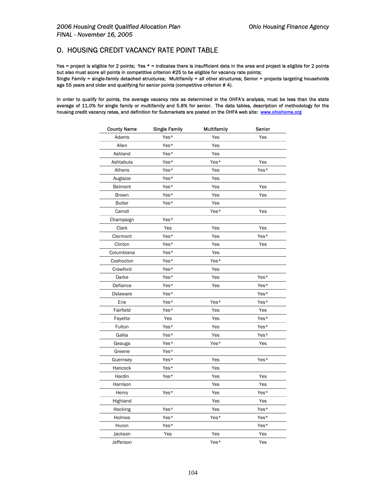## O. HOUSING CREDIT VACANCY RATE POINT TABLE

Yes = project is eligible for 2 points; Yes \* = indicates there is insufficient data in the area and project is eligible for 2 points but also must score all points in competitive criterion #25 to be eligible for vacancy rate points; Single Family = single-family detached structures; Multifamily = all other structures; Senior = projects targeting households age 55 years and older and qualifying for senior points (competitive criterion # 4).

In order to qualify for points, the average vacancy rate as determined in the OHFA's analysis, must be less than the state average of 11.0% for single family or multifamily and 5.8% for senior. The data tables, description of methodology for the housing credit vacancy rates, and definition for Submarkets are posted on the OHFA web site: [www.ohiohome.org](http://www.homebuyerohio.com/)

| <b>County Name</b> | <b>Single Family</b> | <b>Multifamily</b> | Senior |
|--------------------|----------------------|--------------------|--------|
| Adams              | Yes*                 | Yes                | Yes    |
| Allen              | Yes*                 | Yes                |        |
| Ashland            | Yes*                 | Yes                |        |
| Ashtabula          | Yes*                 | Yes*               | Yes    |
| Athens             | Yes*                 | Yes                | Yes*   |
| Auglaize           | Yes*                 | Yes                |        |
| Belmont            | Yes*                 | Yes                | Yes    |
| Brown              | Yes*                 | Yes                | Yes    |
| <b>Butler</b>      | Yes*                 | Yes                |        |
| Carroll            |                      | Yes*               | Yes    |
| Champaign          | Yes*                 |                    |        |
| Clark              | Yes                  | Yes                | Yes    |
| Clermont           | Yes*                 | Yes                | Yes*   |
| Clinton            | Yes*                 | Yes                | Yes    |
| Columbiana         | Yes*                 | Yes                |        |
| Coshocton          | Yes*                 | Yes*               |        |
| Crawford           | Yes*                 | Yes                |        |
| Darke              | Yes*                 | Yes                | Yes*   |
| Defiance           | Yes*                 | Yes                | Yes*   |
| Delaware           | Yes*                 |                    | Yes*   |
| Erie               | Yes*                 | Yes*               | Yes*   |
| Fairfield          | Yes*                 | Yes                | Yes    |
| Fayette            | Yes                  | Yes                | Yes*   |
| Fulton             | Yes*                 | Yes                | Yes*   |
| Gallia             | Yes*                 | Yes                | Yes*   |
| Geauga             | Yes*                 | Yes*               | Yes    |
| Greene             | Yes*                 |                    |        |
| Guernsey           | Yes*                 | Yes                | Yes*   |
| Hancock            | Yes*                 | Yes                |        |
| Hardin             | Yes*                 | Yes                | Yes    |
| Harrison           |                      | Yes                | Yes    |
| Henry              | Yes*                 | Yes                | Yes*   |
| Highland           |                      | Yes                | Yes    |
| Hocking            | Yes*                 | Yes                | Yes*   |
| Holmes             | Yes*                 | Yes*               | Yes*   |
| Huron              | Yes*                 |                    | Yes*   |
| Jackson            | Yes                  | Yes                | Yes    |
| Jefferson          |                      | Yes*               | Yes    |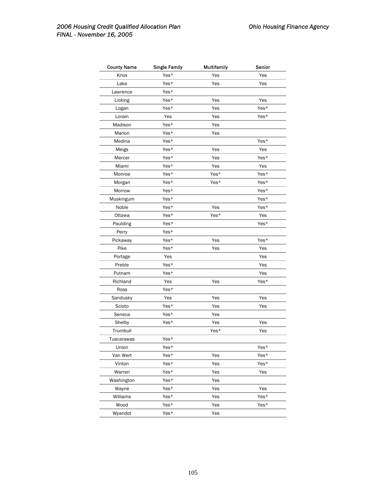| <b>County Name</b> | <b>Single Family</b> | <b>Multifamily</b> | Senior |
|--------------------|----------------------|--------------------|--------|
| Knox               | Yes*                 | Yes                | Yes    |
| Lake               | Yes*                 | Yes                | Yes    |
| Lawrence           | Yes*                 |                    |        |
| Licking            | Yes*                 | Yes                | Yes    |
| Logan              | Yes*                 | Yes                | Yes*   |
| Lorain             | Yes                  | Yes                | Yes*   |
| Madison            | Yes*                 | Yes                |        |
| Marion             | Yes*                 | Yes                |        |
| Medina             | Yes*                 |                    | Yes*   |
| Meigs              | Yes*                 | Yes                | Yes    |
| Mercer             | Yes*                 | Yes                | Yes*   |
| Miami              | Yes*                 | Yes                | Yes    |
| Monroe             | Yes*                 | Yes*               | Yes*   |
| Morgan             | Yes*                 | Yes*               | Yes*   |
| Morrow             | Yes*                 |                    | Yes*   |
| Muskingum          | Yes*                 |                    | Yes*   |
| Noble              | Yes*                 | Yes                | Yes*   |
| Ottawa             | Yes*                 | Yes*               | Yes    |
| Paulding           | Yes*                 |                    | Yes*   |
| Perry              | Yes*                 |                    |        |
| Pickaway           | Yes*                 | Yes                | Yes*   |
| Pike               | Yes*                 | Yes                | Yes    |
| Portage            | Yes                  |                    | Yes    |
| Preble             | Yes*                 |                    | Yes    |
| Putnam             | Yes*                 |                    | Yes    |
| Richland           | Yes                  | Yes                | Yes*   |
| Ross               | Yes*                 |                    |        |
| Sandusky           | Yes                  | Yes                | Yes    |
| Scioto             | Yes*                 | Yes                | Yes    |
| Seneca             | Yes*                 | Yes                |        |
| Shelby             | Yes*                 | Yes                | Yes    |
| Trumbull           |                      | Yes*               | Yes    |
| <b>Tuscarawas</b>  | Yes*                 |                    |        |
| Union              | Yes*                 |                    | Yes*   |
| Van Wert           | Yes*                 | Yes                | Yes*   |
| Vinton             | Yes*                 | Yes                | Yes*   |
| Warren             | Yes*                 | Yes                | Yes    |
| Washington         | Yes*                 | Yes                |        |
| Wayne              | Yes*                 | Yes                | Yes    |
| Williams           | Yes*                 | Yes                | Yes*   |
| Wood               | Yes*                 | Yes                | Yes*   |
| Wyandot            | Yes*                 | Yes                |        |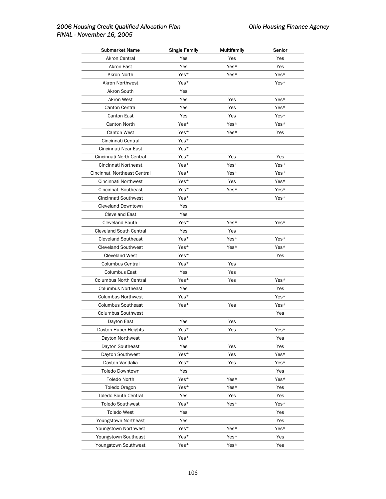| <b>Submarket Name</b>          | <b>Single Family</b> | Multifamily | Senior |
|--------------------------------|----------------------|-------------|--------|
| Akron Central                  | Yes                  | Yes         | Yes    |
| Akron East                     | Yes                  | Yes*        | Yes    |
| Akron North                    | Yes*                 | Yes*        | Yes*   |
| Akron Northwest                | Yes*                 |             | Yes*   |
| Akron South                    | Yes                  |             |        |
| Akron West                     | Yes                  | Yes         | Yes*   |
| Canton Central                 | Yes                  | Yes         | Yes*   |
| <b>Canton East</b>             | Yes                  | Yes         | Yes*   |
| Canton North                   | Yes*                 | Yes*        | Yes*   |
| <b>Canton West</b>             | Yes*                 | Yes*        | Yes    |
| Cincinnati Central             | Yes*                 |             |        |
| Cincinnati Near East           | Yes*                 |             |        |
| Cincinnati North Central       | Yes*                 | Yes         | Yes    |
| Cincinnati Northeast           | Yes*                 | Yes*        | Yes*   |
| Cincinnati Northeast Central   | Yes*                 | Yes*        | Yes*   |
| Cincinnati Northwest           | Yes*                 | Yes         | Yes*   |
| Cincinnati Southeast           | Yes*                 | Yes*        | Yes*   |
| Cincinnati Southwest           | Yes*                 |             | Yes*   |
| Cleveland Downtown             | Yes                  |             |        |
| <b>Cleveland East</b>          | Yes                  |             |        |
| <b>Cleveland South</b>         | Yes*                 | Yes*        | Yes*   |
| <b>Cleveland South Central</b> | Yes                  | Yes         |        |
| <b>Cleveland Southeast</b>     | Yes*                 | Yes*        | Yes*   |
| <b>Cleveland Southwest</b>     | Yes*                 | Yes*        | Yes*   |
| <b>Cleveland West</b>          | Yes*                 |             | Yes    |
| Columbus Central               | Yes*                 | Yes         |        |
| Columbus East                  | Yes                  | Yes         |        |
| <b>Columbus North Central</b>  | Yes*                 | Yes         | Yes*   |
| <b>Columbus Northeast</b>      | Yes                  |             | Yes    |
| <b>Columbus Northwest</b>      | Yes*                 |             | Yes*   |
| <b>Columbus Southeast</b>      | Yes*                 | Yes         | Yes*   |
| <b>Columbus Southwest</b>      |                      |             | Yes    |
| Dayton East                    | Yes                  | Yes         |        |
| Dayton Huber Heights           | Yes*                 | Yes         | Yes*   |
| Dayton Northwest               | Yes*                 |             | Yes    |
| Dayton Southeast               | Yes                  | Yes         | Yes    |
| Dayton Southwest               | Yes*                 | Yes         | Yes*   |
| Dayton Vandalia                | Yes*                 | Yes         | Yes*   |
| <b>Toledo Downtown</b>         | Yes                  |             | Yes    |
| Toledo North                   | Yes*                 | Yes*        | Yes*   |
| Toledo Oregon                  | Yes*                 | Yes*        | Yes    |
| <b>Toledo South Central</b>    | Yes                  | Yes         | Yes    |
| <b>Toledo Southwest</b>        | Yes*                 | Yes*        | Yes*   |
| <b>Toledo West</b>             | Yes                  |             | Yes    |
| Youngstown Northeast           | Yes                  |             | Yes    |
| Youngstown Northwest           | Yes*                 | Yes*        | Yes*   |
| Youngstown Southeast           | Yes*                 | Yes*        | Yes    |
| Youngstown Southwest           | Yes*                 | Yes*        | Yes    |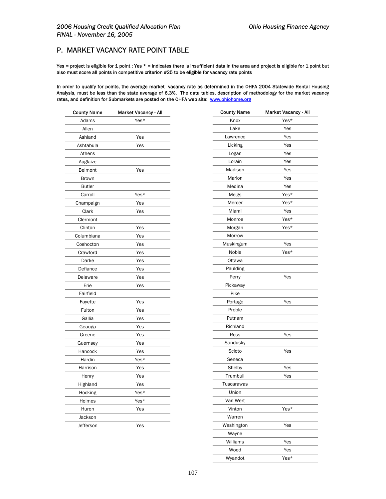## P. MARKET VACANCY RATE POINT TABLE

Yes = project is eligible for 1 point ; Yes \* = indicates there is insufficient data in the area and project is eligible for 1 point but also must score all points in competitive criterion #25 to be eligible for vacancy rate points

In order to qualify for points, the average market vacancy rate as determined in the OHFA 2004 Statewide Rental Housing Analysis, must be less than the state average of 6.3%. The data tables, description of methodology for the market vacancy rates, and definition for Submarkets are posted on the OHFA web site: [www.ohiohome.org](http://www.homebuyerohio.com/)

| county name   | market vacancy - All |
|---------------|----------------------|
| Adams         | Yes*                 |
| Allen         |                      |
| Ashland       | Yes                  |
| Ashtabula     | Yes                  |
| Athens        |                      |
| Auglaize      |                      |
| Belmont       | Yes                  |
| <b>Brown</b>  |                      |
| <b>Butler</b> |                      |
| Carroll       | Yes*                 |
| Champaign     | Yes                  |
| Clark         | Yes                  |
| Clermont      |                      |
| Clinton       | Yes                  |
| Columbiana    | Yes                  |
| Coshocton     | Yes                  |
| Crawford      | Yes                  |
| Darke         | Yes                  |
| Defiance      | Yes                  |
| Delaware      | Yes                  |
| Erie          | Yes                  |
| Fairfield     |                      |
| Fayette       | Yes                  |
| Fulton        | Yes                  |
| Gallia        | Yes                  |
| Geauga        | Yes                  |
| Greene        | Yes                  |
| Guernsey      | Yes                  |
| Hancock       | Yes                  |
| Hardin        | Yes*                 |
| Harrison      | Yes                  |
| Henry         | Yes                  |
| Highland      | Yes                  |
| Hocking       | Yes*                 |
| Holmes        | Yes*                 |
| Huron         | Yes                  |
| Jackson       |                      |
| Jefferson     | Yes                  |

| <b>County Name</b> | Market Vacancy - All | <b>County Name</b> | Market Vacancy - All |
|--------------------|----------------------|--------------------|----------------------|
| Adams              | Yes*                 | Knox               | Yes*                 |
| Allen              |                      | Lake               | Yes                  |
| Ashland            | Yes                  | Lawrence           | Yes                  |
| Ashtabula          | Yes                  | Licking            | Yes                  |
| Athens             |                      | Logan              | Yes                  |
| Auglaize           |                      | Lorain             | Yes                  |
| Belmont            | Yes                  | Madison            | Yes                  |
| <b>Brown</b>       |                      | Marion             | Yes                  |
| <b>Butler</b>      |                      | Medina             | Yes                  |
| Carroll            | Yes*                 | Meigs              | Yes*                 |
| Champaign          | Yes                  | Mercer             | Yes*                 |
| Clark              | Yes                  | Miami              | Yes                  |
| Clermont           |                      | Monroe             | Yes*                 |
| Clinton            | Yes                  | Morgan             | Yes*                 |
| Columbiana         | Yes                  | Morrow             |                      |
| Coshocton          | Yes                  | Muskingum          | Yes                  |
| Crawford           | Yes                  | Noble              | Yes*                 |
| Darke              | Yes                  | Ottawa             |                      |
| Defiance           | Yes                  | Paulding           |                      |
| Delaware           | Yes                  | Perry              | Yes                  |
| Erie               | Yes                  | Pickaway           |                      |
| Fairfield          |                      | Pike               |                      |
| Fayette            | Yes                  | Portage            | Yes                  |
| Fulton             | Yes                  | Preble             |                      |
| Gallia             | Yes                  | Putnam             |                      |
| Geauga             | Yes                  | Richland           |                      |
| Greene             | Yes                  | Ross               | Yes                  |
| Guernsey           | Yes                  | Sandusky           |                      |
| Hancock            | Yes                  | Scioto             | Yes                  |
| Hardin             | Yes*                 | Seneca             |                      |
| Harrison           | Yes                  | Shelby             | Yes                  |
| Henry              | Yes                  | Trumbull           | Yes                  |
| Highland           | Yes                  | Tuscarawas         |                      |
| Hocking            | Yes*                 | Union              |                      |
| Holmes             | Yes*                 | Van Wert           |                      |
| Huron              | Yes                  | Vinton             | Yes*                 |
| Jackson            |                      | Warren             |                      |
| Jefferson          | Yes                  | Washington         | Yes                  |
|                    |                      | Wayne              |                      |
|                    |                      | Williams           | Yes                  |
|                    |                      | Wood               | Yes                  |
|                    |                      | Wyandot            | Yes*                 |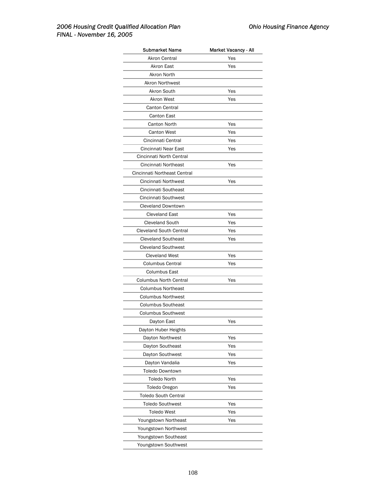| <b>Submarket Name</b>          | <b>Market Vacancy - All</b> |
|--------------------------------|-----------------------------|
| Akron Central                  | Yes                         |
| Akron East                     | Yes                         |
| Akron North                    |                             |
| <b>Akron Northwest</b>         |                             |
| Akron South                    | Yes                         |
| <b>Akron West</b>              | Yes                         |
| <b>Canton Central</b>          |                             |
| <b>Canton East</b>             |                             |
| <b>Canton North</b>            | Yes                         |
| <b>Canton West</b>             | Yes                         |
| Cincinnati Central             | Yes                         |
| Cincinnati Near East           | Yes                         |
| Cincinnati North Central       |                             |
| Cincinnati Northeast           | Yes                         |
| Cincinnati Northeast Central   |                             |
| Cincinnati Northwest           | Yes                         |
| Cincinnati Southeast           |                             |
| Cincinnati Southwest           |                             |
| <b>Cleveland Downtown</b>      |                             |
| <b>Cleveland East</b>          | Yes                         |
| <b>Cleveland South</b>         | Yes                         |
| <b>Cleveland South Central</b> | Yes                         |
| <b>Cleveland Southeast</b>     | Yes                         |
| <b>Cleveland Southwest</b>     |                             |
| <b>Cleveland West</b>          | Yes                         |
| <b>Columbus Central</b>        | Yes                         |
| Columbus East                  |                             |
| <b>Columbus North Central</b>  | Yes                         |
| <b>Columbus Northeast</b>      |                             |
| <b>Columbus Northwest</b>      |                             |
| <b>Columbus Southeast</b>      |                             |
| <b>Columbus Southwest</b>      |                             |
| Dayton East                    | Yes                         |
| Dayton Huber Heights           |                             |
| Dayton Northwest               | Yes                         |
| Dayton Southeast               | Yes                         |
| Dayton Southwest               | Yes                         |
| Dayton Vandalia                | Yes                         |
| <b>Toledo Downtown</b>         |                             |
| <b>Toledo North</b>            | Yes                         |
| Toledo Oregon                  | Yes                         |
| <b>Toledo South Central</b>    |                             |
| <b>Toledo Southwest</b>        | Yes                         |
| <b>Toledo West</b>             | Yes                         |
| Youngstown Northeast           | Yes                         |
| Youngstown Northwest           |                             |
| Youngstown Southeast           |                             |
| Youngstown Southwest           |                             |
|                                |                             |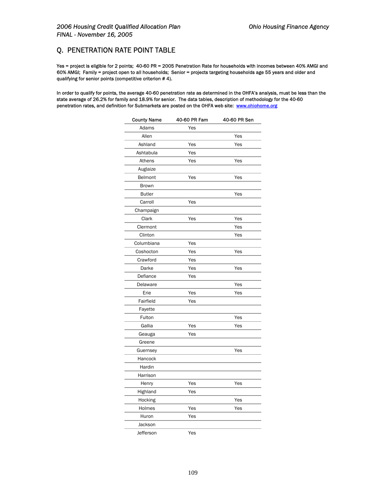# Q. PENETRATION RATE POINT TABLE

Yes = project is eligible for 2 points; 40-60 PR = 2005 Penetration Rate for households with incomes between 40% AMGI and 60% AMGI; Family = project open to all households; Senior = projects targeting households age 55 years and older and qualifying for senior points (competitive criterion # 4).

In order to qualify for points, the average 40-60 penetration rate as determined in the OHFA's analysis, must be less than the state average of 26.2% for family and 18.9% for senior. The data tables, description of methodology for the 40-60 penetration rates, and definition for Submarkets are posted on the OHFA web site: [www.ohiohome.org](http://www.homebuyerohio.com/)

| <b>County Name</b> | 40-60 PR Fam | 40-60 PR Sen |
|--------------------|--------------|--------------|
| Adams              | Yes          |              |
| Allen              |              | Yes          |
| Ashland            | Yes          | Yes          |
| Ashtabula          | Yes          |              |
| Athens             | Yes          | Yes          |
| Auglaize           |              |              |
| Belmont            | Yes          | Yes          |
| <b>Brown</b>       |              |              |
| <b>Butler</b>      |              | Yes          |
| Carroll            | Yes          |              |
| Champaign          |              |              |
| Clark              | Yes          | Yes          |
| Clermont           |              | Yes          |
| Clinton            |              | Yes          |
| Columbiana         | Yes          |              |
| Coshocton          | Yes          | Yes          |
| Crawford           | Yes          |              |
| Darke              | Yes          | Yes          |
| Defiance           | Yes          |              |
| Delaware           |              | Yes          |
| Erie               | Yes          | Yes          |
| Fairfield          | Yes          |              |
| Fayette            |              |              |
| Fulton             |              | Yes          |
| Gallia             | Yes          | Yes          |
| Geauga             | Yes          |              |
| Greene             |              |              |
| Guernsey           |              | Yes          |
| Hancock            |              |              |
| Hardin             |              |              |
| Harrison           |              |              |
| Henry              | Yes          | Yes          |
| Highland           | Yes          |              |
| Hocking            |              | Yes          |
| Holmes             | Yes          | Yes          |
| Huron              | Yes          |              |
| Jackson            |              |              |
| Jefferson          | Yes          |              |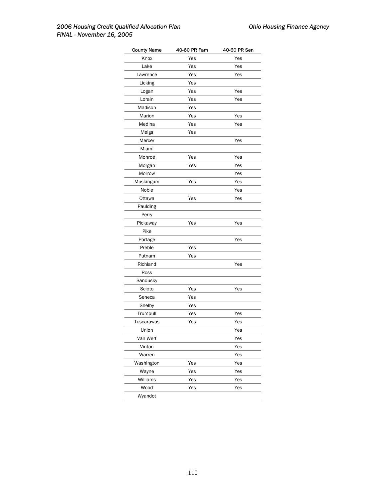|     | 40-60 PR Sen               |
|-----|----------------------------|
| Yes | Yes                        |
| Yes | Yes                        |
| Yes | Yes                        |
| Yes |                            |
| Yes | Yes                        |
| Yes | Yes                        |
| Yes |                            |
| Yes | Yes                        |
| Yes | Yes                        |
| Yes |                            |
|     | Yes                        |
|     |                            |
| Yes | Yes                        |
| Yes | Yes                        |
|     | Yes                        |
| Yes | Yes                        |
|     | Yes                        |
| Yes | Yes                        |
|     |                            |
|     |                            |
| Yes | Yes                        |
|     |                            |
|     | Yes                        |
|     |                            |
| Yes |                            |
|     | Yes                        |
|     |                            |
|     |                            |
| Yes | Yes                        |
| Yes |                            |
| Yes |                            |
| Yes | Yes                        |
| Yes | Yes                        |
|     | Yes                        |
|     | Yes                        |
|     | Yes                        |
|     | Yes                        |
| Yes | Yes                        |
| Yes | Yes                        |
|     | Yes                        |
|     |                            |
| Yes | Yes                        |
|     | 40-60 PR Fam<br>Yes<br>Yes |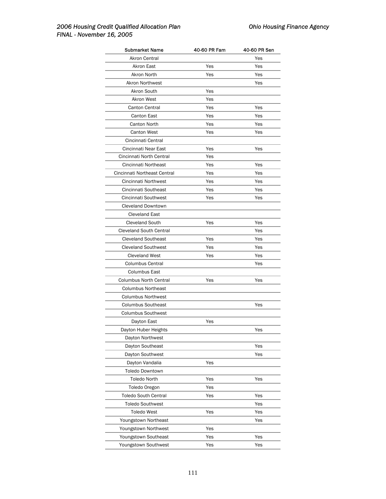| <b>Submarket Name</b>          | 40-60 PR Fam | 40-60 PR Sen |
|--------------------------------|--------------|--------------|
| Akron Central                  |              | Yes          |
| <b>Akron East</b>              | Yes          | Yes          |
| Akron North                    | Yes          | Yes          |
| Akron Northwest                |              | Yes          |
| Akron South                    | Yes          |              |
| <b>Akron West</b>              | Yes          |              |
| Canton Central                 | Yes          | Yes          |
| Canton East                    | Yes          | Yes          |
| Canton North                   | Yes          | Yes          |
| <b>Canton West</b>             | Yes          | Yes          |
| Cincinnati Central             |              |              |
| Cincinnati Near East           | Yes          | Yes          |
| Cincinnati North Central       | Yes          |              |
| Cincinnati Northeast           | Yes          | Yes          |
| Cincinnati Northeast Central   | Yes          | Yes          |
| Cincinnati Northwest           | Yes          | Yes          |
| Cincinnati Southeast           | Yes          | Yes          |
| Cincinnati Southwest           | Yes          | Yes          |
| <b>Cleveland Downtown</b>      |              |              |
| <b>Cleveland East</b>          |              |              |
| <b>Cleveland South</b>         | Yes          | Yes          |
| <b>Cleveland South Central</b> |              | Yes          |
| <b>Cleveland Southeast</b>     | Yes          | Yes          |
| <b>Cleveland Southwest</b>     | Yes          | Yes          |
| <b>Cleveland West</b>          | Yes          | Yes          |
| <b>Columbus Central</b>        |              | Yes          |
| Columbus East                  |              |              |
| <b>Columbus North Central</b>  | Yes          | Yes          |
| <b>Columbus Northeast</b>      |              |              |
| <b>Columbus Northwest</b>      |              |              |
| <b>Columbus Southeast</b>      |              | Yes          |
| <b>Columbus Southwest</b>      |              |              |
| Dayton East                    | Yes          |              |
| Dayton Huber Heights           |              | Yes          |
| Dayton Northwest               |              |              |
| Dayton Southeast               |              | Yes          |
| Dayton Southwest               |              | Yes          |
| Dayton Vandalia                | Yes          |              |
| <b>Toledo Downtown</b>         |              |              |
| Toledo North                   | Yes          | Yes          |
| Toledo Oregon                  | Yes          |              |
| <b>Toledo South Central</b>    | Yes          | Yes          |
| <b>Toledo Southwest</b>        |              | Yes          |
| <b>Toledo West</b>             | Yes          | Yes          |
| Youngstown Northeast           |              | Yes          |
| Youngstown Northwest           | Yes          |              |
| Youngstown Southeast           | Yes          | Yes          |
| Youngstown Southwest           | Yes          | Yes          |
|                                |              |              |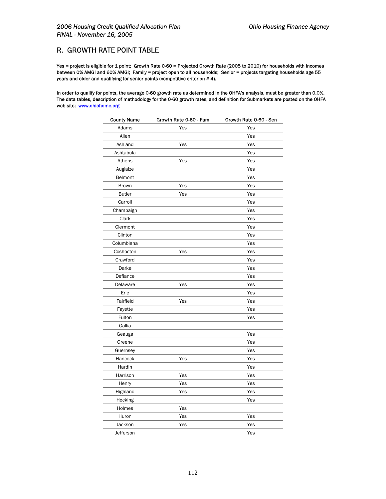## R. GROWTH RATE POINT TABLE

Yes = project is eligible for 1 point; Growth Rate 0-60 = Projected Growth Rate (2005 to 2010) for households with incomes between 0% AMGI and 60% AMGI; Family = project open to all households; Senior = projects targeting households age 55 years and older and qualifying for senior points (competitive criterion # 4).

In order to qualify for points, the average 0-60 growth rate as determined in the OHFA's analysis, must be greater than 0.0%. The data tables, description of methodology for the 0-60 growth rates, and definition for Submarkets are posted on the OHFA web site: [www.ohiohome.org](http://www.homebuyerohio.com/)

| <b>County Name</b> | Growth Rate 0-60 - Fam | Growth Rate 0-60 - Sen |
|--------------------|------------------------|------------------------|
| Adams              | Yes                    | Yes                    |
| Allen              |                        | Yes                    |
| Ashland            | Yes                    | Yes                    |
| Ashtabula          |                        | Yes                    |
| Athens             | Yes                    | Yes                    |
| Auglaize           |                        | Yes                    |
| Belmont            |                        | Yes                    |
| <b>Brown</b>       | Yes                    | Yes                    |
| <b>Butler</b>      | Yes                    | Yes                    |
| Carroll            |                        | Yes                    |
| Champaign          |                        | Yes                    |
| Clark              |                        | Yes                    |
| Clermont           |                        | Yes                    |
| Clinton            |                        | Yes                    |
| Columbiana         |                        | Yes                    |
| Coshocton          | Yes                    | Yes                    |
| Crawford           |                        | Yes                    |
| Darke              |                        | Yes                    |
| Defiance           |                        | Yes                    |
| Delaware           | Yes                    | Yes                    |
| Erie               |                        | Yes                    |
| Fairfield          | Yes                    | Yes                    |
| Fayette            |                        | Yes                    |
| Fulton             |                        | Yes                    |
| Gallia             |                        |                        |
| Geauga             |                        | Yes                    |
| Greene             |                        | Yes                    |
| Guernsey           |                        | Yes                    |
| Hancock            | Yes                    | Yes                    |
| Hardin             |                        | Yes                    |
| Harrison           | Yes                    | Yes                    |
| Henry              | Yes                    | Yes                    |
| Highland           | Yes                    | Yes                    |
| Hocking            |                        | Yes                    |
| Holmes             | Yes                    |                        |
| Huron              | Yes                    | Yes                    |
| Jackson            | Yes                    | Yes                    |
| Jefferson          |                        | Yes                    |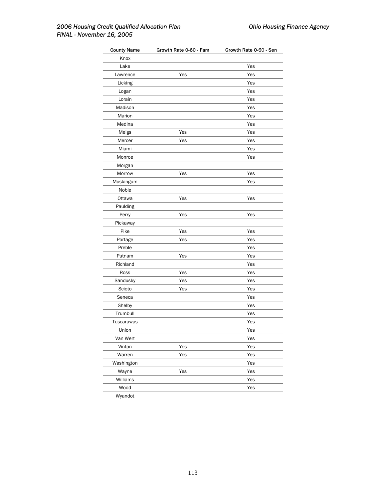| <b>County Name</b> | Growth Rate 0-60 - Fam | Growth Rate 0-60 - Sen |
|--------------------|------------------------|------------------------|
| Knox               |                        |                        |
| Lake               |                        | Yes                    |
| Lawrence           | Yes                    | Yes                    |
| Licking            |                        | Yes                    |
| Logan              |                        | Yes                    |
| Lorain             |                        | Yes                    |
| Madison            |                        | Yes                    |
| Marion             |                        | Yes                    |
| Medina             |                        | Yes                    |
| Meigs              | Yes                    | Yes                    |
| Mercer             | Yes                    | Yes                    |
| Miami              |                        | Yes                    |
| Monroe             |                        | Yes                    |
| Morgan             |                        |                        |
| Morrow             | Yes                    | Yes                    |
| Muskingum          |                        | Yes                    |
| Noble              |                        |                        |
| Ottawa             | Yes                    | Yes                    |
| Paulding           |                        |                        |
| Perry              | Yes                    | Yes                    |
| Pickaway           |                        |                        |
| Pike               | Yes                    | Yes                    |
| Portage            | Yes                    | Yes                    |
| Preble             |                        | Yes                    |
| Putnam             | Yes                    | Yes                    |
| Richland           |                        | Yes                    |
| Ross               | Yes                    | Yes                    |
| Sandusky           | Yes                    | Yes                    |
| Scioto             | Yes                    | Yes                    |
| Seneca             |                        | Yes                    |
| Shelby             |                        | Yes                    |
| Trumbull           |                        | Yes                    |
| Tuscarawas         |                        | Yes                    |
| Union              |                        | Yes                    |
| Van Wert           |                        | Yes                    |
| Vinton             | Yes                    | Yes                    |
| Warren             | Yes                    | Yes                    |
| Washington         |                        | Yes                    |
| Wayne              | Yes                    | Yes                    |
| Williams           |                        | Yes                    |
| Wood               |                        | Yes                    |
| Wyandot            |                        |                        |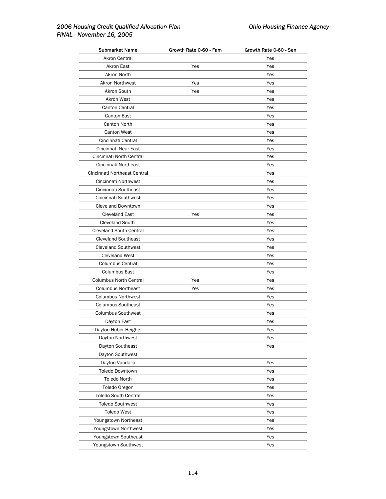| Submarket Name                                         | Growth Rate 0-60 - Fam | Growth Rate 0-60 - Sen |
|--------------------------------------------------------|------------------------|------------------------|
| <b>Akron Central</b>                                   |                        | Yes                    |
| <b>Akron East</b>                                      | Yes                    | Yes                    |
| Akron North                                            |                        | Yes                    |
| <b>Akron Northwest</b>                                 | Yes                    | Yes                    |
| Akron South                                            | Yes                    | Yes                    |
| Akron West                                             |                        | Yes                    |
| Canton Central                                         |                        | Yes                    |
| Canton East                                            |                        | Yes                    |
| Canton North                                           |                        | Yes                    |
| <b>Canton West</b>                                     |                        | Yes                    |
| Cincinnati Central                                     |                        | Yes                    |
| Cincinnati Near East                                   |                        | Yes                    |
| Cincinnati North Central                               |                        | Yes                    |
| Cincinnati Northeast                                   |                        | Yes                    |
| Cincinnati Northeast Central                           |                        | Yes                    |
| Cincinnati Northwest                                   |                        | Yes                    |
| Cincinnati Southeast                                   |                        | Yes                    |
| Cincinnati Southwest                                   |                        | Yes                    |
| <b>Cleveland Downtown</b>                              |                        | Yes                    |
| <b>Cleveland East</b>                                  | Yes                    | Yes                    |
| <b>Cleveland South</b>                                 |                        | Yes                    |
| <b>Cleveland South Central</b>                         |                        | Yes                    |
| <b>Cleveland Southeast</b>                             |                        | Yes                    |
| <b>Cleveland Southwest</b>                             |                        | Yes                    |
| <b>Cleveland West</b>                                  |                        | Yes                    |
| <b>Columbus Central</b>                                |                        | Yes                    |
| <b>Columbus East</b>                                   |                        | Yes                    |
| Columbus North Central                                 | Yes                    | Yes                    |
| <b>Columbus Northeast</b>                              | Yes                    | Yes                    |
|                                                        |                        |                        |
| <b>Columbus Northwest</b><br><b>Columbus Southeast</b> |                        | Yes                    |
|                                                        |                        | Yes                    |
| <b>Columbus Southwest</b>                              |                        | Yes                    |
| Dayton East                                            |                        | Yes                    |
| Dayton Huber Heights                                   |                        | Yes                    |
| Dayton Northwest                                       |                        | Yes                    |
| Dayton Southeast                                       |                        | Yes                    |
| Dayton Southwest                                       |                        |                        |
| Dayton Vandalia                                        |                        | Yes                    |
| <b>Toledo Downtown</b>                                 |                        | Yes                    |
| <b>Toledo North</b>                                    |                        | Yes                    |
| Toledo Oregon                                          |                        | Yes                    |
| <b>Toledo South Central</b>                            |                        | Yes                    |
| <b>Toledo Southwest</b>                                |                        | Yes                    |
| <b>Toledo West</b>                                     |                        | Yes                    |
| Youngstown Northeast                                   |                        | Yes                    |
| Youngstown Northwest                                   |                        | Yes                    |
| Youngstown Southeast                                   |                        | Yes                    |
| Youngstown Southwest                                   |                        | Yes                    |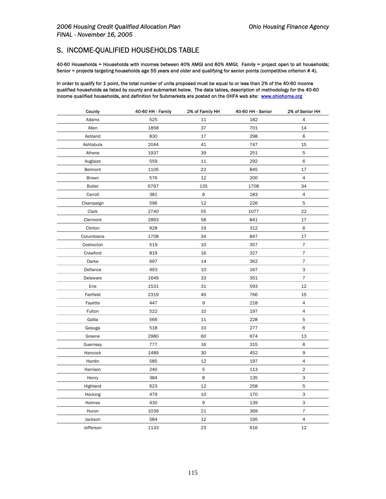#### S. INCOME-QUALIFIED HOUSEHOLDS TABLE

40-60 Households = Households with incomes between 40% AMGI and 60% AMGI; Family = project open to all households; Senior = projects targeting households age 55 years and older and qualifying for senior points (competitive criterion # 4).

In order to qualify for 1 point, the total number of units proposed must be equal to or less than 2% of the 40-60 income qualified households as listed by county and submarket below. The data tables, description of methodology for the 40-60 income qualified households, and definition for Submarkets are posted on the OHFA web site: [www.ohiohome.org](http://www.homebuyerohio.com/)

| County        | 40-60 HH - Family | 2% of Family HH | 40-60 HH - Senior | 2% of Senior HH           |
|---------------|-------------------|-----------------|-------------------|---------------------------|
| Adams         | 525               | 11              | 182               | 4                         |
| Allen         | 1858              | 37              | 701               | 14                        |
| Ashland       | 830               | 17              | 298               | 6                         |
| Ashtabula     | 2044              | 41              | 747               | 15                        |
| Athens        | 1937              | 39              | 251               | 5                         |
| Auglaize      | 559               | 11              | 292               | 6                         |
| Belmont       | 1105              | 22              | 845               | 17                        |
| Brown         | 576               | 12              | 200               | $\overline{4}$            |
| <b>Butler</b> | 6767              | 135             | 1708              | 34                        |
| Carroll       | 381               | 8               | 183               | $\overline{4}$            |
| Champaign     | 596               | 12              | 226               | 5                         |
| Clark         | 2740              | 55              | 1077              | 22                        |
| Clermont      | 2893              | 58              | 841               | 17                        |
| Clinton       | 928               | 19              | 312               | 6                         |
| Columbiana    | 1708              | 34              | 847               | 17                        |
| Coshocton     | 519               | 10              | 357               | $\overline{7}$            |
| Crawford      | 819               | 16              | 327               | $\overline{7}$            |
| Darke         | 697               | 14              | 362               | $\overline{7}$            |
| Defiance      | 493               | 10              | 167               | 3                         |
| Delaware      | 1649              | 33              | 351               | $\overline{7}$            |
| Erie          | 1531              | 31              | 593               | 12                        |
| Fairfield     | 2319              | 46              | 766               | 15                        |
| Fayette       | 447               | 9               | 218               | $\overline{4}$            |
| Fulton        | 522               | 10              | 197               | $\overline{4}$            |
| Gallia        | 566               | 11              | 228               | 5                         |
| Geauga        | 518               | 10              | 277               | 6                         |
| Greene        | 2980              | 60              | 674               | 13                        |
| Guernsey      | 777               | 16              | 315               | 6                         |
| Hancock       | 1489              | 30              | 452               | 9                         |
| Hardin        | 585               | 12              | 197               | $\overline{4}$            |
| Harrison      | 240               | 5               | 113               | $\overline{c}$            |
| Henry         | 384               | 8               | 135               | 3                         |
| Highland      | 623               | 12              | 258               | 5                         |
| Hocking       | 479               | 10              | 170               | 3                         |
| Holmes        | 430               | 9               | 139               | $\ensuremath{\mathsf{3}}$ |
| Huron         | 1039              | 21              | 369               | $\overline{7}$            |
| Jackson       | 584               | 12              | 195               | 4                         |
| Jefferson     | 1133              | 23              | 616               | 12                        |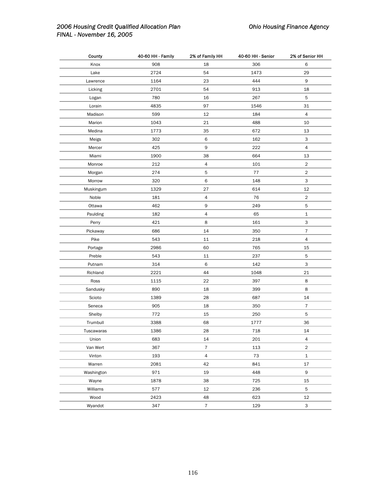| County     | 40-60 HH - Family | 2% of Family HH | 40-60 HH - Senior | 2% of Senior HH |
|------------|-------------------|-----------------|-------------------|-----------------|
| Knox       | 908               | 18              | 306               | 6               |
| Lake       | 2724              | 54              | 1473              | 29              |
| Lawrence   | 1164              | 23              | 444               | 9               |
| Licking    | 2701              | 54              | 913               | 18              |
| Logan      | 780               | 16              | 267               | 5               |
| Lorain     | 4835              | 97              | 1546              | 31              |
| Madison    | 599               | 12              | 184               | 4               |
| Marion     | 1043              | 21              | 488               | 10              |
| Medina     | 1773              | 35              | 672               | 13              |
| Meigs      | 302               | 6               | 162               | 3               |
| Mercer     | 425               | 9               | 222               | $\overline{4}$  |
| Miami      | 1900              | 38              | 664               | 13              |
| Monroe     | 212               | $\sqrt{4}$      | 101               | $\overline{c}$  |
| Morgan     | 274               | 5               | 77                | $\overline{c}$  |
| Morrow     | 320               | 6               | 148               | 3               |
| Muskingum  | 1329              | 27              | 614               | 12              |
| Noble      | 181               | 4               | 76                | $\overline{c}$  |
| Ottawa     | 462               | 9               | 249               | 5               |
| Paulding   | 182               | $\sqrt{4}$      | 65                | $\mathbf 1$     |
| Perry      | 421               | 8               | 161               | 3               |
| Pickaway   | 686               | 14              | 350               | $\overline{7}$  |
| Pike       | 543               | 11              | 218               | 4               |
| Portage    | 2986              | 60              | 765               | 15              |
| Preble     | 543               | 11              | 237               | 5               |
| Putnam     | 314               | 6               | 142               | 3               |
| Richland   | 2221              | 44              | 1048              | 21              |
| Ross       | 1115              | 22              | 397               | 8               |
| Sandusky   | 890               | 18              | 399               | 8               |
| Scioto     | 1389              | 28              | 687               | 14              |
| Seneca     | 905               | 18              | 350               | $\overline{7}$  |
| Shelby     | 772               | 15              | 250               | 5               |
| Trumbull   | 3388              | 68              | 1777              | 36              |
| Tuscawaras | 1386              | 28              | 718               | 14              |
| Union      | 683               | 14              | 201               | $\overline{4}$  |
| Van Wert   | 367               | $\overline{7}$  | 113               | $\overline{2}$  |
| Vinton     | 193               | 4               | 73                | $\mathbf{1}$    |
| Warren     | 2081              | 42              | 841               | 17              |
| Washington | 971               | 19              | 448               | 9               |
| Wayne      | 1878              | 38              | 725               | 15              |
| Williams   | 577               | 12              | 236               | 5               |
| Wood       | 2423              | 48              | 623               | 12              |
| Wyandot    | 347               | $\overline{7}$  | 129               | 3               |